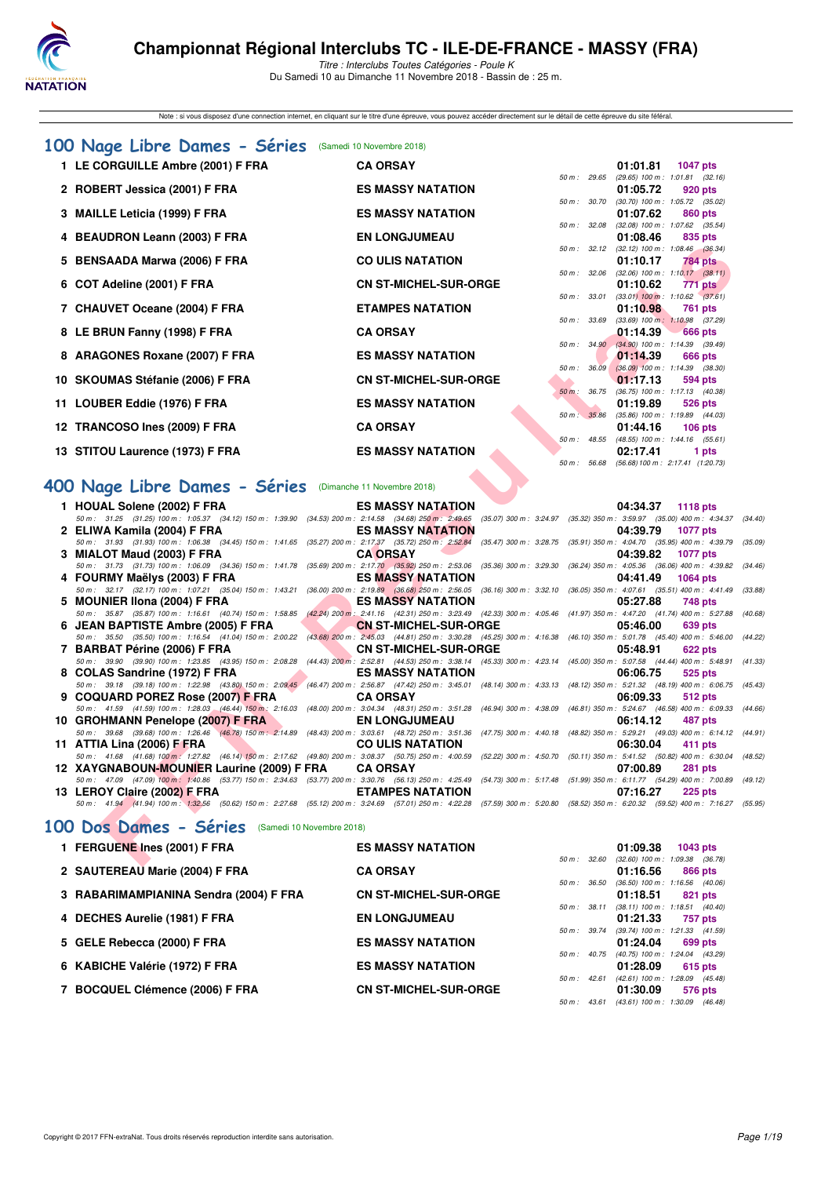

Titre : Interclubs Toutes Catégories - Poule K Du Samedi 10 au Dimanche 11 Novembre 2018 - Bassin de : 25 m.

Note : si vous disposez d'une connection internet, en cliquant sur le titre d'une épreuve, vous pouvez accéder directement sur le détail de cette épreuve du site féféral.

| 100 Nage Libre Dames - Séries (Samedi 10 Novembre 2018) |                              |                        |          |                                                       |
|---------------------------------------------------------|------------------------------|------------------------|----------|-------------------------------------------------------|
| 1 LE CORGUILLE Ambre (2001) F FRA                       | <b>CA ORSAY</b>              |                        | 01:01.81 | 1047 pts                                              |
|                                                         |                              | 50 m: 29.65            |          | $(29.65)$ 100 m : 1:01.81 $(32.16)$                   |
| 2 ROBERT Jessica (2001) F FRA                           | <b>ES MASSY NATATION</b>     |                        | 01:05.72 | 920 pts                                               |
|                                                         |                              | 50 m : 30.70           |          | $(30.70)$ 100 m : 1:05.72 $(35.02)$                   |
| 3 MAILLE Leticia (1999) F FRA                           | <b>ES MASSY NATATION</b>     |                        | 01:07.62 | 860 pts                                               |
| 4 BEAUDRON Leann (2003) F FRA                           | <b>EN LONGJUMEAU</b>         | 50 m : 32.08           | 01:08.46 | $(32.08)$ 100 m : 1:07.62 $(35.54)$<br>835 pts        |
|                                                         |                              |                        |          | 50 m: 32.12 (32.12) 100 m: 1:08.46 (36.34)            |
| 5 BENSAADA Marwa (2006) F FRA                           | <b>CO ULIS NATATION</b>      |                        | 01:10.17 | 784 pts                                               |
|                                                         |                              | 50 m: 32.06            |          | $(32.06)$ 100 m : 1:10.17 $(38.11)$                   |
| 6 COT Adeline (2001) F FRA                              | <b>CN ST-MICHEL-SUR-ORGE</b> |                        | 01:10.62 | <b>771 pts</b>                                        |
|                                                         |                              | 50 m : 33.01           |          | $(33.01)$ 100 m : 1:10.62 $(37.61)$                   |
| 7 CHAUVET Oceane (2004) F FRA                           | <b>ETAMPES NATATION</b>      |                        | 01:10.98 | 761 pts                                               |
|                                                         |                              | 50 m : 33.69           |          | $(33.69)$ 100 m : 1:10.98 $(37.29)$                   |
| 8 LE BRUN Fanny (1998) F FRA                            | <b>CA ORSAY</b>              |                        | 01:14.39 | $666$ pts                                             |
| 8 ARAGONES Roxane (2007) F FRA                          | <b>ES MASSY NATATION</b>     |                        | 01:14.39 | 50 m: 34.90 (34.90) 100 m: 1:14.39 (39.49)<br>666 pts |
|                                                         |                              | 50 m: 36.09            |          | $(36.09)$ 100 m : 1:14.39 $(38.30)$                   |
| 10 SKOUMAS Stéfanie (2006) F FRA                        | <b>CN ST-MICHEL-SUR-ORGE</b> |                        | 01:17.13 | 594 pts                                               |
|                                                         |                              | $50 \text{ m}$ : 36.75 |          | $(36.75)$ 100 m : 1:17.13 $(40.38)$                   |
| 11 LOUBER Eddie (1976) F FRA                            | <b>ES MASSY NATATION</b>     |                        | 01:19.89 | <b>526 pts</b>                                        |
|                                                         |                              | 50 m : 35.86           |          | $(35.86)$ 100 m : 1:19.89 $(44.03)$                   |
| 12 TRANCOSO Ines (2009) F FRA                           | <b>CA ORSAY</b>              |                        | 01:44.16 | 106 pts                                               |
|                                                         |                              | 50 m : 48.55           |          | $(48.55)$ 100 m : 1:44.16 $(55.61)$                   |
| 13 STITOU Laurence (1973) F FRA                         | <b>ES MASSY NATATION</b>     |                        | 02:17.41 | 1 pts                                                 |
|                                                         |                              |                        |          | 50 m: 56.68 (56.68) 100 m: 2:17.41 (1:20.73)          |

# **[400 Nage Libre Dames - Séries](http://www.ffnatation.fr/webffn/resultats.php?idact=nat&go=epr&idcpt=56509&idepr=4)** (Dimanche 11 Novembre 2018)

|                                                                                                                                                                                                                   |                                                                                                                                                    |                           |                   | 50 m: 32.12 (32.12) 100 m: 1:08.46 (36.34)                                      |         |
|-------------------------------------------------------------------------------------------------------------------------------------------------------------------------------------------------------------------|----------------------------------------------------------------------------------------------------------------------------------------------------|---------------------------|-------------------|---------------------------------------------------------------------------------|---------|
| 5 BENSAADA Marwa (2006) F FRA                                                                                                                                                                                     | <b>CO ULIS NATATION</b>                                                                                                                            |                           |                   | 01:10.17<br>784 pts                                                             |         |
| 6 COT Adeline (2001) F FRA                                                                                                                                                                                        | <b>CN ST-MICHEL-SUR-ORGE</b>                                                                                                                       |                           |                   | 50 m: 32.06 (32.06) 100 m: 1:10.17 (38.11)<br>01:10.62<br>771 pts               |         |
| 7 CHAUVET Oceane (2004) F FRA                                                                                                                                                                                     | <b>ETAMPES NATATION</b>                                                                                                                            |                           | 50 m : 33.01      | $(33.01)$ 100 m : 1:10.62 $(37.61)$<br>01:10.98<br>761 pts                      |         |
|                                                                                                                                                                                                                   |                                                                                                                                                    |                           | 50 m : 33.69      | $(33.69)$ 100 m : 1:10.98 $(37.29)$                                             |         |
| 8 LE BRUN Fanny (1998) F FRA                                                                                                                                                                                      | <b>CA ORSAY</b>                                                                                                                                    |                           |                   | 01:14.39<br><b>666 pts</b>                                                      |         |
| 8 ARAGONES Roxane (2007) F FRA                                                                                                                                                                                    | <b>ES MASSY NATATION</b>                                                                                                                           |                           |                   | 50 m : 34.90 (34.90) 100 m : 1:14.39 (39.49)<br>01:14.39<br>666 pts             |         |
|                                                                                                                                                                                                                   |                                                                                                                                                    |                           | 50 m: 36.09       | $(36.09)$ 100 m : 1:14.39 $(38.30)$                                             |         |
| 10 SKOUMAS Stéfanie (2006) F FRA                                                                                                                                                                                  | <b>CN ST-MICHEL-SUR-ORGE</b>                                                                                                                       |                           | $50 m$ :<br>36.75 | 01:17.13<br>594 pts<br>$(36.75)$ 100 m : 1:17.13 $(40.38)$                      |         |
| 11 LOUBER Eddie (1976) F FRA                                                                                                                                                                                      | <b>ES MASSY NATATION</b>                                                                                                                           |                           |                   | 01:19.89<br>526 pts                                                             |         |
| 12 TRANCOSO Ines (2009) F FRA                                                                                                                                                                                     | <b>CA ORSAY</b>                                                                                                                                    |                           | 50 m : 35.86      | $(35.86)$ 100 m : 1:19.89 $(44.03)$<br>01:44.16<br>$106$ pts                    |         |
|                                                                                                                                                                                                                   |                                                                                                                                                    |                           |                   | 50 m: 48.55 (48.55) 100 m: 1:44.16 (55.61)                                      |         |
| 13 STITOU Laurence (1973) F FRA                                                                                                                                                                                   | <b>ES MASSY NATATION</b>                                                                                                                           |                           |                   | 02:17.41<br>1 pts                                                               |         |
|                                                                                                                                                                                                                   |                                                                                                                                                    |                           | 50 m : 56.68      | $(56.68) 100 \text{ m}$ : 2:17.41 $(1.20.73)$                                   |         |
| 00 Nage Libre Dames - Séries                                                                                                                                                                                      | (Dimanche 11 Novembre 2018)                                                                                                                        |                           |                   |                                                                                 |         |
| 1 HOUAL Solene (2002) F FRA                                                                                                                                                                                       | <b>ES MASSY NATATION</b>                                                                                                                           |                           |                   | 04:34.37<br><b>1118 pts</b>                                                     |         |
| 50 m: 31.25 (31.25) 100 m: 1:05.37 (34.12) 150 m: 1:39.90                                                                                                                                                         | $(34.53)$ 200 m : 2:14.58 $(34.68)$ 250 m : 2:49.65                                                                                                |                           |                   | (35.07) 300 m : 3:24.97 (35.32) 350 m : 3:59.97 (35.00) 400 m : 4:34.37 (34.40) |         |
| 2 ELIWA Kamila (2004) F FRA<br>50 m: 31.93 (31.93) 100 m: 1:06.38 (34.45) 150 m: 1:41.65                                                                                                                          | <b>ES MASSY NATATION</b><br>(35.27) 200 m : 2:17.37 (35.72) 250 m : 2:52.84 (35.47) 300 m : 3:28.75                                                |                           |                   | 04:39.79<br><b>1077 pts</b><br>(35.91) 350 m: 4:04.70 (35.95) 400 m: 4:39.79    | (35.09) |
| 3 MIALOT Maud (2003) F FRA                                                                                                                                                                                        | <b>CA ORSAY</b>                                                                                                                                    |                           |                   | 04:39.82<br><b>1077 pts</b>                                                     |         |
| 50 m: 31.73 (31.73) 100 m: 1:06.09 (34.36) 150 m: 1:41.78                                                                                                                                                         | $(35.69)$ 200 m : 2:17.70 $(35.92)$ 250 m : 2:53.06                                                                                                | $(35.36)$ 300 m : 3:29.30 |                   | (36.24) 350 m: 4:05.36 (36.06) 400 m: 4:39.82                                   | (34.46) |
| 4 FOURMY Maëlys (2003) F FRA<br>50 m: 32.17 (32.17) 100 m: 1:07.21 (35.04) 150 m: 1:43.21                                                                                                                         | <b>ES MASSY NATATION</b><br>(36.00) 200 m : 2:19.89 (36.68) 250 m : 2:56.05 (36.16) 300 m : 3:32.10                                                |                           |                   | 04:41.49<br><b>1064 pts</b><br>(36.05) 350 m: 4:07.61 (35.51) 400 m: 4:41.49    | (33.88) |
| 5 MOUNIER IIona (2004) F FRA                                                                                                                                                                                      | <b>ES MASSY NATATION</b>                                                                                                                           |                           |                   | 05:27.88<br>748 pts                                                             |         |
| 50 m: 35.87 (35.87) 100 m: 1:16.61 (40.74) 150 m: 1:58.85                                                                                                                                                         | (42.24) 200 m : 2:41.16 (42.31) 250 m : 3:23.49 (42.33) 300 m : 4:05.46 (41.97) 350 m : 4:47.20 (41.74) 400 m : 5:27.88                            |                           |                   |                                                                                 | (40.68) |
| 6 JEAN BAPTISTE Ambre (2005) F FRA                                                                                                                                                                                | <b>CN ST-MICHEL-SUR-ORGE</b>                                                                                                                       |                           |                   | 05:46.00<br>639 pts                                                             |         |
| 50 m: 35.50 (35.50) 100 m: 1:16.54 (41.04) 150 m: 2:00.22                                                                                                                                                         | (43.68) 200 m : 2:45.03 (44.81) 250 m : 3:30.28 (45.25) 300 m : 4:16.38 (46.10) 350 m : 5:01.78 (45.40) 400 m : 5:46.00                            |                           |                   |                                                                                 | (44.22) |
| 7 BARBAT Périne (2006) F FRA<br>50 m: 39.90 (39.90) 100 m: 1:23.85 (43.95) 150 m: 2:08.28                                                                                                                         | <b>CN ST-MICHEL-SUR-ORGE</b><br>(44.43) 200 m: 2:52.81 (44.53) 250 m: 3:38.14 (45.33) 300 m: 4:23.14 (45.00) 350 m: 5:07.58 (44.44) 400 m: 5:48.91 |                           |                   | 05:48.91<br>622 pts                                                             | (41.33) |
| 8 COLAS Sandrine (1972) F FRA                                                                                                                                                                                     | <b>ES MASSY NATATION</b>                                                                                                                           |                           |                   | 06:06.75<br>525 pts                                                             |         |
| 50 m: 39.18 (39.18) 100 m: 1:22.98 (43.80) 150 m: 2:09.45 (46.47) 200 m: 2:56.87 (47.42) 250 m: 3:45.01 (48.14) 300 m: 4:33.13 (48.12) 350 m: 5:21.32 (48.19) 400 m: 6:06.75                                      |                                                                                                                                                    |                           |                   |                                                                                 | (45.43) |
| 9 COQUARD POREZ Rose (2007) F FRA                                                                                                                                                                                 | <b>CA ORSAY</b>                                                                                                                                    |                           |                   | 06:09.33<br>512 pts                                                             |         |
| 50 m: 41.59 (41.59) 100 m: 1:28.03 (46.44) 150 m: 2:16.03 (48.00) 200 m: 3:04.34 (48.31) 250 m: 3:51.28 (46.94) 300 m: 4:38.09 (46.81) 350 m: 5:24.67 (46.58) 400 m: 6:09.33                                      |                                                                                                                                                    |                           |                   |                                                                                 | (44.66) |
| 10 GROHMANN Penelope (2007) F FRA<br>50 m: 39.68 (39.68) 100 m: 1:26.46 (46.78) 150 m: 2:14.89 (48.43) 200 m: 3:03.61 (48.72) 250 m: 3:51.36 (47.75) 300 m: 4:40.18 (48.82) 350 m: 5:29.21 (49.03) 400 m: 6:14.12 | <b>EN LONGJUMEAU</b>                                                                                                                               |                           |                   | 487 pts<br>06:14.12                                                             |         |
| 11 ATTIA Lina (2006) F FRA                                                                                                                                                                                        | <b>CO ULIS NATATION</b>                                                                                                                            |                           |                   | 06:30.04<br>411 pts                                                             | (44.91  |
| 50 m: 41.68 (41.68) 100 m; 1:27.82 (46.14) 150 m: 2:17.62 (49.80) 200 m: 3:08.37 (50.75) 250 m: 4:00.59 (52.22) 300 m: 4:50.70 (50.11) 350 m: 5:41.52 (50.82) 400 m: 6:30.04                                      |                                                                                                                                                    |                           |                   |                                                                                 | (48.52) |
| 12 XAYGNABOUN-MOUNIER Laurine (2009) F FRA                                                                                                                                                                        | <b>CA ORSAY</b>                                                                                                                                    |                           |                   | 07:00.89<br><b>281 pts</b>                                                      |         |
| 50 m: 47.09 (47.09) 100 m: 1:40.86 (53.77) 150 m: 2:34.63 (53.77) 200 m: 3:30.76 (56.13) 250 m: 4:25.49 (54.73) 300 m: 5:17.48 (51.99) 350 m: 6:11.77 (54.29) 400 m: 7:00.89                                      |                                                                                                                                                    |                           |                   |                                                                                 | (49.12) |
| 13 LEROY Claire (2002) F FRA                                                                                                                                                                                      | <b>ETAMPES NATATION</b>                                                                                                                            |                           |                   | 07:16.27<br>$225$ pts                                                           |         |
| 50 m: 41.94 (41.94) 100 m: 1:32.56 (50.62) 150 m: 2:27.68 (55.12) 200 m: 3:24.69 (57.01) 250 m: 4:22.28 (57.59) 300 m: 5:20.80 (58.52) 350 m: 6:20.32 (59.52) 400 m: 7:16.27 (55.95                               |                                                                                                                                                    |                           |                   |                                                                                 |         |
| 00 Dos Dames - Séries (Samedi 10 Novembre 2018)                                                                                                                                                                   |                                                                                                                                                    |                           |                   |                                                                                 |         |
| 1 FERGUENE Ines (2001) F FRA                                                                                                                                                                                      | <b>ES MASSY NATATION</b>                                                                                                                           |                           |                   | 01:09.38<br><b>1043 pts</b>                                                     |         |
|                                                                                                                                                                                                                   |                                                                                                                                                    |                           |                   | 50 m: 32.60 (32.60) 100 m: 1:09.38 (36.78)                                      |         |

### **[100 Dos Dames - Séries](http://www.ffnatation.fr/webffn/resultats.php?idact=nat&go=epr&idcpt=56509&idepr=12)** (Samedi 10 Novembre 2018)

| 1 FERGUENE Ines (2001) F FRA           | <b>ES MASSY NATATION</b>     |                  | 01:09.38                                               | <b>1043 pts</b> |                |
|----------------------------------------|------------------------------|------------------|--------------------------------------------------------|-----------------|----------------|
|                                        |                              | 50 m: 32.60      | $(32.60)$ 100 m : 1:09.38 $(36.78)$                    |                 |                |
| 2 SAUTEREAU Marie (2004) F FRA         | <b>CA ORSAY</b>              | $50 m$ : $36.50$ | 01:16.56<br>$(36.50)$ 100 m : 1:16.56 $(40.06)$        |                 | 866 pts        |
| 3 RABARIMAMPIANINA Sendra (2004) F FRA | <b>CN ST-MICHEL-SUR-ORGE</b> |                  | 01:18.51                                               |                 | 821 pts        |
|                                        |                              | $50 m$ : $38.11$ | $(38.11)$ 100 m : 1:18.51 $(40.40)$                    |                 |                |
| 4 DECHES Aurelie (1981) F FRA          | <b>EN LONGJUMEAU</b>         |                  | 01:21.33                                               |                 | 757 pts        |
| 5 GELE Rebecca (2000) F FRA            | <b>ES MASSY NATATION</b>     |                  | 50 m: 39.74 (39.74) 100 m: 1:21.33 (41.59)<br>01:24.04 |                 | 699 pts        |
|                                        |                              | $50 m$ : $40.75$ | $(40.75)$ 100 m : 1:24.04 $(43.29)$                    |                 |                |
| 6 KABICHE Valérie (1972) F FRA         | <b>ES MASSY NATATION</b>     |                  | 01:28.09                                               |                 | <b>615 pts</b> |
|                                        |                              | $50 m$ : 42.61   | $(42.61)$ 100 m : 1:28.09 $(45.48)$                    |                 |                |
| 7 BOCQUEL Clémence (2006) F FRA        | <b>CN ST-MICHEL-SUR-ORGE</b> |                  | 01:30.09                                               |                 | 576 pts        |
|                                        |                              | $50 m$ : 43.61   | $(43.61)$ 100 m : 1:30.09                              |                 | (46.48)        |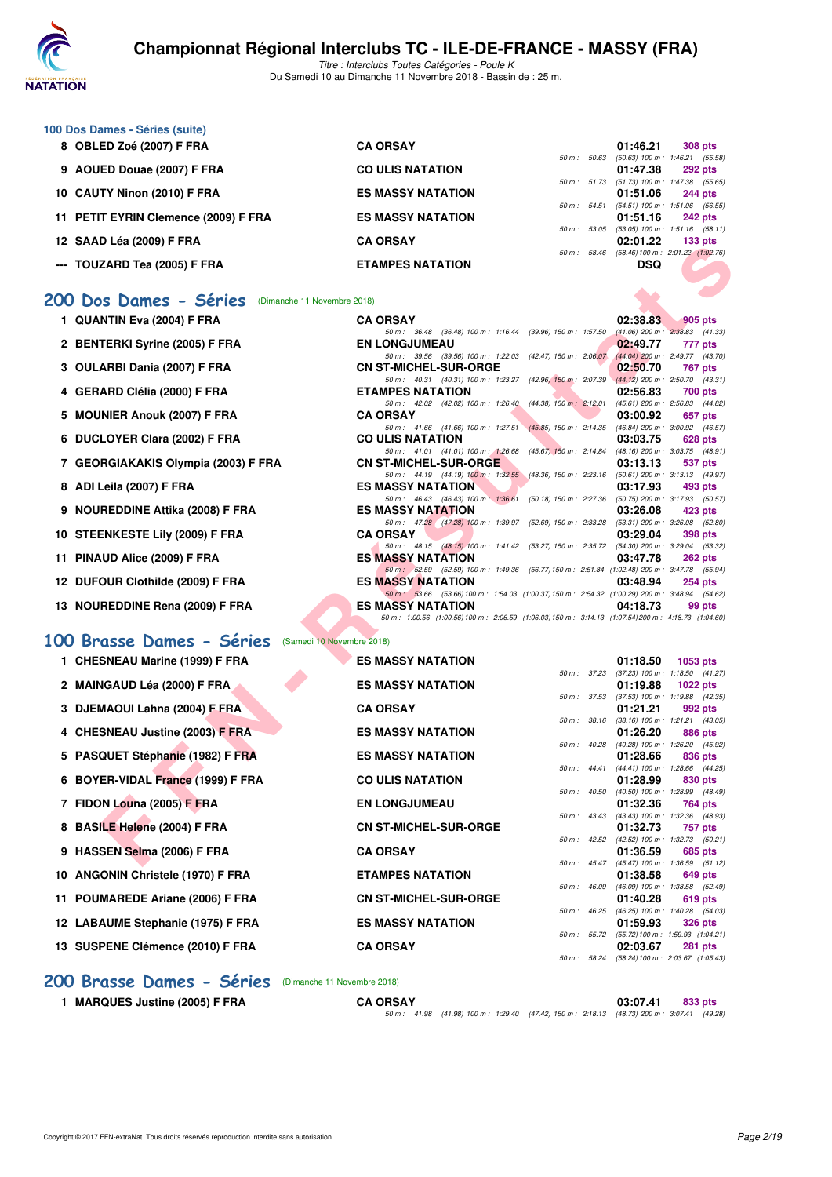

Titre : Interclubs Toutes Catégories - Poule K Du Samedi 10 au Dimanche 11 Novembre 2018 - Bassin de : 25 m.

| 100 Dos Dames - Séries (suite) |                                      |                          |  |                                             |                |
|--------------------------------|--------------------------------------|--------------------------|--|---------------------------------------------|----------------|
|                                | 8 OBLED Zoé (2007) F FRA             | <b>CA ORSAY</b>          |  | 01:46.21                                    | <b>308 pts</b> |
|                                |                                      |                          |  | 50 m: 50.63 (50.63) 100 m: 1:46.21 (55.58   |                |
|                                | 9 AOUED Douae (2007) F FRA           | <b>CO ULIS NATATION</b>  |  | 01:47.38                                    | 292 pts        |
|                                |                                      |                          |  | 50 m: 51.73 (51.73) 100 m: 1:47.38 (55.65   |                |
|                                | 10 CAUTY Ninon (2010) F FRA          | <b>ES MASSY NATATION</b> |  | 01:51.06                                    | 244 pts        |
|                                |                                      |                          |  | 50 m: 54.51 (54.51) 100 m: 1:51.06 (56.55   |                |
|                                | 11 PETIT EYRIN Clemence (2009) F FRA | <b>ES MASSY NATATION</b> |  | 01:51.16                                    | 242 pts        |
|                                |                                      |                          |  | 50 m: 53.05 (53.05) 100 m: 1:51.16 (58.11   |                |
| 12 SAAD Léa (2009) F FRA       |                                      | <b>CA ORSAY</b>          |  | 02:01.22                                    | $133$ pts      |
|                                |                                      |                          |  | 50 m: 58.46 (58.46) 100 m: 2:01.22 (1:02.76 |                |
|                                | --- TOUZARD Tea (2005) F FRA         | <b>ETAMPES NATATION</b>  |  | <b>DSQ</b>                                  |                |

### **[200 Dos Dames - Séries](http://www.ffnatation.fr/webffn/resultats.php?idact=nat&go=epr&idcpt=56509&idepr=13)** (Dimanche 11 Novembre 2018)

| IZ JAAD LEA (ZUUJ) F FRA                              | UA UNJA I                                                                                                                |                           |              | <b>94.UI.ZZ</b> | າ ວວ ນເຣ                                                           |
|-------------------------------------------------------|--------------------------------------------------------------------------------------------------------------------------|---------------------------|--------------|-----------------|--------------------------------------------------------------------|
| ---   TOUZARD Tea (2005) F FRA                        | <b>ETAMPES NATATION</b>                                                                                                  |                           | 50 m: 58.46  | DSQ             | $(58.46) 100 \text{ m}$ : 2:01.22 $(1.02.76)$                      |
| 00 Dos Dames - Séries<br>(Dimanche 11 Novembre 2018)  |                                                                                                                          |                           |              |                 |                                                                    |
| 1 QUANTIN Eva (2004) F FRA                            | <b>CA ORSAY</b>                                                                                                          |                           |              | 02:38.83        | 905 pts                                                            |
|                                                       | 50 m: 36.48 (36.48) 100 m: 1:16.44                                                                                       | (39.96) 150 m : 1:57.50   |              |                 | $(41.06)$ 200 m : 2:38.83 $(41.33)$                                |
| 2 BENTERKI Syrine (2005) F FRA                        | <b>EN LONGJUMEAU</b>                                                                                                     |                           |              | 02:49.77        | 777 pts                                                            |
| 3 OULARBI Dania (2007) F FRA                          | 50 m: 39.56 (39.56) 100 m: 1:22.03<br><b>CN ST-MICHEL-SUR-ORGE</b>                                                       | $(42.47)$ 150 m : 2:06.07 |              | 02:50.70        | $(44.04)$ 200 m : 2:49.77 $(43.70)$<br>767 pts                     |
|                                                       | 50 m: 40.31 (40.31) 100 m: 1:23.27                                                                                       |                           |              |                 | (42.96) 150 m : 2:07.39 (44.12) 200 m : 2:50.70 (43.31)            |
| 4 GERARD Clélia (2000) F FRA                          | <b>ETAMPES NATATION</b>                                                                                                  |                           |              | 02:56.83        | 700 pts                                                            |
|                                                       | 50 m: 42.02 (42.02) 100 m: 1:26.40                                                                                       | $(44.38)$ 150 m : 2:12.01 |              |                 | $(45.61)$ 200 m : 2:56.83 $(44.82)$                                |
| 5 MOUNIER Anouk (2007) F FRA                          | <b>CA ORSAY</b>                                                                                                          |                           |              | 03:00.92        | 657 pts                                                            |
|                                                       | 50 m: 41.66 (41.66) 100 m: 1:27.51                                                                                       |                           |              |                 | $(45.85)$ 150 m : 2:14.35 $(46.84)$ 200 m : 3:00.92 $(46.57)$      |
| 6 DUCLOYER Clara (2002) F FRA                         | <b>CO ULIS NATATION</b><br>50 m: 41.01 (41.01) 100 m: 1:26.68                                                            |                           |              | 03:03.75        | 628 pts<br>(45.67) 150 m : 2:14.84 (48.16) 200 m : 3:03.75 (48.91) |
| 7 GEORGIAKAKIS Olympia (2003) F FRA                   | <b>CN ST-MICHEL-SUR-ORGE</b>                                                                                             |                           |              | 03:13.13        | 537 pts                                                            |
|                                                       | 50 m: 44.19 (44.19) 100 m: 1:32.55                                                                                       | $(48.36)$ 150 m : 2:23.16 |              |                 | $(50.61)$ 200 m : 3:13.13 $(49.97)$                                |
| 8 ADI Leila (2007) F FRA                              | <b>ES MASSY NATATION</b>                                                                                                 |                           |              | 03:17.93        | 493 pts                                                            |
|                                                       | 50 m: 46.43 (46.43) 100 m: 1:36.61                                                                                       | $(50.18)$ 150 m : 2:27.36 |              |                 | (50.75) 200 m : 3:17.93 (50.57)                                    |
| 9 NOUREDDINE Attika (2008) F FRA                      | <b>ES MASSY NATATION</b><br>50 m: 47.28 (47.28) 100 m: 1:39.97                                                           | (52.69) 150 m : 2:33.28   |              | 03:26.08        | 423 pts<br>$(53.31)$ 200 m : $3:26.08$ $(52.80)$                   |
| 10 STEENKESTE Lily (2009) F FRA                       | <b>CA ORSAY</b>                                                                                                          |                           |              | 03:29.04        | 398 pts                                                            |
|                                                       | 50 m: 48.15 (48.15) 100 m: 1:41.42 (53.27) 150 m: 2:35.72 (54.30) 200 m: 3:29.04 (53.32)                                 |                           |              |                 |                                                                    |
| 11 PINAUD Alice (2009) F FRA                          | <b>ES MASSY NATATION</b>                                                                                                 |                           |              | 03:47.78        | <b>262 pts</b>                                                     |
|                                                       | 50 m: 52.59 (52.59) 100 m: 1:49.36 (56.77) 150 m: 2:51.84 (1:02.48) 200 m: 3:47.78 (55.94)                               |                           |              |                 |                                                                    |
| 12 DUFOUR Clothilde (2009) F FRA                      | <b>ES MASSY NATATION</b><br>50 m: 53.66 (53.66) 100 m: 1:54.03 (1:00.37) 150 m: 2:54.32 (1:00.29) 200 m: 3:48.94 (54.62) |                           |              | 03:48.94        | 254 pts                                                            |
| 13 NOUREDDINE Rena (2009) F FRA                       | <b>ES MASSY NATATION</b>                                                                                                 |                           |              | 04:18.73        | 99 pts                                                             |
|                                                       | 50 m: 1:00.56 (1:00.56) 100 m: 2:06.59 (1:06.03) 150 m: 3:14.13 (1:07.54) 200 m: 4:18.73 (1:04.60)                       |                           |              |                 |                                                                    |
|                                                       |                                                                                                                          |                           |              |                 |                                                                    |
| 00 Brasse Dames - Séries<br>(Samedi 10 Novembre 2018) |                                                                                                                          |                           |              |                 |                                                                    |
| 1 CHESNEAU Marine (1999) F FRA                        | <b>ES MASSY NATATION</b>                                                                                                 |                           |              | 01:18.50        | 1053 pts                                                           |
|                                                       |                                                                                                                          |                           | 50 m : 37.23 |                 | $(37.23)$ 100 m : 1:18.50 $(41.27)$                                |
| 2 MAINGAUD Léa (2000) F FRA                           | <b>ES MASSY NATATION</b>                                                                                                 |                           |              | 01:19.88        | <b>1022 pts</b>                                                    |
|                                                       |                                                                                                                          |                           |              |                 | 50 m: 37.53 (37.53) 100 m: 1:19.88 (42.35)                         |
| 3 DJEMAOUI Lahna (2004) F FRA                         | <b>CA ORSAY</b>                                                                                                          |                           |              | 01:21.21        | 992 pts<br>50 m: 38.16 (38.16) 100 m: 1:21.21 (43.05)              |
| 4 CHESNEAU Justine (2003) F FRA                       | <b>ES MASSY NATATION</b>                                                                                                 |                           |              | 01:26.20        | 886 pts                                                            |
|                                                       |                                                                                                                          |                           | 50 m : 40.28 |                 | (40.28) 100 m : 1:26.20 (45.92)                                    |
| 5 PASQUET Stéphanie (1982) F FRA                      | <b>ES MASSY NATATION</b>                                                                                                 |                           |              | 01:28.66        | 836 pts                                                            |
|                                                       |                                                                                                                          |                           |              |                 | 50 m: 44.41 (44.41) 100 m: 1:28.66 (44.25)                         |
| 6 BOYER-VIDAL France (1999) F FRA                     | <b>CO ULIS NATATION</b>                                                                                                  |                           |              | 01:28.99        | 830 pts                                                            |
| 7 FIDON Louna (2005) F FRA                            | <b>EN LONGJUMEAU</b>                                                                                                     |                           | 50 m: 40.50  | 01:32.36        | $(40.50)$ 100 m : 1:28.99 $(48.49)$<br>764 pts                     |
|                                                       |                                                                                                                          |                           |              |                 | 50 m: 43.43 (43.43) 100 m: 1:32.36 (48.93)                         |
| 8 BASILE Helene (2004) F FRA                          | <b>CN ST-MICHEL-SUR-ORGE</b>                                                                                             |                           |              | 01:32.73        | 757 pts                                                            |
|                                                       |                                                                                                                          |                           |              |                 | 50 m: 42.52 (42.52) 100 m: 1:32.73 (50.21)                         |
| 9 HASSEN Selma (2006) F FRA                           | <b>CA ORSAY</b>                                                                                                          |                           |              | 01:36.59        | 685 pts                                                            |
|                                                       |                                                                                                                          |                           |              |                 | 50 m: 45.47 (45.47) 100 m: 1:36.59 (51.12)                         |

#### **[100 Brasse Dames - Séries](http://www.ffnatation.fr/webffn/resultats.php?idact=nat&go=epr&idcpt=56509&idepr=22)** (Samedi 10 Novembre 2018)

| 1 CHESNEAU Marine (1999) F FRA    | <b>ES MASSY NATATION</b>     |              | 01:18.50                                        |          | 1053 $pts$     |
|-----------------------------------|------------------------------|--------------|-------------------------------------------------|----------|----------------|
|                                   |                              | 50 m: 37.23  | $(37.23)$ 100 m : 1:18.50 $(41.27)$             |          |                |
| 2 MAINGAUD Léa (2000) F FRA       | <b>ES MASSY NATATION</b>     |              | 01:19.88                                        | 1022 pts |                |
|                                   |                              | 50 m: 37.53  | $(37.53)$ 100 m : 1:19.88 $(42.35)$             |          |                |
| 3 DJEMAOUI Lahna (2004) F FRA     | <b>CA ORSAY</b>              |              | 01:21.21                                        |          | 992 pts        |
|                                   |                              | 50 m : 38.16 | $(38.16)$ 100 m : 1:21.21 $(43.05)$             |          |                |
| 4 CHESNEAU Justine (2003) F FRA   | <b>ES MASSY NATATION</b>     |              | 01:26.20                                        |          | 886 pts        |
|                                   |                              |              | 50 m: 40.28 (40.28) 100 m: 1:26.20 (45.92)      |          |                |
| 5 PASQUET Stéphanie (1982) F FRA  | <b>ES MASSY NATATION</b>     |              | 01:28.66                                        |          | 836 pts        |
|                                   | <b>CO ULIS NATATION</b>      |              | 50 m: 44.41 (44.41) 100 m: 1:28.66 (44.25)      |          |                |
| 6 BOYER-VIDAL France (1999) F FRA |                              | 50 m : 40.50 | 01:28.99<br>$(40.50)$ 100 m : 1:28.99 $(48.49)$ |          | 830 pts        |
| 7 FIDON Louna (2005) F FRA        | <b>EN LONGJUMEAU</b>         |              | 01:32.36                                        |          | 764 pts        |
|                                   |                              |              | 50 m: 43.43 (43.43) 100 m: 1:32.36 (48.93)      |          |                |
| 8 BASILE Helene (2004) F FRA      | <b>CN ST-MICHEL-SUR-ORGE</b> |              | 01:32.73                                        |          | 757 pts        |
|                                   |                              |              | 50 m: 42.52 (42.52) 100 m: 1:32.73 (50.21)      |          |                |
| 9 HASSEN Selma (2006) F FRA       | <b>CA ORSAY</b>              |              | 01:36.59                                        |          | 685 pts        |
|                                   |                              |              | 50 m: 45.47 (45.47) 100 m: 1:36.59 (51.12)      |          |                |
| 10 ANGONIN Christele (1970) F FRA | <b>ETAMPES NATATION</b>      |              | 01:38.58                                        |          | 649 pts        |
|                                   |                              | 50 m : 46.09 | (46.09) 100 m : 1:38.58 (52.49)                 |          |                |
| 11 POUMAREDE Ariane (2006) F FRA  | <b>CN ST-MICHEL-SUR-ORGE</b> |              | 01:40.28                                        |          | 619 pts        |
|                                   |                              | 50 m : 46.25 | $(46.25)$ 100 m : 1:40.28 $(54.03)$             |          |                |
| 12 LABAUME Stephanie (1975) F FRA | <b>ES MASSY NATATION</b>     |              | 01:59.93                                        |          | <b>326 pts</b> |
|                                   |                              |              | 50 m: 55.72 (55.72) 100 m: 1:59.93 (1:04.21)    |          |                |
| 13 SUSPENE Clémence (2010) F FRA  | <b>CA ORSAY</b>              |              | 02:03.67                                        |          | 281 pts        |
|                                   |                              |              | 50 m: 58.24 (58.24) 100 m: 2:03.67 (1:05.43)    |          |                |

**[200 Brasse Dames - Séries](http://www.ffnatation.fr/webffn/resultats.php?idact=nat&go=epr&idcpt=56509&idepr=23)** (Dimanche 11 Novembre 2018)

| <b>MARQUES Justine (2005) F FRA</b> | <b>CA ORSAY</b> |                                                                                             | 03:07.41 | 833 pts |
|-------------------------------------|-----------------|---------------------------------------------------------------------------------------------|----------|---------|
|                                     |                 | 50 m : 41.98 (41.98) 100 m : 1:29.40 (47.42) 150 m : 2:18.13 (48.73) 200 m : 3:07.41 (49.28 |          |         |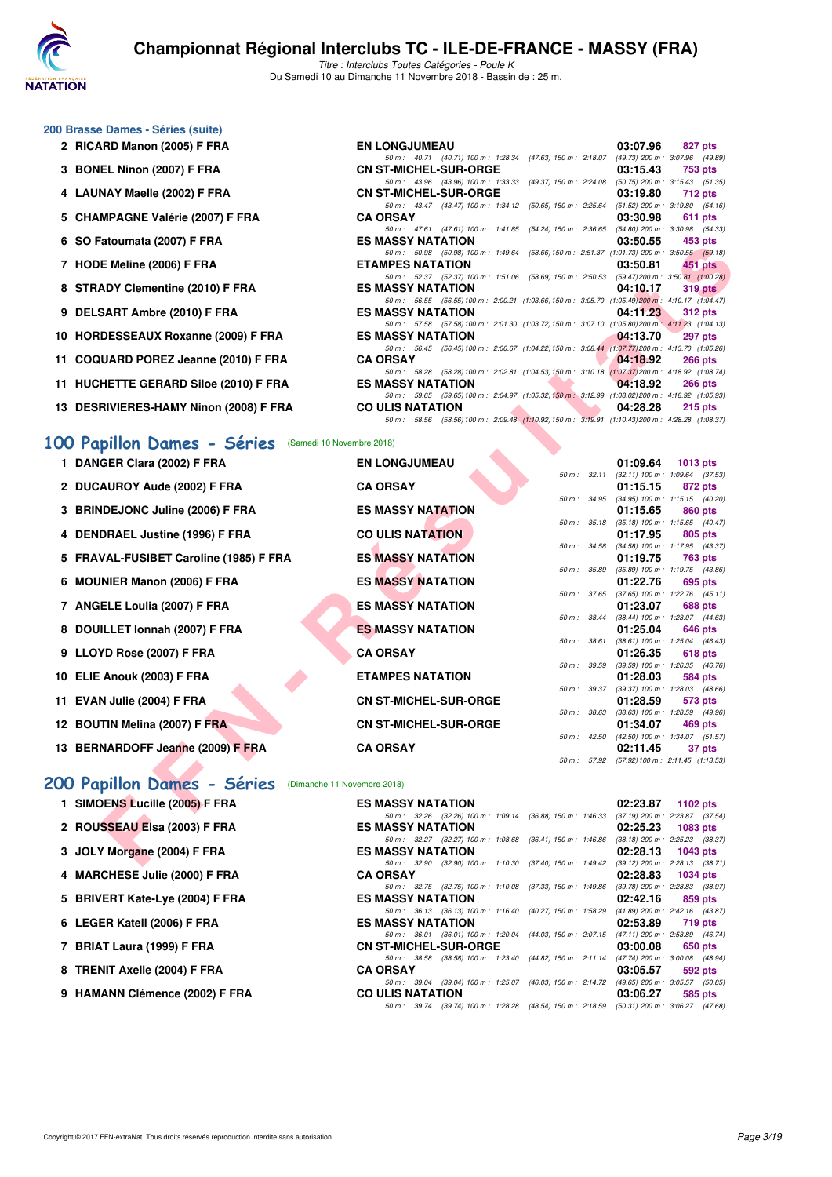

Titre : Interclubs Toutes Catégories - Poule K Du Samedi 10 au Dimanche 11 Novembre 2018 - Bassin de : 25 m.

**6 SO Fatoumata (2007) F FRA ES MASSY NATATION 03:50.55 453 pts**

50 m : 40.71 (40.71) 100 m : 1:28.34 (47.63) 150 m : 2:18.07 (49.73) 200 m : 3:07.96 (49.89)

50 m: 43.96 (43.96) 100 m: 1:33.33 (49.37) 150 m: 2:24.08 (50.75) 200 m: 3:15.43 (51.35)<br> **CN ST-MICHEL-SUR-ORGE** 03:19.80 712 pts

50 m: 43.47 (43.47) 100 m: 1:34.12 (50.65) 150 m: 2:25.64 (51.52) 200 m: 3:19.80 (54.16)<br>**CA ORSAY** 03:30.98 611 pts

50 m: 47.61 (47.61) 100 m: 1:41.85 (54.24) 150 m: 2:36.65 (54.80) 200 m: 3:30.98 (54.33)<br>ES MASSY NATATION 03:50.55 453 pts

#### **200 Brasse Dames - Séries (suite)**

- **2 RICARD Manon (2005) F FRA EN LONGJUMEAU 03:07.96 827 pts**
- **3 BONEL Ninon (2007) F FRA CN ST-MICHEL-SUR-ORGE 03:15.43 753 pts**
- **4 LAUNAY Maelle (2002) F FRA CN ST-MICHEL-SUR-ORGE 03:19.80 712 pts**
- **5 CHAMPAGNE Valérie (2007) F FRA CA ORSAY 03:30.98 611 pts**
- **7 HODE Meline (2006) F FRA ETAMPES NATATION 03:50.81 451 pts**
- 50 m : 52.37 (52.37) 100 m : 1:51.06 (58.69) 150 m : 2:50.53 (59.47)200 m : 3:50.81 (1:00.28) **8 STRADY Clementine (2010) F FRA ES MASSY NATATION 04:10.17 319 pts**
- **9 DELSART Ambre (2010) F FRA ES MASSY NATATION 04:11.23 312 pts**
- 50 m : 57.58 (57.58)100 m : 2:01.30 (1:03.72)150 m : 3:07.10 (1:05.80)200 m : 4:11.23 (1:04.13) **10 HORDESSEAUX Roxanne (2009) F FRA ES MASSY NATATION 04:13.70 297 pts**
- **11 COQUARD POREZ Jeanne (2010) F FRA CA ORSAY 04:18.92 266 pts**
- **11 HUCHETTE GERARD Siloe (2010) F FRA ES MASSY NATATION 04:18.92 266 pts**
- **13 DESRIVIERES-HAMY Ninon (2008) F FRA CO ULIS NATATION 04:28.28 215 pts**

#### **[100 Papillon Dames - Séries](http://www.ffnatation.fr/webffn/resultats.php?idact=nat&go=epr&idcpt=56509&idepr=32)** (Samedi 10 Novembre 2018)

| $\sigma$ 30 Faluulilala (2007) F FRA                                                | EJ MAJJI NATATIVN        |                              |  |              | 03.30.33 | ະນວ ນເວ                                                                                                   |
|-------------------------------------------------------------------------------------|--------------------------|------------------------------|--|--------------|----------|-----------------------------------------------------------------------------------------------------------|
| 7 HODE Meline (2006) F FRA                                                          | <b>ETAMPES NATATION</b>  |                              |  |              | 03:50.81 | 50 m: 50.98 (50.98) 100 m: 1:49.64 (58.66) 150 m: 2:51.37 (1:01.73) 200 m: 3:50.55 (59.18)<br>451 pts     |
|                                                                                     |                          |                              |  |              |          | 50 m: 52.37 (52.37) 100 m: 1:51.06 (58.69) 150 m: 2:50.53 (59.47) 200 m: 3:50.81 (1:00.28)                |
| 8 STRADY Clementine (2010) F FRA                                                    | <b>ES MASSY NATATION</b> |                              |  |              | 04:10.17 | $319$ pts                                                                                                 |
| 9 DELSART Ambre (2010) F FRA                                                        | <b>ES MASSY NATATION</b> |                              |  |              | 04:11.23 | 50 m: 56.55 (56.55) 100 m: 2:00.21 (1:03.66) 150 m: 3:05.70 (1:05.49) 200 m: 4:10.17 (1:04.47)<br>312 pts |
|                                                                                     |                          |                              |  |              |          | 50 m: 57.58 (57.58) 100 m: 2:01.30 (1:03.72) 150 m: 3:07.10 (1:05.80) 200 m: 4:11.23 (1:04.13)            |
| 10 HORDESSEAUX Roxanne (2009) F FRA                                                 | <b>ES MASSY NATATION</b> |                              |  |              | 04:13.70 | 297 pts                                                                                                   |
|                                                                                     |                          |                              |  |              |          | 50 m: 56.45 (56.45) 100 m: 2:00.67 (1:04.22) 150 m: 3:08.44 (1:07.77) 200 m: 4:13.70 (1:05.26)            |
| 11 COQUARD POREZ Jeanne (2010) F FRA                                                | <b>CA ORSAY</b>          |                              |  |              | 04:18.92 | <b>266 pts</b>                                                                                            |
|                                                                                     |                          |                              |  |              |          | 50 m: 58.28 (58.28) 100 m: 2:02.81 (1:04.53) 150 m: 3:10.18 (1:07.37) 200 m: 4:18.92 (1:08.74)            |
| 11 HUCHETTE GERARD Siloe (2010) F FRA                                               | <b>ES MASSY NATATION</b> |                              |  |              | 04:18.92 | <b>266 pts</b>                                                                                            |
| 13 DESRIVIERES-HAMY Ninon (2008) F FRA                                              | <b>CO ULIS NATATION</b>  |                              |  |              | 04:28.28 | 50 m: 59.65 (59.65) 100 m: 2:04.97 (1:05.32) 150 m: 3:12.99 (1:08.02) 200 m: 4:18.92 (1:05.93)            |
|                                                                                     |                          |                              |  |              |          | 215 pts<br>50 m: 58.56 (58.56) 100 m: 2:09.48 (1:10.92) 150 m: 3:19.91 (1:10.43) 200 m: 4:28.28 (1:08.37) |
| 00 Papillon Dames - Séries (Samedi 10 Novembre 2018)<br>1 DANGER Clara (2002) F FRA | <b>EN LONGJUMEAU</b>     |                              |  | 50 m: 32.11  | 01:09.64 | $1013$ pts<br>$(32.11)$ 100 m : 1:09.64 $(37.53)$                                                         |
| 2 DUCAUROY Aude (2002) F FRA                                                        | <b>CA ORSAY</b>          |                              |  |              | 01:15.15 | 872 pts                                                                                                   |
|                                                                                     |                          |                              |  |              |          | 50 m: 34.95 (34.95) 100 m: 1:15.15 (40.20)                                                                |
| 3 BRINDEJONC Juline (2006) F FRA                                                    | <b>ES MASSY NATATION</b> |                              |  |              | 01:15.65 | 860 pts                                                                                                   |
| 4 DENDRAEL Justine (1996) F FRA                                                     | <b>CO ULIS NATATION</b>  |                              |  |              | 01:17.95 | 50 m: 35.18 (35.18) 100 m: 1:15.65 (40.47)<br>805 pts                                                     |
|                                                                                     |                          |                              |  |              |          | 50 m: 34.58 (34.58) 100 m: 1:17.95 (43.37)                                                                |
| 5 FRAVAL-FUSIBET Caroline (1985) F FRA                                              | <b>ES MASSY NATATION</b> |                              |  |              | 01:19.75 | 763 pts                                                                                                   |
|                                                                                     |                          |                              |  | 50 m : 35.89 |          | $(35.89)$ 100 m : 1:19.75 $(43.86)$                                                                       |
| 6 MOUNIER Manon (2006) F FRA                                                        | <b>ES MASSY NATATION</b> |                              |  |              | 01:22.76 | 695 pts                                                                                                   |
|                                                                                     |                          |                              |  |              |          | 50 m: 37.65 (37.65) 100 m: 1:22.76 (45.11)                                                                |
| 7 ANGELE Loulia (2007) F FRA                                                        | <b>ES MASSY NATATION</b> |                              |  |              | 01:23.07 | 688 pts<br>50 m: 38.44 (38.44) 100 m: 1:23.07 (44.63)                                                     |
| 8 DOUILLET Ionnah (2007) F FRA                                                      | <b>ES MASSY NATATION</b> |                              |  |              | 01:25.04 | 646 pts                                                                                                   |
|                                                                                     |                          |                              |  | 50 m : 38.61 |          | $(38.61)$ 100 m : 1:25.04 $(46.43)$                                                                       |
| 9 LLOYD Rose (2007) F FRA                                                           | <b>CA ORSAY</b>          |                              |  |              | 01:26.35 | 618 pts                                                                                                   |
|                                                                                     |                          |                              |  | 50 m : 39.59 |          | $(39.59)$ 100 m : 1:26.35 $(46.76)$                                                                       |
| 10 ELIE Anouk (2003) F FRA                                                          | <b>ETAMPES NATATION</b>  |                              |  |              | 01:28.03 | 584 pts                                                                                                   |
|                                                                                     |                          |                              |  | 50 m : 39.37 |          | $(39.37)$ 100 m : 1:28.03 $(48.66)$                                                                       |
| 11 EVAN Julie (2004) F FRA                                                          |                          | <b>CN ST-MICHEL-SUR-ORGE</b> |  |              | 01:28.59 | 573 pts<br>50 m: 38.63 (38.63) 100 m: 1:28.59 (49.96)                                                     |
| 12 BOUTIN Melina (2007) F FRA                                                       |                          | <b>CN ST-MICHEL-SUR-ORGE</b> |  |              | 01:34.07 | 469 pts                                                                                                   |
|                                                                                     |                          |                              |  |              |          | 50 m: 42.50 (42.50) 100 m: 1:34.07 (51.57)                                                                |
| 13 BERNARDOFF Jeanne (2009) F FRA                                                   | <b>CA ORSAY</b>          |                              |  |              | 02:11.45 | 37 pts                                                                                                    |
|                                                                                     |                          |                              |  |              |          | 50 m: 57.92 (57.92) 100 m: 2:11.45 (1:13.53)                                                              |
| 00 Papillon Dames - Séries (Dimanche 11 Novembre 2018)                              |                          |                              |  |              |          |                                                                                                           |
| 1 SIMOENS Lucille (2005) F FRA                                                      | <b>ES MASSY NATATION</b> |                              |  |              | 02:23.87 | 1102 pts                                                                                                  |
|                                                                                     |                          |                              |  |              |          | 50 m: 32.26 (32.26) 100 m: 1:09.14 (36.88) 150 m: 1:46.33 (37.19) 200 m: 2:23.87 (37.54)                  |
| 2 ROUSSEAU Elsa (2003) F FRA                                                        | <b>ES MASSY NATATION</b> |                              |  |              | 02:25.23 | 1083 pts                                                                                                  |
| 3 JOLY Morgane (2004) F FRA                                                         | <b>ES MASSY NATATION</b> |                              |  |              | 02:28.13 | 50 m: 32.27 (32.27) 100 m: 1:08.68 (36.41) 150 m: 1:46.86 (38.18) 200 m: 2:25.23 (38.37)<br>1043 pts      |
|                                                                                     |                          |                              |  |              |          | 50 m: 32.90 (32.90) 100 m: 1:10.30 (37.40) 150 m: 1:49.42 (39.12) 200 m: 2:28.13 (38.71)                  |
|                                                                                     |                          |                              |  |              |          |                                                                                                           |

# **[200 Papillon Dames - Séries](http://www.ffnatation.fr/webffn/resultats.php?idact=nat&go=epr&idcpt=56509&idepr=33)** (Dimanche 11 Novembre 2018)

| <b>ES MASSY NATATION</b>                                                                                                                                                                                                                                                                         | $02:23.87$ 1102 pts                                                                                                                                                                                                                                                                                                                                                                                                                                                                                                                                                                                                                                                                                                                                                                                                                                                                                                                                      |
|--------------------------------------------------------------------------------------------------------------------------------------------------------------------------------------------------------------------------------------------------------------------------------------------------|----------------------------------------------------------------------------------------------------------------------------------------------------------------------------------------------------------------------------------------------------------------------------------------------------------------------------------------------------------------------------------------------------------------------------------------------------------------------------------------------------------------------------------------------------------------------------------------------------------------------------------------------------------------------------------------------------------------------------------------------------------------------------------------------------------------------------------------------------------------------------------------------------------------------------------------------------------|
|                                                                                                                                                                                                                                                                                                  |                                                                                                                                                                                                                                                                                                                                                                                                                                                                                                                                                                                                                                                                                                                                                                                                                                                                                                                                                          |
| ES MASSY NATATION                                                                                                                                                                                                                                                                                | 1083 pts                                                                                                                                                                                                                                                                                                                                                                                                                                                                                                                                                                                                                                                                                                                                                                                                                                                                                                                                                 |
|                                                                                                                                                                                                                                                                                                  |                                                                                                                                                                                                                                                                                                                                                                                                                                                                                                                                                                                                                                                                                                                                                                                                                                                                                                                                                          |
| <b>ES MASSY NATATION</b>                                                                                                                                                                                                                                                                         | 1043 pts                                                                                                                                                                                                                                                                                                                                                                                                                                                                                                                                                                                                                                                                                                                                                                                                                                                                                                                                                 |
|                                                                                                                                                                                                                                                                                                  |                                                                                                                                                                                                                                                                                                                                                                                                                                                                                                                                                                                                                                                                                                                                                                                                                                                                                                                                                          |
| <b>CA ORSAY</b>                                                                                                                                                                                                                                                                                  | 1034 pts                                                                                                                                                                                                                                                                                                                                                                                                                                                                                                                                                                                                                                                                                                                                                                                                                                                                                                                                                 |
|                                                                                                                                                                                                                                                                                                  |                                                                                                                                                                                                                                                                                                                                                                                                                                                                                                                                                                                                                                                                                                                                                                                                                                                                                                                                                          |
| <b>ES MASSY NATATION</b>                                                                                                                                                                                                                                                                         | 859 pts                                                                                                                                                                                                                                                                                                                                                                                                                                                                                                                                                                                                                                                                                                                                                                                                                                                                                                                                                  |
|                                                                                                                                                                                                                                                                                                  |                                                                                                                                                                                                                                                                                                                                                                                                                                                                                                                                                                                                                                                                                                                                                                                                                                                                                                                                                          |
| ES MASSY NATATION                                                                                                                                                                                                                                                                                | 719 pts                                                                                                                                                                                                                                                                                                                                                                                                                                                                                                                                                                                                                                                                                                                                                                                                                                                                                                                                                  |
|                                                                                                                                                                                                                                                                                                  |                                                                                                                                                                                                                                                                                                                                                                                                                                                                                                                                                                                                                                                                                                                                                                                                                                                                                                                                                          |
| CN ST-MICHEL-SUR-ORGE                                                                                                                                                                                                                                                                            | 650 pts                                                                                                                                                                                                                                                                                                                                                                                                                                                                                                                                                                                                                                                                                                                                                                                                                                                                                                                                                  |
|                                                                                                                                                                                                                                                                                                  |                                                                                                                                                                                                                                                                                                                                                                                                                                                                                                                                                                                                                                                                                                                                                                                                                                                                                                                                                          |
| <b>CA ORSAY</b>                                                                                                                                                                                                                                                                                  | 592 pts                                                                                                                                                                                                                                                                                                                                                                                                                                                                                                                                                                                                                                                                                                                                                                                                                                                                                                                                                  |
|                                                                                                                                                                                                                                                                                                  |                                                                                                                                                                                                                                                                                                                                                                                                                                                                                                                                                                                                                                                                                                                                                                                                                                                                                                                                                          |
| <b>CO ULIS NATATION</b>                                                                                                                                                                                                                                                                          | 585 pts                                                                                                                                                                                                                                                                                                                                                                                                                                                                                                                                                                                                                                                                                                                                                                                                                                                                                                                                                  |
|                                                                                                                                                                                                                                                                                                  |                                                                                                                                                                                                                                                                                                                                                                                                                                                                                                                                                                                                                                                                                                                                                                                                                                                                                                                                                          |
| 1 SIMOENS Lucille (2005) F FRA<br>2 ROUSSEAU Elsa (2003) F FRA<br>3 JOLY Morgane (2004) F FRA<br>4 MARCHESE Julie (2000) F FRA<br>5 BRIVERT Kate-Lye (2004) F FRA<br>6 LEGER Katell (2006) F FRA<br>7 BRIAT Laura (1999) F FRA<br>8 TRENIT Axelle (2004) F FRA<br>9 HAMANN Clémence (2002) F FRA | 50 m: 32.26 (32.26) 100 m: 1:09.14 (36.88) 150 m: 1:46.33 (37.19) 200 m: 2:23.87 (37.54)<br>02:25.23<br>50 m: 32.27 (32.27) 100 m: 1:08.68 (36.41) 150 m: 1:46.86 (38.18) 200 m: 2:25.23 (38.37)<br>02:28.13<br>50 m: 32.90 (32.90) 100 m: 1:10.30 (37.40) 150 m: 1:49.42 (39.12) 200 m: 2:28.13 (38.71)<br>02:28.83<br>50 m: 32.75 (32.75) 100 m: 1:10.08 (37.33) 150 m: 1:49.86 (39.78) 200 m: 2:28.83 (38.97)<br>02:42.16<br>50 m: 36.13 (36.13) 100 m: 1:16.40 (40.27) 150 m: 1:58.29 (41.89) 200 m: 2:42.16 (43.87)<br>02:53.89<br>50 m: 36.01 (36.01) 100 m: 1:20.04 (44.03) 150 m: 2:07.15 (47.11) 200 m: 2:53.89 (46.74)<br>03:00.08<br>50 m: 38.58 (38.58) 100 m: 1:23.40 (44.82) 150 m: 2:11.14 (47.74) 200 m: 3:00.08 (48.94)<br>03:05.57<br>50 m: 39.04 (39.04) 100 m: 1:25.07 (46.03) 150 m: 2:14.72 (49.65) 200 m: 3:05.57 (50.85)<br>03:06.27<br>50 m: 39.74 (39.74) 100 m: 1:28.28 (48.54) 150 m: 2:18.59 (50.31) 200 m: 3:06.27 (47.68) |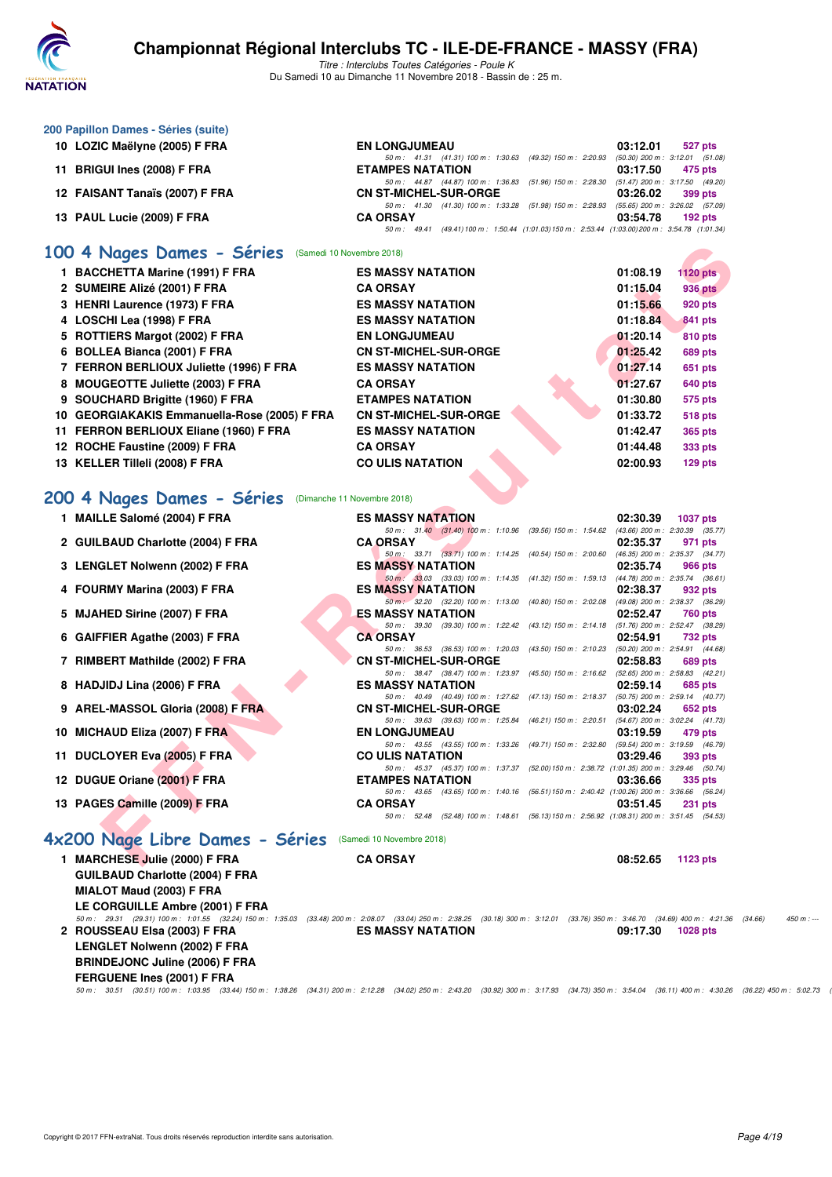

| 200 Papillon Dames - Séries (suite)                    |                                                                                                                                                                                                     |                             |
|--------------------------------------------------------|-----------------------------------------------------------------------------------------------------------------------------------------------------------------------------------------------------|-----------------------------|
| 10 LOZIC Maëlyne (2005) F FRA                          | <b>EN LONGJUMEAU</b>                                                                                                                                                                                | 03:12.01<br>527 pts         |
|                                                        | 50 m: 41.31 (41.31) 100 m: 1:30.63 (49.32) 150 m: 2:20.93 (50.30) 200 m: 3:12.01 (51.08)                                                                                                            |                             |
| 11 BRIGUI Ines (2008) F FRA                            | <b>ETAMPES NATATION</b><br>50 m: 44.87 (44.87) 100 m: 1:36.83 (51.96) 150 m: 2:28.30 (51.47) 200 m: 3:17.50 (49.20)                                                                                 | 03:17.50<br>475 pts         |
| 12 FAISANT Tanaïs (2007) F FRA                         | <b>CN ST-MICHEL-SUR-ORGE</b>                                                                                                                                                                        | 03:26.02<br>399 pts         |
|                                                        | 50 m: 41.30 (41.30) 100 m: 1:33.28 (51.98) 150 m: 2:28.93 (55.65) 200 m: 3:26.02 (57.09)                                                                                                            |                             |
| 13 PAUL Lucie (2009) F FRA                             | <b>CA ORSAY</b><br>50 m: 49.41 (49.41) 100 m: 1:50.44 (1:01.03) 150 m: 2:53.44 (1:03.00) 200 m: 3:54.78 (1:01.34)                                                                                   | 03:54.78<br>$192$ pts       |
|                                                        |                                                                                                                                                                                                     |                             |
| 100 4 Nages Dames - Séries (Samedi 10 Novembre 2018)   |                                                                                                                                                                                                     |                             |
| 1 BACCHETTA Marine (1991) F FRA                        | <b>ES MASSY NATATION</b>                                                                                                                                                                            | 01:08.19<br><b>1120 pts</b> |
| 2 SUMEIRE Alizé (2001) F FRA                           | <b>CA ORSAY</b>                                                                                                                                                                                     | 01:15.04<br><b>936 pts</b>  |
| 3 HENRI Laurence (1973) F FRA                          | <b>ES MASSY NATATION</b>                                                                                                                                                                            | 01:15.66<br>920 pts         |
| 4 LOSCHI Lea (1998) F FRA                              | <b>ES MASSY NATATION</b>                                                                                                                                                                            | 01:18.84<br>841 pts         |
| 5 ROTTIERS Margot (2002) F FRA                         | <b>EN LONGJUMEAU</b>                                                                                                                                                                                | 01:20.14<br>810 pts         |
| 6 BOLLEA Bianca (2001) F FRA                           | <b>CN ST-MICHEL-SUR-ORGE</b>                                                                                                                                                                        | 01:25.42<br>689 pts         |
| 7 FERRON BERLIOUX Juliette (1996) F FRA                | <b>ES MASSY NATATION</b>                                                                                                                                                                            | 01:27.14<br>651 pts         |
| 8 MOUGEOTTE Juliette (2003) F FRA                      | <b>CA ORSAY</b>                                                                                                                                                                                     | 01:27.67<br>640 pts         |
| 9 SOUCHARD Brigitte (1960) F FRA                       | <b>ETAMPES NATATION</b>                                                                                                                                                                             | 01:30.80<br>575 pts         |
| 10 GEORGIAKAKIS Emmanuella-Rose (2005) F FRA           | <b>CN ST-MICHEL-SUR-ORGE</b>                                                                                                                                                                        | 01:33.72<br><b>518 pts</b>  |
| 11 FERRON BERLIOUX Eliane (1960) F FRA                 | <b>ES MASSY NATATION</b>                                                                                                                                                                            | 01:42.47<br><b>365 pts</b>  |
| 12 ROCHE Faustine (2009) F FRA                         | <b>CA ORSAY</b>                                                                                                                                                                                     | 01:44.48<br><b>333 pts</b>  |
| 13 KELLER Tilleli (2008) F FRA                         | <b>CO ULIS NATATION</b>                                                                                                                                                                             | 02:00.93<br>$129$ pts       |
|                                                        |                                                                                                                                                                                                     |                             |
|                                                        |                                                                                                                                                                                                     |                             |
| 200 4 Nages Dames - Séries (Dimanche 11 Novembre 2018) |                                                                                                                                                                                                     |                             |
| 1 MAILLE Salomé (2004) F FRA                           | <b>ES MASSY NATATION</b>                                                                                                                                                                            | 02:30.39<br><b>1037 pts</b> |
| 2 GUILBAUD Charlotte (2004) F FRA                      | 50 m: 31.40 (31.40) 100 m: 1:10.96 (39.56) 150 m: 1:54.62 (43.66) 200 m: 2:30.39 (35.77)<br><b>CA ORSAY</b>                                                                                         | 02:35.37<br>971 pts         |
|                                                        | 50 m: 33.71 (33.71) 100 m: 1:14.25 (40.54) 150 m: 2:00.60 (46.35) 200 m: 2:35.37 (34.77)                                                                                                            |                             |
| 3 LENGLET Nolwenn (2002) F FRA                         | <b>ES MASSY NATATION</b>                                                                                                                                                                            | 02:35.74<br>966 pts         |
| 4 FOURMY Marina (2003) F FRA                           | 50 m : 33.03 (33.03) 100 m : 1:14.35 (41.32) 150 m : 1:59.13 (44.78) 200 m : 2:35.74 (36.61)<br><b>ES MASSY NATATION</b>                                                                            | 02:38.37<br>932 pts         |
|                                                        | 50 m : 32.20 (32.20) 100 m : 1:13.00 (40.80) 150 m : 2:02.08 (49.08) 200 m : 2:38.37 (36.29)                                                                                                        |                             |
| 5 MJAHED Sirine (2007) F FRA                           | <b>ES MASSY NATATION</b>                                                                                                                                                                            | 02:52.47<br>760 pts         |
|                                                        | 50 m: 39.30 (39.30) 100 m: 1:22.42 (43.12) 150 m: 2:14.18 (51.76) 200 m: 2:52.47 (38.29)<br><b>CA ORSAY</b>                                                                                         |                             |
| 6 GAIFFIER Agathe (2003) F FRA                         | 50 m: 36.53 (36.53) 100 m: 1:20.03 (43.50) 150 m: 2:10.23 (50.20) 200 m: 2:54.91 (44.68)                                                                                                            | 02:54.91<br>732 pts         |
| 7 RIMBERT Mathilde (2002) F FRA                        | <b>CN ST-MICHEL-SUR-ORGE</b>                                                                                                                                                                        | 02:58.83<br><b>689 pts</b>  |
|                                                        | 50 m: 38.47 (38.47) 100 m: 1:23.97 (45.50) 150 m: 2:16.62 (52.65) 200 m: 2:58.83 (42.21)                                                                                                            |                             |
| 8 HADJIDJ Lina (2006) F FRA                            | <b>ES MASSY NATATION</b><br>50 m: 40.49 (40.49) 100 m: 1:27.62 (47.13) 150 m: 2:18.37 (50.75) 200 m: 2:59.14 (40.77)                                                                                | 02:59.14<br>685 pts         |
| 9 AREL-MASSOL Gloria (2008) F FRA                      | <b>CN ST-MICHEL-SUR-ORGE</b>                                                                                                                                                                        | 03:02.24<br>652 pts         |
|                                                        | 50 m: 39.63 (39.63) 100 m: 1:25.84 (46.21) 150 m: 2:20.51 (54.67) 200 m: 3:02.24 (41.73)                                                                                                            |                             |
| 10 MICHAUD Eliza (2007) F FRA                          | <b>EN LONGJUMEAU</b><br>50 m: 43.55 (43.55) 100 m: 1:33.26 (49.71) 150 m: 2:32.80 (59.54) 200 m: 3:19.59 (46.79)                                                                                    | 03:19.59<br>479 pts         |
| 11 DUCLOYER Eva (2005) F FRA                           | <b>CO ULIS NATATION</b>                                                                                                                                                                             | 03:29.46<br>393 pts         |
|                                                        | 50 m: 45.37 (45.37) 100 m: 1:37.37 (52.00) 150 m: 2:38.72 (1:01.35) 200 m: 3:29.46 (50.74)                                                                                                          |                             |
| 12 DUGUE Oriane (2001) F FRA                           | <b>ETAMPES NATATION</b><br>50 m: 43.65 (43.65) 100 m: 1:40.16 (56.51) 150 m: 2:40.42 (1:00.26) 200 m: 3:36.66 (56.24)                                                                               | 03:36.66<br>335 pts         |
| 13 PAGES Camille (2009) F FRA                          | <b>CA ORSAY</b>                                                                                                                                                                                     | 03:51.45<br><b>231 pts</b>  |
|                                                        | 50 m: 52.48 (52.48) 100 m: 1:48.61 (56.13) 150 m: 2:56.92 (1:08.31) 200 m: 3:51.45 (54.53)                                                                                                          |                             |
| 4x200 Nage Libre Dames - Séries                        | (Samedi 10 Novembre 2018)                                                                                                                                                                           |                             |
|                                                        |                                                                                                                                                                                                     |                             |
| 1 MARCHESE Julie (2000) F FRA                          | <b>CA ORSAY</b>                                                                                                                                                                                     | 08:52.65<br>1123 pts        |
| <b>GUILBAUD Charlotte (2004) F FRA</b>                 |                                                                                                                                                                                                     |                             |
| MIALOT Maud (2003) F FRA                               |                                                                                                                                                                                                     |                             |
| LE CORGUILLE Ambre (2001) F FRA                        | 50 m: 29.31 (29.31) 100 m: 1:01.55 (32.24) 150 m: 1:35.03 (33.48) 200 m: 2:08.07 (33.04) 250 m: 2:38.25 (30.18) 300 m: 3:12.01 (33.76) 350 m: 3:46.70 (34.69) 400 m: 4:21.36 (34.66)                | $450 m : -$                 |
| 2 ROUSSEAU Elsa (2003) F FRA                           | <b>ES MASSY NATATION</b>                                                                                                                                                                            | 09:17.30<br>1028 pts        |
| LENGLET Nolwenn (2002) F FRA                           |                                                                                                                                                                                                     |                             |
| <b>BRINDEJONC Juline (2006) F FRA</b>                  |                                                                                                                                                                                                     |                             |
| FERGUENE Ines (2001) F FRA                             |                                                                                                                                                                                                     |                             |
|                                                        | 50 m: 30.51 (30.51) 100 m: 1:03.95 (33.44) 150 m: 1:38.26 (34.31) 200 m: 2:12.28 (34.02) 250 m: 2:43.20 (30.92) 300 m: 3:17.93 (34.73) 350 m: 3:54.04 (36.11) 400 m: 4:30.26 (36.22) 450 m: 5:02.73 |                             |
|                                                        |                                                                                                                                                                                                     |                             |
|                                                        |                                                                                                                                                                                                     |                             |
|                                                        |                                                                                                                                                                                                     |                             |
|                                                        |                                                                                                                                                                                                     |                             |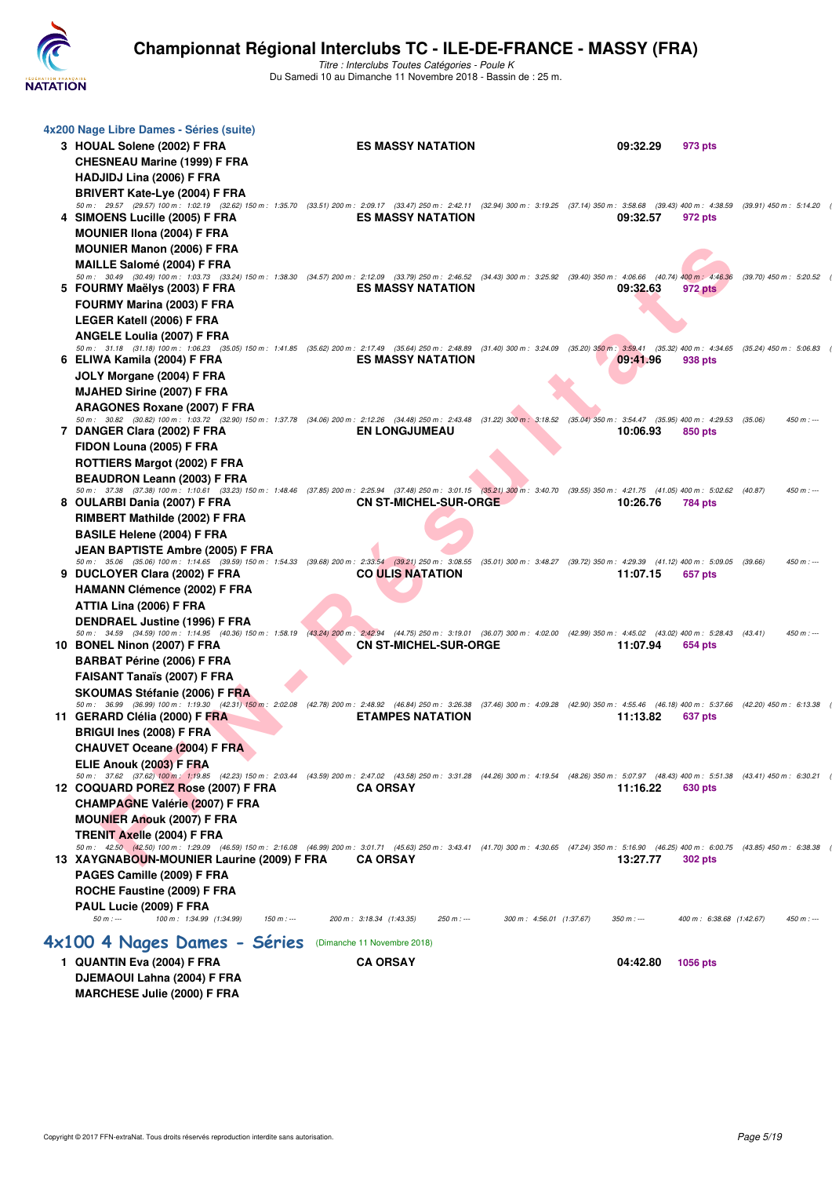

|   | 4x200 Nage Libre Dames - Séries (suite)                                                                                                                                                                                              |                                                                     |                                         |                         |
|---|--------------------------------------------------------------------------------------------------------------------------------------------------------------------------------------------------------------------------------------|---------------------------------------------------------------------|-----------------------------------------|-------------------------|
|   | 3 HOUAL Solene (2002) F FRA                                                                                                                                                                                                          | <b>ES MASSY NATATION</b>                                            | 09:32.29<br>973 pts                     |                         |
|   | <b>CHESNEAU Marine (1999) F FRA</b>                                                                                                                                                                                                  |                                                                     |                                         |                         |
|   | HADJIDJ Lina (2006) F FRA                                                                                                                                                                                                            |                                                                     |                                         |                         |
|   | BRIVERT Kate-Lye (2004) F FRA                                                                                                                                                                                                        |                                                                     |                                         |                         |
|   | 50 m: 29.57 (29.57) 100 m: 1:02.19 (32.62) 150 m: 1:35.70 (33.51) 200 m: 2:09.17 (33.47) 250 m: 2:42.11 (32.94) 300 m: 3:19.25 (37.14) 350 m: 3:58.68 (39.43) 400 m: 4:38.59                                                         |                                                                     |                                         | (39.91) 450 m : 5:14.20 |
| 4 | SIMOENS Lucille (2005) F FRA                                                                                                                                                                                                         | <b>ES MASSY NATATION</b>                                            | 09:32.57<br>972 pts                     |                         |
|   | <b>MOUNIER IIona (2004) F FRA</b>                                                                                                                                                                                                    |                                                                     |                                         |                         |
|   | <b>MOUNIER Manon (2006) F FRA</b>                                                                                                                                                                                                    |                                                                     |                                         |                         |
|   | <b>MAILLE Salomé (2004) F FRA</b>                                                                                                                                                                                                    |                                                                     |                                         |                         |
|   | 50 m : 30.49 (30.49) 100 m : 1:03.73 (33.24) 150 m : 1:38.30 (34.57) 200 m : 2:12.09 (33.79) 250 m : 2:46.52 (34.43) 300 m : 3:25.92 (39.40) 350 m : 4:06.66 (40.74) 400 m : 4:46.36<br>5 FOURMY Maëlys (2003) F FRA                 | <b>ES MASSY NATATION</b>                                            | 09:32.63<br>972 pts                     | (39.70) 450 m : 5:20.52 |
|   | FOURMY Marina (2003) F FRA                                                                                                                                                                                                           |                                                                     |                                         |                         |
|   | LEGER Katell (2006) F FRA                                                                                                                                                                                                            |                                                                     |                                         |                         |
|   | <b>ANGELE Loulia (2007) F FRA</b>                                                                                                                                                                                                    |                                                                     |                                         |                         |
|   | 50 m: 31.18 (31.18) 100 m: 1:06.23 (35.05) 150 m: 1:41.85 (35.62) 200 m: 2:17.49 (35.64) 250 m: 2:48.89 (31.40) 300 m: 3:24.09 (35.20) 350 m: 3:59.41 (35.32) 400 m: 4:34.65 (35.24) 450 m: 5:06.83                                  |                                                                     |                                         |                         |
|   | 6 ELIWA Kamila (2004) F FRA                                                                                                                                                                                                          | <b>ES MASSY NATATION</b>                                            | 09:41.96<br>938 pts                     |                         |
|   | JOLY Morgane (2004) F FRA                                                                                                                                                                                                            |                                                                     |                                         |                         |
|   | <b>MJAHED Sirine (2007) F FRA</b>                                                                                                                                                                                                    |                                                                     |                                         |                         |
|   | <b>ARAGONES Roxane (2007) F FRA</b>                                                                                                                                                                                                  |                                                                     |                                         |                         |
|   | 50 m: 30.82 (30.82) 100 m: 1:03.72 (32.90) 150 m: 1:37.78 (34.06) 200 m: 2:12.26 (34.48) 250 m: 2:43.48 (31.22) 300 m: 3:18.52 (35.04) 350 m: 3:54.47 (35.95) 400 m: 4:29.53 (35.06)<br>7 DANGER Clara (2002) F FRA                  | <b>EN LONGJUMEAU</b>                                                | 10:06.93<br>850 pts                     | $450 m : -$             |
|   | FIDON Louna (2005) F FRA                                                                                                                                                                                                             |                                                                     |                                         |                         |
|   | ROTTIERS Margot (2002) F FRA                                                                                                                                                                                                         |                                                                     |                                         |                         |
|   | <b>BEAUDRON Leann (2003) F FRA</b>                                                                                                                                                                                                   |                                                                     |                                         |                         |
|   | 50 m: 37.38 (37.38) 100 m: 1:10.61 (33.23) 150 m: 1:48.46 (37.85) 200 m: 2:25.94 (37.48) 250 m: 3:01.15 (35.21) 300 m: 3:40.70 (39.55) 350 m: 4:21.75 (41.05) 400 m: 5:02.62 (40.87)                                                 |                                                                     |                                         | $450 m : -$             |
|   | 8 OULARBI Dania (2007) F FRA                                                                                                                                                                                                         | <b>CN ST-MICHEL-SUR-ORGE</b>                                        | 10:26.76<br>784 pts                     |                         |
|   | RIMBERT Mathilde (2002) F FRA                                                                                                                                                                                                        |                                                                     |                                         |                         |
|   | <b>BASILE Helene (2004) F FRA</b>                                                                                                                                                                                                    |                                                                     |                                         |                         |
|   | JEAN BAPTISTE Ambre (2005) F FRA                                                                                                                                                                                                     |                                                                     |                                         |                         |
|   | 50 m: 35.06 (35.06) 100 m: 1:14.65 (39.59) 150 m: 1:54.33 (39.68) 200 m: 2:33.54 (39.21) 250 m: 3:08.55 (35.01) 300 m: 3:48.27 (39.72) 350 m: 4:29.39 (41.12) 400 m: 5:09.05 (39.66)<br>9 DUCLOYER Clara (2002) F FRA                | <b>CO ULIS NATATION</b>                                             | 11:07.15<br>657 pts                     | $450 m : -$             |
|   | <b>HAMANN Clémence (2002) F FRA</b>                                                                                                                                                                                                  |                                                                     |                                         |                         |
|   | ATTIA Lina (2006) F FRA                                                                                                                                                                                                              |                                                                     |                                         |                         |
|   | <b>DENDRAEL Justine (1996) F FRA</b>                                                                                                                                                                                                 |                                                                     |                                         |                         |
|   | 50 m: 34.59 (34.59) 100 m: 1:14.95 (40.36) 150 m: 1:58.19 (43.24) 200 m: 2:42.94 (44.75) 250 m: 3:19.01 (36.07) 300 m: 4:02.00 (42.99) 350 m: 4:45.02 (43.02) 400 m: 5:28.43 (43.41)                                                 |                                                                     |                                         | $450 m : -$             |
|   | 10 BONEL Ninon (2007) F FRA                                                                                                                                                                                                          | <b>CN ST-MICHEL-SUR-ORGE</b>                                        | 11:07.94<br>654 pts                     |                         |
|   | <b>BARBAT Périne (2006) F FRA</b>                                                                                                                                                                                                    |                                                                     |                                         |                         |
|   | <b>FAISANT Tanaïs (2007) F FRA</b>                                                                                                                                                                                                   |                                                                     |                                         |                         |
|   | SKOUMAS Stéfanie (2006) F FRA                                                                                                                                                                                                        |                                                                     |                                         |                         |
|   | 50 m: 36.99 (36.99) 100 m: 1:19.30 (42.31) 150 m: 2:02.08 (42.78) 200 m: 2:48.92 (46.84) 250 m: 3:26.38 (37.46) 300 m: 4:09.28 (42.90) 350 m: 4:55.46 (46.18) 400 m: 5:37.66 (42.20) 450 m: 6:13.38<br>11 GERARD Clélia (2000) F FRA | <b>ETAMPES NATATION</b>                                             | 11:13.82<br>637 pts                     |                         |
|   | <b>BRIGUI Ines (2008) F FRA</b>                                                                                                                                                                                                      |                                                                     |                                         |                         |
|   |                                                                                                                                                                                                                                      |                                                                     |                                         |                         |
|   | CHAUVET Oceane (2004) F FRA<br>ELIE Anouk (2003) F FRA                                                                                                                                                                               |                                                                     |                                         |                         |
|   | 50 m : 37.62 (37.62) 100 m : 1:19.85 (42.23) 150 m : 2:03.44 (43.59) 200 m : 2:47.02 (43.58) 250 m : 3:31.28 (44.26) 300 m : 4:19.54 (48.26) 350 m : 5:07.97 (48.43) 400 m : 5:51.38 (43.41) 450 m : 6:30.21                         |                                                                     |                                         |                         |
|   | 12 COQUARD POREZ Rose (2007) F FRA                                                                                                                                                                                                   | <b>CA ORSAY</b>                                                     | 11:16.22<br>630 pts                     |                         |
|   | <b>CHAMPAGNE Valérie (2007) F FRA</b>                                                                                                                                                                                                |                                                                     |                                         |                         |
|   | <b>MOUNIER Anouk (2007) F FRA</b>                                                                                                                                                                                                    |                                                                     |                                         |                         |
|   | TRENIT Axelle (2004) F FRA                                                                                                                                                                                                           |                                                                     |                                         |                         |
|   | 50 m: 42.50 (42.50) 100 m: 1:29.09 (46.59) 150 m: 2:16.08 (46.99) 200 m: 3:01.71 (45.63) 250 m: 3:43.41 (41.70) 300 m: 4:30.65 (47.24) 350 m: 5:16.90 (46.25) 400 m: 6:00.75 (43.85) 450 m: 6:00.75                                  |                                                                     |                                         |                         |
|   | 13 XAYGNABOUN-MOUNIER Laurine (2009) F FRA                                                                                                                                                                                           | <b>CA ORSAY</b>                                                     | 13:27.77<br><b>302 pts</b>              |                         |
|   | PAGES Camille (2009) F FRA                                                                                                                                                                                                           |                                                                     |                                         |                         |
|   | ROCHE Faustine (2009) F FRA                                                                                                                                                                                                          |                                                                     |                                         |                         |
|   | PAUL Lucie (2009) F FRA<br>$50 m : -$<br>100 m: 1:34.99 (1:34.99)<br>$150 m: -$                                                                                                                                                      | 200 m: 3:18.34 (1:43.35)<br>$250 m : -$<br>300 m: 4:56.01 (1:37.67) | $350 m : -$<br>400 m: 6:38.68 (1:42.67) | $450 m: -$              |
|   |                                                                                                                                                                                                                                      |                                                                     |                                         |                         |
|   | 4x100 4 Nages Dames - Séries                                                                                                                                                                                                         | (Dimanche 11 Novembre 2018)                                         |                                         |                         |
|   | 1 QUANTIN Eva (2004) F FRA                                                                                                                                                                                                           | <b>CA ORSAY</b>                                                     | 04:42.80<br>1056 pts                    |                         |
|   | DJEMAOUI Lahna (2004) F FRA                                                                                                                                                                                                          |                                                                     |                                         |                         |
|   | <b>MARCHESE Julie (2000) F FRA</b>                                                                                                                                                                                                   |                                                                     |                                         |                         |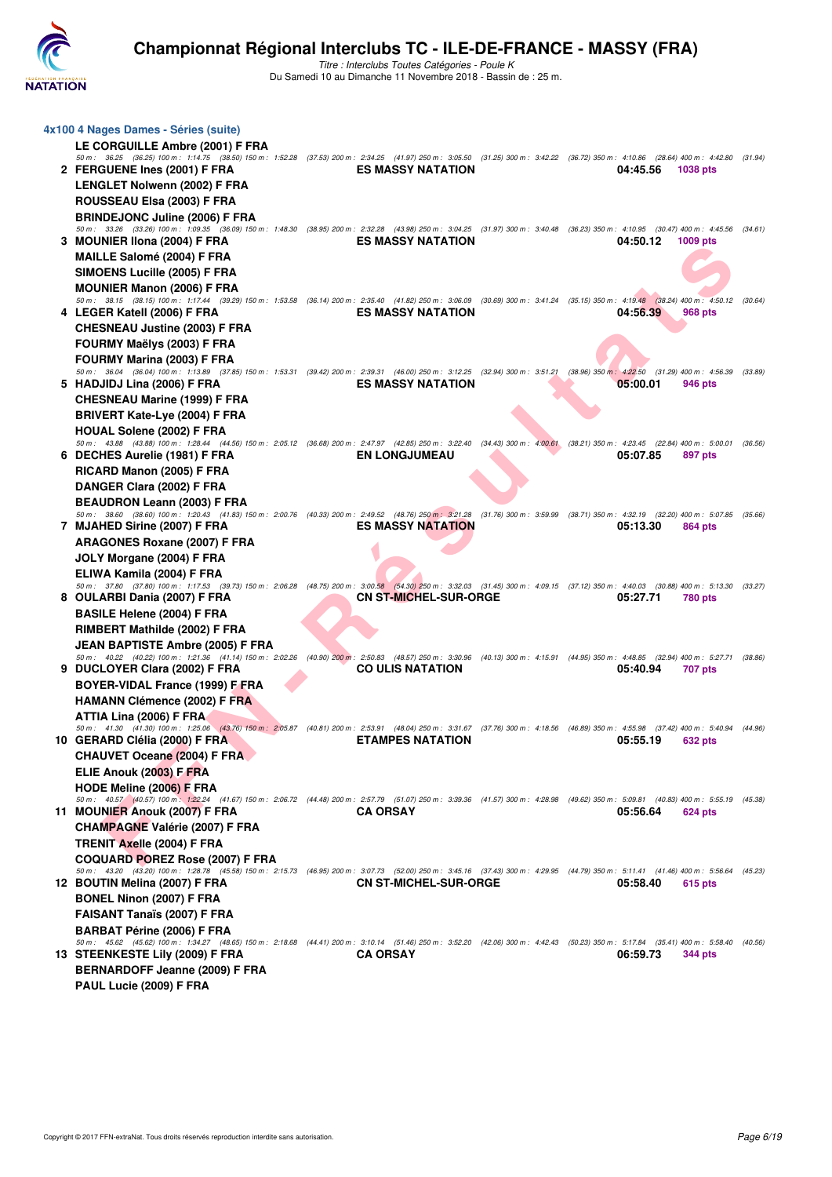

| 4x100 4 Nages Dames - Séries (suite)                                                                                                                                                                                           |                              |          |                           |         |
|--------------------------------------------------------------------------------------------------------------------------------------------------------------------------------------------------------------------------------|------------------------------|----------|---------------------------|---------|
| <b>LE CORGUILLE Ambre (2001) F FRA</b>                                                                                                                                                                                         |                              |          |                           |         |
| 50 m: 36.25 (36.25) 100 m: 1:14.75 (38.50) 150 m: 1:52.28 (37.53) 200 m: 2:34.25 (41.97) 250 m: 3:05.50 (31.25) 300 m: 3:42.22 (36.72) 350 m: 4:10.86 (28.64) 400 m: 4:42.80                                                   |                              |          |                           | (31.94) |
| 2 FERGUENE Ines (2001) F FRA                                                                                                                                                                                                   | <b>ES MASSY NATATION</b>     | 04:45.56 | <b>1038 pts</b>           |         |
| <b>LENGLET Nolwenn (2002) F FRA</b>                                                                                                                                                                                            |                              |          |                           |         |
| ROUSSEAU Elsa (2003) F FRA                                                                                                                                                                                                     |                              |          |                           |         |
| <b>BRINDEJONC Juline (2006) F FRA</b>                                                                                                                                                                                          |                              |          |                           |         |
| 50 m: 33.26 (33.26) 100 m: 1:09.35 (36.09) 150 m: 1:48.30 (38.95) 200 m: 2:32.28 (43.98) 250 m: 3:04.25 (31.97) 300 m: 3:40.48 (36.23) 350 m: 4:10.95 (30.47) 400 m: 4:45.56 (34.61)                                           |                              |          |                           |         |
| 3 MOUNIER IIona (2004) F FRA                                                                                                                                                                                                   | <b>ES MASSY NATATION</b>     | 04:50.12 | 1009 pts                  |         |
| MAILLE Salomé (2004) F FRA                                                                                                                                                                                                     |                              |          |                           |         |
| SIMOENS Lucille (2005) F FRA                                                                                                                                                                                                   |                              |          |                           |         |
| <b>MOUNIER Manon (2006) F FRA</b>                                                                                                                                                                                              |                              |          |                           |         |
| 50 m: 38.15 (38.15) 100 m: 1:17.44 (39.29) 150 m: 1:53.58 (36.14) 200 m: 2:35.40 (41.82) 250 m: 3:06.09 (30.69) 300 m: 3:41.24 (35.15) 350 m: 4:19.48 (38.24) 400 m: 4:50.12<br>4 LEGER Katell (2006) F FRA                    | <b>ES MASSY NATATION</b>     | 04:56.39 | 968 pts                   | (30.64) |
| <b>CHESNEAU Justine (2003) F FRA</b>                                                                                                                                                                                           |                              |          |                           |         |
|                                                                                                                                                                                                                                |                              |          |                           |         |
| FOURMY Maëlys (2003) F FRA                                                                                                                                                                                                     |                              |          |                           |         |
| <b>FOURMY Marina (2003) F FRA</b><br>50 m : 36.04 (36.04) 100 m : 1:13.89 (37.85) 150 m : 1:53.31 (39.42) 200 m : 2:39.31 (46.00) 250 m : 3:12.25 (32.94) 300 m : 3:51.21 (38.96) 350 m : 4:22.50 (31.29) 400 m : 4:56.39      |                              |          |                           | (33.89) |
| 5 HADJIDJ Lina (2006) F FRA                                                                                                                                                                                                    | <b>ES MASSY NATATION</b>     | 05:00.01 | 946 pts                   |         |
| <b>CHESNEAU Marine (1999) F FRA</b>                                                                                                                                                                                            |                              |          |                           |         |
| <b>BRIVERT Kate-Lye (2004) F FRA</b>                                                                                                                                                                                           |                              |          |                           |         |
| <b>HOUAL Solene (2002) F FRA</b>                                                                                                                                                                                               |                              |          |                           |         |
| 50 m : 43.88 (43.88) 100 m : 1:28.44 (44.56) 150 m : 2:05.12 (36.68) 200 m : 2:47.97 (42.85) 250 m : 3:22.40 (34.43) 300 m : 4:00.61 (38.21) 350 m : 4:23.45                                                                   |                              |          | $(22.84)$ 400 m : 5:00.01 | (36.56) |
| 6 DECHES Aurelie (1981) F FRA                                                                                                                                                                                                  | <b>EN LONGJUMEAU</b>         | 05:07.85 | 897 pts                   |         |
| RICARD Manon (2005) F FRA                                                                                                                                                                                                      |                              |          |                           |         |
| DANGER Clara (2002) F FRA                                                                                                                                                                                                      |                              |          |                           |         |
| <b>BEAUDRON Leann (2003) F FRA</b>                                                                                                                                                                                             |                              |          |                           |         |
| 50 m: 38.60 (38.60) 100 m: 1:20.43 (41.83) 150 m: 2:00.76 (40.33) 200 m: 2:49.52 (48.76) 250 m: 3:21.28 (31.76) 300 m: 3:59.99 (38.71) 350 m: 4:32.19 (32.20) 400 m: 5:07.85 (35.66)                                           |                              |          |                           |         |
| 7 MJAHED Sirine (2007) F FRA                                                                                                                                                                                                   | <b>ES MASSY NATATION</b>     | 05:13.30 | 864 pts                   |         |
| <b>ARAGONES Roxane (2007) F FRA</b>                                                                                                                                                                                            |                              |          |                           |         |
| JOLY Morgane (2004) F FRA                                                                                                                                                                                                      |                              |          |                           |         |
| ELIWA Kamila (2004) F FRA                                                                                                                                                                                                      |                              |          |                           |         |
| 50 m: 37.80 (37.80) 100 m: 1:17.53 (39.73) 150 m: 2:06.28 (48.75) 200 m: 3:00.58 (54.30) 250 m: 3:32.03 (31.45) 300 m: 4:09.15 (37.12) 350 m: 4:40.03 (30.88) 400 m: 5:13.30 (33.27)                                           |                              |          |                           |         |
|                                                                                                                                                                                                                                |                              |          |                           |         |
| 8 OULARBI Dania (2007) F FRA                                                                                                                                                                                                   | <b>CN ST-MICHEL-SUR-ORGE</b> | 05:27.71 | 780 pts                   |         |
| <b>BASILE Helene (2004) F FRA</b>                                                                                                                                                                                              |                              |          |                           |         |
| <b>RIMBERT Mathilde (2002) F FRA</b>                                                                                                                                                                                           |                              |          |                           |         |
| <b>JEAN BAPTISTE Ambre (2005) F FRA</b>                                                                                                                                                                                        |                              |          |                           |         |
| 50 m: 40.22 (40.22) 100 m: 1:21.36 (41.14) 150 m: 2:02.26 (40.90) 200 m: 2:50.83 (48.57) 250 m: 3:30.96 (40.13) 300 m: 4:15.91 (44.95) 350 m: 4:48.85 (32.94) 400 m: 5:27.71 (38.86)<br>9 DUCLOYER Clara (2002) F FRA          | <b>CO ULIS NATATION</b>      | 05:40.94 | 707 pts                   |         |
| <b>BOYER-VIDAL France (1999) F FRA</b>                                                                                                                                                                                         |                              |          |                           |         |
| <b>HAMANN Clémence (2002) F FRA</b>                                                                                                                                                                                            |                              |          |                           |         |
| ATTIA Lina (2006) F FRA                                                                                                                                                                                                        |                              |          |                           |         |
| 50 m : 41.30 (41.30) 100 m : 1:25.06 (43.76) 150 m : 2:05.87 (40.81) 200 m : 2:53.91 (48.04) 250 m : 3:31.67 (37.76) 300 m : 4:18.56 (46.89) 350 m : 4:55.98                                                                   |                              |          | (37.42) 400 m : 5:40.94   | (44.96) |
| 10 GERARD Clélia (2000) F FRA                                                                                                                                                                                                  | <b>ETAMPES NATATION</b>      | 05:55.19 | 632 pts                   |         |
| <b>CHAUVET Oceane (2004) F FRA</b>                                                                                                                                                                                             |                              |          |                           |         |
| ELIE Anouk (2003) F FRA                                                                                                                                                                                                        |                              |          |                           |         |
| <b>HODE Meline (2006) F FRA</b>                                                                                                                                                                                                |                              |          |                           |         |
| 50 m: 40.57 (40.57) 100 m: 1:22.24 (41.67) 150 m: 2:06.72 (44.48) 200 m: 2:57.79 (51.07) 250 m: 3:39.36 (41.57) 300 m: 4:28.98 (49.62) 350 m: 5:09.81 (40.83) 400 m: 5:55.19 (45.38)                                           |                              |          |                           |         |
| 11 MOUNIER Anouk (2007) F FRA                                                                                                                                                                                                  | <b>CA ORSAY</b>              | 05:56.64 | 624 pts                   |         |
| <b>CHAMPAGNE Valérie (2007) F FRA</b>                                                                                                                                                                                          |                              |          |                           |         |
| <b>TRENIT Axelle (2004) F FRA</b>                                                                                                                                                                                              |                              |          |                           |         |
| <b>COQUARD POREZ Rose (2007) F FRA</b><br>50 m: 43.20 (43.20) 100 m: 1:28.78 (45.58) 150 m: 2:15.73 (46.95) 200 m: 3:07.73 (52.00) 250 m: 3:45.16 (37.43) 300 m: 4:29.95 (44.79) 350 m: 5:11.41 (41.46) 400 m: 5:56.64 (45.23) |                              |          |                           |         |
| 12 BOUTIN Melina (2007) F FRA                                                                                                                                                                                                  | <b>CN ST-MICHEL-SUR-ORGE</b> | 05:58.40 | 615 pts                   |         |
| <b>BONEL Ninon (2007) F FRA</b>                                                                                                                                                                                                |                              |          |                           |         |
| <b>FAISANT Tanaïs (2007) F FRA</b>                                                                                                                                                                                             |                              |          |                           |         |
| <b>BARBAT Périne (2006) F FRA</b>                                                                                                                                                                                              |                              |          |                           |         |
| 50 m: 45.62 (45.62) 100 m: 1:34.27 (48.65) 150 m: 2:18.68 (44.41) 200 m: 3:10.14 (51.46) 250 m: 3:52.20 (42.06) 300 m: 4:42.43 (50.23) 350 m: 5:17.84 (35.41) 400 m: 5:58.40                                                   |                              |          |                           | (40.56) |
| 13 STEENKESTE Lily (2009) F FRA                                                                                                                                                                                                | <b>CA ORSAY</b>              | 06:59.73 | 344 pts                   |         |
| BERNARDOFF Jeanne (2009) F FRA<br>PAUL Lucie (2009) F FRA                                                                                                                                                                      |                              |          |                           |         |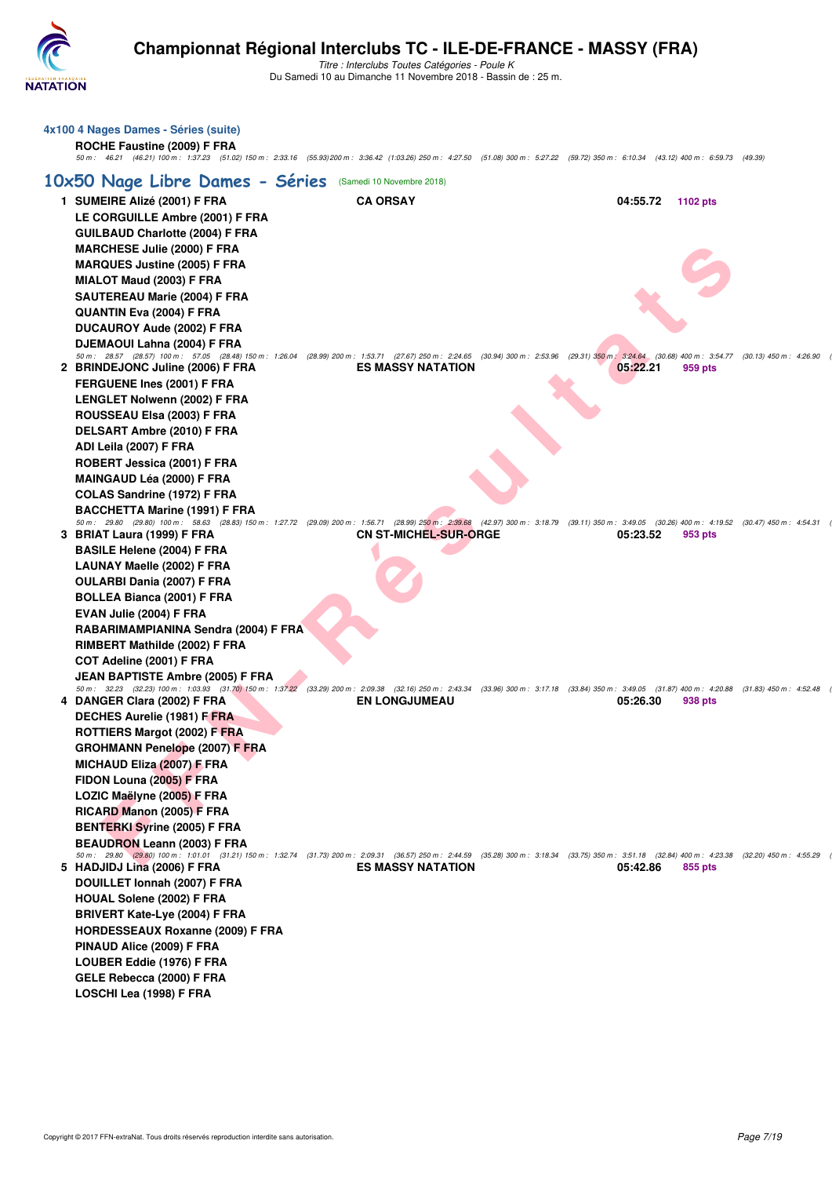

**4x100 4 Nages Dames - Séries (suite) ROCHE Faustine (2009) F FRA**

# **Championnat Régional Interclubs TC - ILE-DE-FRANCE - MASSY (FRA)**

| 50 m: 46.21 (46.21) 100 m: 1:37.23 (51.02) 150 m: 2:33.16 (55.93) 200 m: 3:36.42 (1:03.26) 250 m: 4:27.50 (51.08) 300 m: 5:27.22 (59.72) 350 m: 6:10.34 (43.12) 400 m: 6:59.73 (49.39)                                                |                              |          |          |  |
|---------------------------------------------------------------------------------------------------------------------------------------------------------------------------------------------------------------------------------------|------------------------------|----------|----------|--|
| 10x50 Nage Libre Dames - Séries                                                                                                                                                                                                       | (Samedi 10 Novembre 2018)    |          |          |  |
| 1 SUMEIRE Alizé (2001) F FRA                                                                                                                                                                                                          | <b>CA ORSAY</b>              | 04:55.72 | 1102 pts |  |
| LE CORGUILLE Ambre (2001) F FRA                                                                                                                                                                                                       |                              |          |          |  |
| <b>GUILBAUD Charlotte (2004) F FRA</b>                                                                                                                                                                                                |                              |          |          |  |
| <b>MARCHESE Julie (2000) F FRA</b>                                                                                                                                                                                                    |                              |          |          |  |
| <b>MARQUES Justine (2005) F FRA</b>                                                                                                                                                                                                   |                              |          |          |  |
| MIALOT Maud (2003) F FRA                                                                                                                                                                                                              |                              |          |          |  |
| SAUTEREAU Marie (2004) F FRA                                                                                                                                                                                                          |                              |          |          |  |
| QUANTIN Eva (2004) F FRA                                                                                                                                                                                                              |                              |          |          |  |
| <b>DUCAUROY Aude (2002) F FRA</b>                                                                                                                                                                                                     |                              |          |          |  |
| DJEMAOUI Lahna (2004) F FRA                                                                                                                                                                                                           |                              |          |          |  |
| 50 m: 28.57 (28.57) 100 m: 57.05 (28.48) 150 m: 1:26.04 (28.99) 200 m: 1:53.71 (27.67) 250 m: 2:24.65 (30.94) 300 m: 2:53.96 (29.31) 350 m: 3:24.64 (30.68) 400 m: 3:54.77 (30.13) 450 m: 4:26.90<br>2 BRINDEJONC Juline (2006) F FRA | <b>ES MASSY NATATION</b>     | 05:22.21 | 959 pts  |  |
| FERGUENE Ines (2001) F FRA                                                                                                                                                                                                            |                              |          |          |  |
| <b>LENGLET Nolwenn (2002) F FRA</b>                                                                                                                                                                                                   |                              |          |          |  |
| ROUSSEAU Elsa (2003) F FRA                                                                                                                                                                                                            |                              |          |          |  |
| DELSART Ambre (2010) F FRA                                                                                                                                                                                                            |                              |          |          |  |
| ADI Leila (2007) F FRA                                                                                                                                                                                                                |                              |          |          |  |
| ROBERT Jessica (2001) F FRA                                                                                                                                                                                                           |                              |          |          |  |
| <b>MAINGAUD Léa (2000) F FRA</b>                                                                                                                                                                                                      |                              |          |          |  |
| <b>COLAS Sandrine (1972) F FRA</b>                                                                                                                                                                                                    |                              |          |          |  |
| <b>BACCHETTA Marine (1991) F FRA</b>                                                                                                                                                                                                  |                              |          |          |  |
| 50 m: 29.80 (29.80) 100 m: 58.63 (28.83) 150 m: 1:27.72 (29.09) 200 m: 1:56.71 (28.99) 250 m: 2:39.68 (42.97) 300 m: 3:18.79 (39.11) 350 m: 3:49.05 (30.26) 400 m: 4:19.52 (30.47) 450 m: 4:54.31<br>3 BRIAT Laura (1999) F FRA       | <b>CN ST-MICHEL-SUR-ORGE</b> | 05:23.52 |          |  |
| <b>BASILE Helene (2004) F FRA</b>                                                                                                                                                                                                     |                              |          | 953 pts  |  |
| LAUNAY Maelle (2002) F FRA                                                                                                                                                                                                            |                              |          |          |  |
| OULARBI Dania (2007) F FRA                                                                                                                                                                                                            |                              |          |          |  |
| <b>BOLLEA Bianca (2001) F FRA</b>                                                                                                                                                                                                     |                              |          |          |  |
| EVAN Julie (2004) F FRA                                                                                                                                                                                                               |                              |          |          |  |
| RABARIMAMPIANINA Sendra (2004) F FRA                                                                                                                                                                                                  |                              |          |          |  |
| RIMBERT Mathilde (2002) F FRA                                                                                                                                                                                                         |                              |          |          |  |
| COT Adeline (2001) F FRA                                                                                                                                                                                                              |                              |          |          |  |
| JEAN BAPTISTE Ambre (2005) F FRA                                                                                                                                                                                                      |                              |          |          |  |
| 50 m: 32.23 (32.23) 100 m: 1:03.93 (31.70) 150 m: 1:37.22 (33.29) 200 m: 2:09.38 (32.16) 250 m: 2:43.34 (33.96) 300 m: 3:17.18 (33.84) 350 m: 3:49.05 (31.87) 400 m: 4:20.88 (31.83) 450 m: 4:52.48                                   |                              |          |          |  |
| 4 DANGER Clara (2002) F FRA                                                                                                                                                                                                           | <b>EN LONGJUMEAU</b>         | 05:26.30 | 938 pts  |  |
| DECHES Aurelie (1981) F FRA                                                                                                                                                                                                           |                              |          |          |  |
| <b>ROTTIERS Margot (2002) F FRA</b>                                                                                                                                                                                                   |                              |          |          |  |
| <b>GROHMANN Penelope (2007) F FRA</b><br><b>MICHAUD Eliza (2007) F FRA</b>                                                                                                                                                            |                              |          |          |  |
| FIDON Louna (2005) F FRA                                                                                                                                                                                                              |                              |          |          |  |
| LOZIC Maëlyne (2005) F FRA                                                                                                                                                                                                            |                              |          |          |  |
| RICARD Manon (2005) F FRA                                                                                                                                                                                                             |                              |          |          |  |
| <b>BENTERKI Syrine (2005) F FRA</b>                                                                                                                                                                                                   |                              |          |          |  |
| BEAUDRON Leann (2003) F FRA                                                                                                                                                                                                           |                              |          |          |  |
| 50 m: 29.80 (29.80) 100 m: 1:01.01 (31.21) 150 m: 1:32.74 (31.73) 200 m: 2:09.31 (36.57) 250 m: 2:44.59 (35.28) 300 m: 3:18.34 (33.75) 350 m: 3:51.18 (32.84) 400 m: 4:23.38 (32.20) 450 m: 4:55.29                                   |                              |          |          |  |
| 5 HADJIDJ Lina (2006) F FRA                                                                                                                                                                                                           | <b>ES MASSY NATATION</b>     | 05:42.86 | 855 pts  |  |
| DOUILLET Ionnah (2007) F FRA                                                                                                                                                                                                          |                              |          |          |  |
| <b>HOUAL Solene (2002) F FRA</b>                                                                                                                                                                                                      |                              |          |          |  |
| BRIVERT Kate-Lye (2004) F FRA                                                                                                                                                                                                         |                              |          |          |  |
| <b>HORDESSEAUX Roxanne (2009) F FRA</b>                                                                                                                                                                                               |                              |          |          |  |
| PINAUD Alice (2009) F FRA<br>LOUBER Eddie (1976) F FRA                                                                                                                                                                                |                              |          |          |  |
| GELE Rebecca (2000) F FRA                                                                                                                                                                                                             |                              |          |          |  |
| LOSCHI Lea (1998) F FRA                                                                                                                                                                                                               |                              |          |          |  |
|                                                                                                                                                                                                                                       |                              |          |          |  |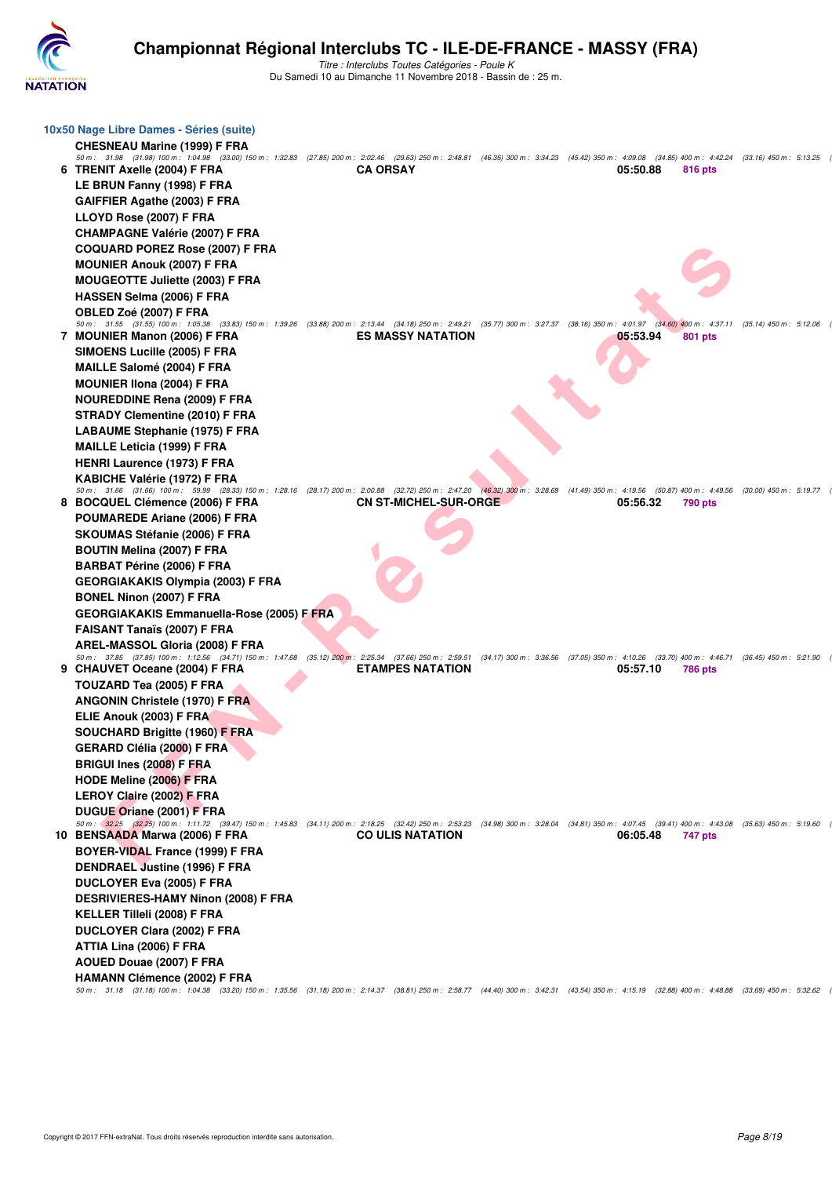

| 10x50 Nage Libre Dames - Séries (suite)<br><b>CHESNEAU Marine (1999) F FRA</b><br>50 m: 31.98 (31.98) 100 m: 1:04.98 (33.00) 150 m: 1:32.83 (27.85) 200 m: 2:02.46 (29.63) 250 m: 2:48.81 (46.35) 300 m: 3:34.23 (45.42) 350 m: 4:09.08 (34.85) 400 m: 4:42.24 (33.16) 450 m: 5:13.25 |                              |          |                |  |
|---------------------------------------------------------------------------------------------------------------------------------------------------------------------------------------------------------------------------------------------------------------------------------------|------------------------------|----------|----------------|--|
| 6 TRENIT Axelle (2004) F FRA<br>LE BRUN Fanny (1998) F FRA                                                                                                                                                                                                                            | <b>CA ORSAY</b>              | 05:50.88 | 816 pts        |  |
| GAIFFIER Agathe (2003) F FRA                                                                                                                                                                                                                                                          |                              |          |                |  |
| LLOYD Rose (2007) F FRA                                                                                                                                                                                                                                                               |                              |          |                |  |
| <b>CHAMPAGNE Valérie (2007) F FRA</b>                                                                                                                                                                                                                                                 |                              |          |                |  |
| <b>COQUARD POREZ Rose (2007) F FRA</b>                                                                                                                                                                                                                                                |                              |          |                |  |
| <b>MOUNIER Anouk (2007) F FRA</b>                                                                                                                                                                                                                                                     |                              |          |                |  |
| <b>MOUGEOTTE Juliette (2003) F FRA</b>                                                                                                                                                                                                                                                |                              |          |                |  |
| HASSEN Selma (2006) F FRA                                                                                                                                                                                                                                                             |                              |          |                |  |
| OBLED Zoé (2007) F FRA                                                                                                                                                                                                                                                                |                              |          |                |  |
| 50 m: 31.55 (31.55) 100 m: 1:05.38 (33.83) 150 m: 1:39.26 (33.88) 200 m: 2:13.44 (34.18) 250 m: 2:49.21 (35.77) 300 m: 3:27.37 (38.16) 350 m: 4:01.97 (34.60) 400 m: 4:37.11 (35.14) 450 m: 5:12.06<br>7 MOUNIER Manon (2006) F FRA                                                   | <b>ES MASSY NATATION</b>     | 05:53.94 | <b>801 pts</b> |  |
| SIMOENS Lucille (2005) F FRA                                                                                                                                                                                                                                                          |                              |          |                |  |
| MAILLE Salomé (2004) F FRA                                                                                                                                                                                                                                                            |                              |          |                |  |
| <b>MOUNIER IIona (2004) F FRA</b>                                                                                                                                                                                                                                                     |                              |          |                |  |
| <b>NOUREDDINE Rena (2009) F FRA</b>                                                                                                                                                                                                                                                   |                              |          |                |  |
| <b>STRADY Clementine (2010) F FRA</b>                                                                                                                                                                                                                                                 |                              |          |                |  |
| <b>LABAUME Stephanie (1975) F FRA</b>                                                                                                                                                                                                                                                 |                              |          |                |  |
| <b>MAILLE Leticia (1999) F FRA</b>                                                                                                                                                                                                                                                    |                              |          |                |  |
| <b>HENRI Laurence (1973) F FRA</b>                                                                                                                                                                                                                                                    |                              |          |                |  |
| KABICHE Valérie (1972) F FRA<br>50 m: 31.66 (31.66) 100 m: 59.99 (28.33) 150 m: 1:28.16 (28.17) 200 m: 2:00.88 (32.72) 250 m: 2:47.20 (46.32) 300 m: 3:28.69 (41.49) 350 m: 4:19.56 (50.87) 400 m: 4:49.56 (30.00) 450 m: 5:19.77                                                     |                              |          |                |  |
| 8 BOCQUEL Clémence (2006) F FRA                                                                                                                                                                                                                                                       | <b>CN ST-MICHEL-SUR-ORGE</b> | 05:56.32 | 790 pts        |  |
| POUMAREDE Ariane (2006) F FRA                                                                                                                                                                                                                                                         |                              |          |                |  |
| <b>SKOUMAS Stéfanie (2006) F FRA</b>                                                                                                                                                                                                                                                  |                              |          |                |  |
| <b>BOUTIN Melina (2007) F FRA</b>                                                                                                                                                                                                                                                     |                              |          |                |  |
| <b>BARBAT Périne (2006) F FRA</b>                                                                                                                                                                                                                                                     |                              |          |                |  |
| <b>GEORGIAKAKIS Olympia (2003) F FRA</b>                                                                                                                                                                                                                                              |                              |          |                |  |
| <b>BONEL Ninon (2007) F FRA</b>                                                                                                                                                                                                                                                       |                              |          |                |  |
| <b>GEORGIAKAKIS Emmanuella-Rose (2005) F FRA</b>                                                                                                                                                                                                                                      |                              |          |                |  |
| <b>FAISANT Tanaïs (2007) F FRA</b>                                                                                                                                                                                                                                                    |                              |          |                |  |
| AREL-MASSOL Gloria (2008) F FRA<br>50 m: 37.85 (37.85) 100 m: 1:12.56 (34.71) 150 m: 1:47.68 (35.12) 200 m: 2:25.34 (37.66) 250 m: 2:59.51 (34.17) 300 m: 3:36.56 (37.05) 350 m: 4:10.26 (33.70) 400 m: 4:46.71 (36.45) 450 m: 5:21.90                                                |                              |          |                |  |
| 9 CHAUVET Oceane (2004) F FRA                                                                                                                                                                                                                                                         | <b>ETAMPES NATATION</b>      | 05:57.10 | <b>786 pts</b> |  |
| TOUZARD Tea (2005) F FRA                                                                                                                                                                                                                                                              |                              |          |                |  |
| <b>ANGONIN Christele (1970) F FRA</b>                                                                                                                                                                                                                                                 |                              |          |                |  |
| ELIE Anouk (2003) F FRA                                                                                                                                                                                                                                                               |                              |          |                |  |
| SOUCHARD Brigitte (1960) F FRA                                                                                                                                                                                                                                                        |                              |          |                |  |
| <b>GERARD Clélia (2000) F FRA</b>                                                                                                                                                                                                                                                     |                              |          |                |  |
| <b>BRIGUI Ines (2008) F FRA</b>                                                                                                                                                                                                                                                       |                              |          |                |  |
| HODE Meline (2006) F FRA                                                                                                                                                                                                                                                              |                              |          |                |  |
| LEROY Claire (2002) F FRA                                                                                                                                                                                                                                                             |                              |          |                |  |
| DUGUE Oriane (2001) F FRA<br>50 m: 32.25 (32.25) 100 m: 1:11.72 (39.47) 150 m: 1:45.83 (34.11) 200 m: 2:18.25 (32.42) 250 m: 2:53.23 (34.98) 300 m: 3:28.04 (34.81) 350 m: 4:07.45 (39.41) 400 m: 4:43.08 (35.63) 450 m: 5:19.60                                                      |                              |          |                |  |
| 10 BENSAADA Marwa (2006) F FRA                                                                                                                                                                                                                                                        | <b>CO ULIS NATATION</b>      | 06:05.48 | 747 pts        |  |
| BOYER-VIDAL France (1999) F FRA                                                                                                                                                                                                                                                       |                              |          |                |  |
| DENDRAEL Justine (1996) F FRA                                                                                                                                                                                                                                                         |                              |          |                |  |
| DUCLOYER Eva (2005) F FRA                                                                                                                                                                                                                                                             |                              |          |                |  |
| <b>DESRIVIERES-HAMY Ninon (2008) F FRA</b>                                                                                                                                                                                                                                            |                              |          |                |  |
| <b>KELLER Tilleli (2008) F FRA</b>                                                                                                                                                                                                                                                    |                              |          |                |  |
| DUCLOYER Clara (2002) F FRA                                                                                                                                                                                                                                                           |                              |          |                |  |
| ATTIA Lina (2006) F FRA                                                                                                                                                                                                                                                               |                              |          |                |  |
| AOUED Douae (2007) F FRA                                                                                                                                                                                                                                                              |                              |          |                |  |
| <b>HAMANN Clémence (2002) F FRA</b><br>50 m: 31.18 (31.18) 100 m: 1:04.38 (33.20) 150 m: 1:35.56 (31.18) 200 m: 2:14.37 (38.81) 250 m: 2:58.77 (44.40) 300 m: 3:42.31 (43.54) 350 m: 4:15.19 (32.88) 400 m: 4:48.88 (33.69) 450 m: 5:32.62                                            |                              |          |                |  |
|                                                                                                                                                                                                                                                                                       |                              |          |                |  |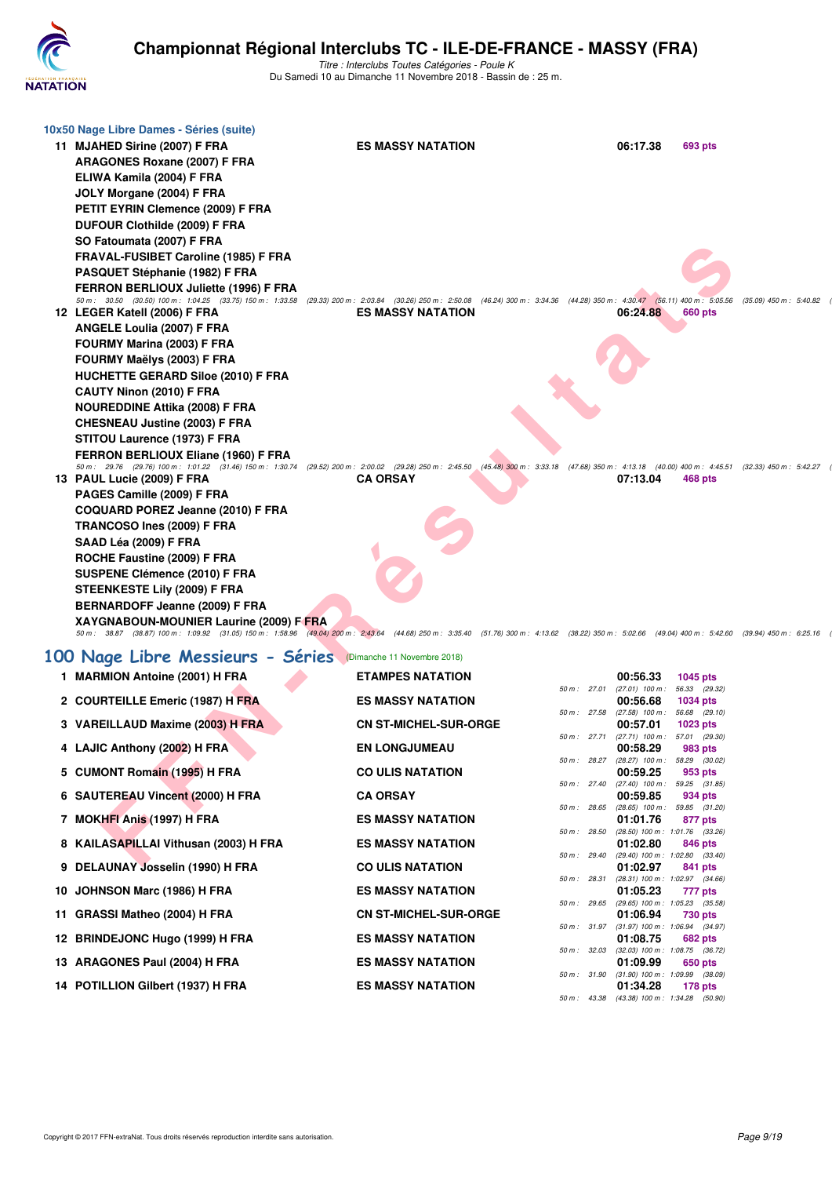

| 10x50 Nage Libre Dames - Séries (suite)                                                                                               |                                                                                                                                                                                                     |                                              |          |                                                |                                                                                                 |
|---------------------------------------------------------------------------------------------------------------------------------------|-----------------------------------------------------------------------------------------------------------------------------------------------------------------------------------------------------|----------------------------------------------|----------|------------------------------------------------|-------------------------------------------------------------------------------------------------|
| 11 MJAHED Sirine (2007) F FRA                                                                                                         | <b>ES MASSY NATATION</b>                                                                                                                                                                            |                                              | 06:17.38 | 693 pts                                        |                                                                                                 |
| <b>ARAGONES Roxane (2007) F FRA</b>                                                                                                   |                                                                                                                                                                                                     |                                              |          |                                                |                                                                                                 |
| ELIWA Kamila (2004) F FRA                                                                                                             |                                                                                                                                                                                                     |                                              |          |                                                |                                                                                                 |
| JOLY Morgane (2004) F FRA                                                                                                             |                                                                                                                                                                                                     |                                              |          |                                                |                                                                                                 |
| PETIT EYRIN Clemence (2009) F FRA                                                                                                     |                                                                                                                                                                                                     |                                              |          |                                                |                                                                                                 |
| DUFOUR Clothilde (2009) F FRA                                                                                                         |                                                                                                                                                                                                     |                                              |          |                                                |                                                                                                 |
| SO Fatoumata (2007) F FRA                                                                                                             |                                                                                                                                                                                                     |                                              |          |                                                |                                                                                                 |
| FRAVAL-FUSIBET Caroline (1985) F FRA                                                                                                  |                                                                                                                                                                                                     |                                              |          |                                                |                                                                                                 |
| PASQUET Stéphanie (1982) F FRA<br>FERRON BERLIOUX Juliette (1996) F FRA                                                               |                                                                                                                                                                                                     |                                              |          |                                                |                                                                                                 |
|                                                                                                                                       | 50 m: 30.50 (30.50) 100 m: 1:04.25 (33.75) 150 m: 1:33.58 (29.33) 200 m: 2:03.84 (30.26) 250 m: 2:50.08 (46.24) 300 m: 3:34.36 (44.28) 350 m: 4:30.47 (56.11) 400 m: 5:05.56                        |                                              |          |                                                | $(35.09)$ 450 m : 5:40.82                                                                       |
| 12 LEGER Katell (2006) F FRA                                                                                                          | <b>ES MASSY NATATION</b>                                                                                                                                                                            |                                              | 06:24.88 | <b>660 pts</b>                                 |                                                                                                 |
| ANGELE Loulia (2007) F FRA                                                                                                            |                                                                                                                                                                                                     |                                              |          |                                                |                                                                                                 |
| FOURMY Marina (2003) F FRA                                                                                                            |                                                                                                                                                                                                     |                                              |          |                                                |                                                                                                 |
| FOURMY Maëlys (2003) F FRA                                                                                                            |                                                                                                                                                                                                     |                                              |          |                                                |                                                                                                 |
| <b>HUCHETTE GERARD Siloe (2010) F FRA</b>                                                                                             |                                                                                                                                                                                                     |                                              |          |                                                |                                                                                                 |
| CAUTY Ninon (2010) F FRA<br><b>NOUREDDINE Attika (2008) F FRA</b>                                                                     |                                                                                                                                                                                                     |                                              |          |                                                |                                                                                                 |
| <b>CHESNEAU Justine (2003) F FRA</b>                                                                                                  |                                                                                                                                                                                                     |                                              |          |                                                |                                                                                                 |
| STITOU Laurence (1973) F FRA                                                                                                          |                                                                                                                                                                                                     |                                              |          |                                                |                                                                                                 |
| FERRON BERLIOUX Eliane (1960) F FRA                                                                                                   |                                                                                                                                                                                                     |                                              |          |                                                |                                                                                                 |
| 50 m: 29.76 (29.76) 100 m: 1:01.22 (31.46) 150 m: 1:30.74 (29.52) 200 m: 2:00.02 (29.28) 250 m: 2:45.50<br>13 PAUL Lucie (2009) F FRA | <b>CA ORSAY</b>                                                                                                                                                                                     |                                              | 07:13.04 |                                                | (45.48) 300 m : 3:33.18 (47.68) 350 m : 4:13.18 (40.00) 400 m : 4:45.51 (32.33) 450 m : 5:42.27 |
| PAGES Camille (2009) F FRA                                                                                                            |                                                                                                                                                                                                     |                                              |          | 468 pts                                        |                                                                                                 |
| COQUARD POREZ Jeanne (2010) F FRA                                                                                                     |                                                                                                                                                                                                     |                                              |          |                                                |                                                                                                 |
| TRANCOSO Ines (2009) F FRA                                                                                                            |                                                                                                                                                                                                     |                                              |          |                                                |                                                                                                 |
| SAAD Léa (2009) F FRA                                                                                                                 |                                                                                                                                                                                                     |                                              |          |                                                |                                                                                                 |
| ROCHE Faustine (2009) F FRA                                                                                                           |                                                                                                                                                                                                     |                                              |          |                                                |                                                                                                 |
| SUSPENE Clémence (2010) F FRA                                                                                                         |                                                                                                                                                                                                     |                                              |          |                                                |                                                                                                 |
| STEENKESTE Lily (2009) F FRA                                                                                                          |                                                                                                                                                                                                     |                                              |          |                                                |                                                                                                 |
| BERNARDOFF Jeanne (2009) F FRA                                                                                                        |                                                                                                                                                                                                     |                                              |          |                                                |                                                                                                 |
| XAYGNABOUN-MOUNIER Laurine (2009) F FRA                                                                                               | 50 m: 38.87 (38.87) 100 m: 1:09.92 (31.05) 150 m: 1:58.96 (49.04) 200 m: 2:43.64 (44.68) 250 m: 3:35.40 (51.76) 300 m: 4:13.62 (38.22) 350 m: 5:02.66 (49.04) 400 m: 5:42.60 (39.94) 450 m: 6:25.16 |                                              |          |                                                |                                                                                                 |
| 100 Nage Libre Messieurs - Séries (Dimanche 11 Novembre 2018)                                                                         |                                                                                                                                                                                                     |                                              |          |                                                |                                                                                                 |
| 1 MARMION Antoine (2001) H FRA                                                                                                        | <b>ETAMPES NATATION</b>                                                                                                                                                                             |                                              | 00:56.33 | 1045 pts                                       |                                                                                                 |
|                                                                                                                                       |                                                                                                                                                                                                     | 50 m: 27.01 (27.01) 100 m: 56.33 (29.32)     |          |                                                |                                                                                                 |
| 2 COURTEILLE Emeric (1987) H FRA                                                                                                      | <b>ES MASSY NATATION</b>                                                                                                                                                                            | 50 m: 27.58 (27.58) 100 m: 56.68 (29.10)     | 00:56.68 | <b>1034 pts</b>                                |                                                                                                 |
| 3 VAREILLAUD Maxime (2003) H FRA                                                                                                      | <b>CN ST-MICHEL-SUR-ORGE</b>                                                                                                                                                                        |                                              | 00:57.01 | 1023 pts                                       |                                                                                                 |
|                                                                                                                                       | <b>EN LONGJUMEAU</b>                                                                                                                                                                                | 50 m: 27.71 (27.71) 100 m: 57.01 (29.30)     | 00:58.29 |                                                |                                                                                                 |
| 4 LAJIC Anthony (2002) H FRA                                                                                                          |                                                                                                                                                                                                     | 50 m: 28.27 (28.27) 100 m: 58.29 (30.02)     |          | 983 pts                                        |                                                                                                 |
| 5 CUMONT Romain (1995) H FRA                                                                                                          | <b>CO ULIS NATATION</b>                                                                                                                                                                             |                                              | 00:59.25 | 953 pts                                        |                                                                                                 |
| 6 SAUTEREAU Vincent (2000) H FRA                                                                                                      | <b>CA ORSAY</b>                                                                                                                                                                                     | 50 m: 27.40 (27.40) 100 m: 59.25 (31.85)     | 00:59.85 | 934 pts                                        |                                                                                                 |
|                                                                                                                                       |                                                                                                                                                                                                     | 50 m : 28.65 (28.65) 100 m : 59.85 (31.20)   |          |                                                |                                                                                                 |
| 7 MOKHFI Anis (1997) H FRA                                                                                                            | <b>ES MASSY NATATION</b>                                                                                                                                                                            | 50 m : 28.50 (28.50) 100 m : 1:01.76 (33.26) | 01:01.76 | 877 pts                                        |                                                                                                 |
| 8 KAILASAPILLAI Vithusan (2003) H FRA                                                                                                 | <b>ES MASSY NATATION</b>                                                                                                                                                                            |                                              | 01:02.80 | 846 pts                                        |                                                                                                 |
| 9 DELAUNAY Josselin (1990) H FRA                                                                                                      | <b>CO ULIS NATATION</b>                                                                                                                                                                             | 50 m : 29.40 (29.40) 100 m : 1:02.80 (33.40) | 01:02.97 | 841 pts                                        |                                                                                                 |
|                                                                                                                                       |                                                                                                                                                                                                     | 50 m: 28.31 (28.31) 100 m: 1:02.97 (34.66)   |          |                                                |                                                                                                 |
| 10 JOHNSON Marc (1986) H FRA                                                                                                          | <b>ES MASSY NATATION</b>                                                                                                                                                                            | 50 m : 29.65                                 | 01:05.23 | 777 pts<br>$(29.65)$ 100 m : 1:05.23 $(35.58)$ |                                                                                                 |
| 11 GRASSI Matheo (2004) H FRA                                                                                                         | <b>CN ST-MICHEL-SUR-ORGE</b>                                                                                                                                                                        |                                              | 01:06.94 | 730 pts                                        |                                                                                                 |
| 12 BRINDEJONC Hugo (1999) H FRA                                                                                                       | <b>ES MASSY NATATION</b>                                                                                                                                                                            | 50 m: 31.97 (31.97) 100 m: 1:06.94 (34.97)   | 01:08.75 | 682 pts                                        |                                                                                                 |
|                                                                                                                                       |                                                                                                                                                                                                     | 50 m : 32.03 (32.03) 100 m : 1:08.75 (36.72) |          |                                                |                                                                                                 |
| 13 ARAGONES Paul (2004) H FRA                                                                                                         | <b>ES MASSY NATATION</b>                                                                                                                                                                            | 50 m: 31.90 (31.90) 100 m: 1:09.99 (38.09)   | 01:09.99 | 650 pts                                        |                                                                                                 |
| 14 POTILLION Gilbert (1937) H FRA                                                                                                     | <b>ES MASSY NATATION</b>                                                                                                                                                                            |                                              | 01:34.28 | 178 pts                                        |                                                                                                 |
|                                                                                                                                       |                                                                                                                                                                                                     | 50 m: 43.38 (43.38) 100 m: 1:34.28 (50.90)   |          |                                                |                                                                                                 |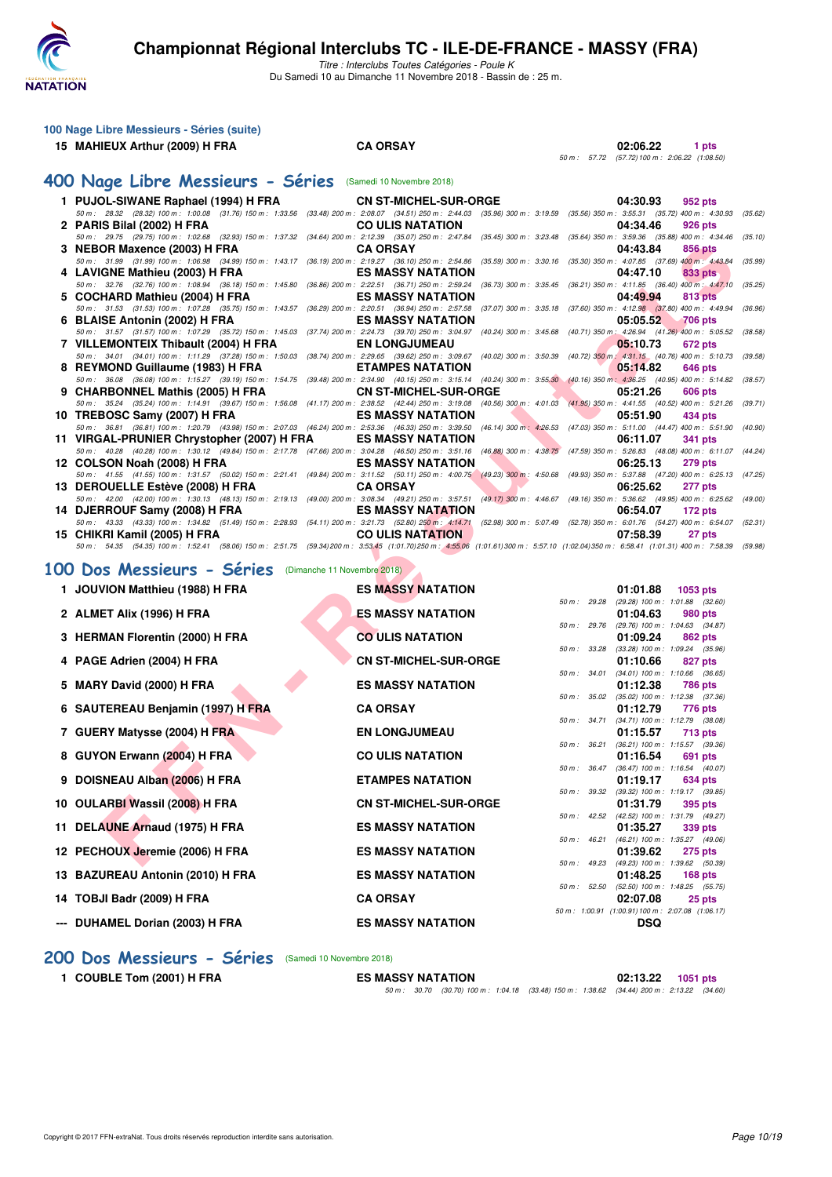

Titre : Interclubs Toutes Catégories - Poule K Du Samedi 10 au Dimanche 11 Novembre 2018 - Bassin de : 25 m.

| 100 Nage Libre Messieurs - Séries (suite)                                                                                                                                                                            |                                                                                                          |                                                                                                           |
|----------------------------------------------------------------------------------------------------------------------------------------------------------------------------------------------------------------------|----------------------------------------------------------------------------------------------------------|-----------------------------------------------------------------------------------------------------------|
| 15 MAHIEUX Arthur (2009) H FRA                                                                                                                                                                                       | <b>CA ORSAY</b>                                                                                          | 02:06.22<br>1 pts                                                                                         |
|                                                                                                                                                                                                                      |                                                                                                          | 50 m : 57.72 (57.72) 100 m : 2:06.22 (1:08.50)                                                            |
| 400 Nage Libre Messieurs - Séries (Samedi 10 Novembre 2018)                                                                                                                                                          |                                                                                                          |                                                                                                           |
| 1 PUJOL-SIWANE Raphael (1994) H FRA                                                                                                                                                                                  | <b>CN ST-MICHEL-SUR-ORGE</b>                                                                             | 04:30.93<br>952 pts                                                                                       |
| 50 m: 28.32 (28.32) 100 m: 1:00.08 (31.76) 150 m: 1:33.56<br>2 PARIS Bilal (2002) H FRA                                                                                                                              | (33.48) 200 m : 2:08.07 (34.51) 250 m : 2:44.03 (35.96) 300 m : 3:19.59<br><b>CO ULIS NATATION</b>       | $(35.56)$ 350 m : 3:55.31 $(35.72)$ 400 m : 4:30.93<br>(35.62)<br>04:34.46<br>926 pts                     |
| 50 m: 29.75 (29.75) 100 m: 1:02.68 (32.93) 150 m: 1:37.32                                                                                                                                                            | (34.64) 200 m : 2:12.39 (35.07) 250 m : 2:47.84<br>$(35.45)$ 300 m : 3:23.48                             | (35.64) 350 m: 3:59.36 (35.88) 400 m: 4:34.46<br>(35.10)                                                  |
| 3 NEBOR Maxence (2003) H FRA<br>50 m : 31.99 (31.99) 100 m : 1:06.98 (34.99) 150 m : 1:43.17 (36.19) 200 m : 2:19.27 (36.10) 250 m : 2:54.86                                                                         | <b>CA ORSAY</b><br>$(35.59)$ 300 m : 3:30.16                                                             | 04:43.84<br>856 pts<br>(35.30) 350 m : 4:07.85 (37.69) 400 m : 4:43.84<br>(35.99)                         |
| 4 LAVIGNE Mathieu (2003) H FRA                                                                                                                                                                                       | <b>ES MASSY NATATION</b>                                                                                 | 04:47.10<br>833 pts                                                                                       |
| 50 m : 32.76 (32.76) 100 m : 1:08.94 (36.18) 150 m : 1:45.80<br>5 COCHARD Mathieu (2004) H FRA                                                                                                                       | (36.86) 200 m : 2:22.51 (36.71) 250 m : 2:59.24<br>$(36.73)$ 300 m : 3:35.45<br><b>ES MASSY NATATION</b> | (36.21) 350 m: 4:11.85 (36.40) 400 m: 4:47.10<br>(35.25)<br>04:49.94<br>813 pts                           |
| 50 m: 31.53 (31.53) 100 m: 1:07.28 (35.75) 150 m: 1:43.57                                                                                                                                                            | (36.29) 200 m : 2:20.51 (36.94) 250 m : 2:57.58<br>$(37.07)$ 300 m : 3:35.18                             | (37.60) 350 m: 4:12.98 (37.80) 400 m: 4:49.94<br>(36.96)                                                  |
| 6 BLAISE Antonin (2002) H FRA<br>50 m : 31.57 (31.57) 100 m : 1:07.29 (35.72) 150 m : 1:45.03 (37.74) 200 m : 2:24.73 (39.70) 250 m : 3:04.97 (40.24) 300 m : 3:45.68                                                | <b>ES MASSY NATATION</b>                                                                                 | 05:05.52<br><b>706 pts</b><br>(40.71) 350 m : 4:26.94 (41.26) 400 m : 5:05.52<br>(38.58)                  |
| 7 VILLEMONTEIX Thibault (2004) H FRA                                                                                                                                                                                 | <b>EN LONGJUMEAU</b>                                                                                     | 05:10.73<br>672 pts                                                                                       |
| 50 m: 34.01 (34.01) 100 m: 1:11.29 (37.28) 150 m: 1:50.03 (38.74) 200 m: 2:29.65 (39.62) 250 m: 3:09.67<br>8 REYMOND Guillaume (1983) H FRA                                                                          | $(40.02)$ 300 m : 3:50.39<br><b>ETAMPES NATATION</b>                                                     | (40.72) 350 m: 4:31.15 (40.76) 400 m: 5:10.73<br>(39.58)<br>05:14.82<br>646 pts                           |
| 50 m : 36.08 (36.08) 100 m : 1:15.27 (39.19) 150 m : 1:54.75 (39.48) 200 m : 2:34.90 (40.15) 250 m : 3:15.14 (40.24) 300 m : 3:55.30                                                                                 |                                                                                                          | (40.16) 350 m: 4:36.25 (40.95) 400 m: 5:14.82<br>(38.57)                                                  |
| 9 CHARBONNEL Mathis (2005) H FRA<br>50 m: 35.24 (35.24) 100 m: 1:14.91 (39.67) 150 m: 1:56.08 (41.17) 200 m: 2:38.52 (42.44) 250 m: 3:19.08                                                                          | <b>CN ST-MICHEL-SUR-ORGE</b>                                                                             | 05:21.26<br>606 pts<br>(40.56) 300 m : 4:01.03 (41.95) 350 m : 4:41.55 (40.52) 400 m : 5:21.26<br>(39.71) |
| 10 TREBOSC Samy (2007) H FRA                                                                                                                                                                                         | <b>ES MASSY NATATION</b>                                                                                 | 05:51.90<br>434 pts                                                                                       |
| 50 m: 36.81 (36.81) 100 m: 1:20.79 (43.98) 150 m: 2:07.03 (46.24) 200 m: 2:53.36 (46.33) 250 m: 3:39.50<br>11 VIRGAL-PRUNIER Chrystopher (2007) H FRA                                                                | <b>ES MASSY NATATION</b>                                                                                 | (46.14) 300 m: 4:26.53 (47.03) 350 m: 5:11.00 (44.47) 400 m: 5:51.90<br>(40.90)<br>06:11.07<br>341 pts    |
| 50 m : 40.28 (40.28) 100 m : 1:30.12 (49.84) 150 m : 2:17.78 (47.66) 200 m : 3:04.28 (46.50) 250 m : 3:51.16                                                                                                         | $(46.88)$ 300 m : 4:38.75                                                                                | (47.59) 350 m : 5:26.83 (48.08) 400 m : 6:11.07 (44.24)                                                   |
| 12 COLSON Noah (2008) H FRA<br>50 m: 41.55 (41.55) 100 m: 1:31.57 (50.02) 150 m: 2:21.41 (49.84) 200 m: 3:11.52 (50.11) 250 m: 4:00.75 (49.23) 300 m: 4:50.68                                                        | <b>ES MASSY NATATION</b>                                                                                 | 06:25.13<br><b>279 pts</b><br>(49.93) 350 m: 5:37.88 (47.20) 400 m: 6:25.13<br>(47.25)                    |
| 13 DEROUELLE Estève (2008) H FRA                                                                                                                                                                                     | <b>CA ORSAY</b>                                                                                          | 06:25.62<br>277 pts                                                                                       |
| 50 m: 42.00 (42.00) 100 m: 1:30.13 (48.13) 150 m: 2:19.13 (49.00) 200 m: 3:08.34 (49.21) 250 m: 3:57.51<br>14 DJERROUF Samy (2008) H FRA                                                                             | <b>ES MASSY NATATION</b>                                                                                 | (49.17) 300 m: 4:46.67 (49.16) 350 m: 5:36.62 (49.95) 400 m: 6:25.62 (49.00)<br>06:54.07<br>172 pts       |
| 50 m: 43.33 (43.33) 100 m: 1:34.82 (51.49) 150 m: 2:28.93 (54.11) 200 m: 3:21.73 (52.80) 250 m: 4:14.71 (52.98) 300 m: 5:07.49 (52.78) 350 m: 6:01.76 (54.27) 400 m: 6:54.07                                         |                                                                                                          | (52.31)                                                                                                   |
| 15 CHIKRI Kamil (2005) H FRA<br>50 m: 54.35 (54.35) 100 m: 1:52.41 (58.06) 150 m: 2:51.75 (59.34) 200 m: 3:53.45 (1:01.70) 250 m: 4:55.06 (1:01.61) 300 m: 5:57.10 (1:02.04) 350 m: 6:58.41 (1:01.31) 400 m: 7:58.39 | <b>CO ULIS NATATION</b>                                                                                  | 07:58.39<br>27 pts<br>(59.98)                                                                             |
|                                                                                                                                                                                                                      |                                                                                                          |                                                                                                           |
| 100 Dos Messieurs - Séries<br>(Dimanche 11 Novembre 2018)                                                                                                                                                            |                                                                                                          |                                                                                                           |
| 1 JOUVION Matthieu (1988) H FRA                                                                                                                                                                                      | <b>ES MASSY NATATION</b>                                                                                 | 01:01.88<br>1053 pts                                                                                      |
| 2 ALMET Alix (1996) H FRA                                                                                                                                                                                            | ES MASSY NATATION                                                                                        | 50 m: 29.28 (29.28) 100 m: 1:01.88 (32.60)<br>01:04.63<br>980 pts                                         |
|                                                                                                                                                                                                                      | 50 m : 29.76<br><b>CO ULIS NATATION</b>                                                                  | (29.76) 100 m : 1:04.63 (34.87)                                                                           |
| 3 HERMAN Florentin (2000) H FRA                                                                                                                                                                                      | 50 m : 33.28                                                                                             | 01:09.24<br>862 pts<br>$(33.28)$ 100 m : 1:09.24 $(35.96)$                                                |
| 4 PAGE Adrien (2004) H FRA                                                                                                                                                                                           | <b>CN ST-MICHEL-SUR-ORGE</b>                                                                             | 01:10.66<br>827 pts                                                                                       |
| 5 MARY David (2000) H FRA                                                                                                                                                                                            | 50 m :<br>34.01<br><b>ES MASSY NATATION</b>                                                              | $(34.01)$ 100 m : 1:10.66 $(36.65)$<br>01:12.38<br><b>786 pts</b>                                         |
|                                                                                                                                                                                                                      | 50 m : 35.02                                                                                             | $(35.02)$ 100 m : 1:12.38 $(37.36)$                                                                       |
| 6 SAUTEREAU Benjamin (1997) H FRA                                                                                                                                                                                    | <b>CA ORSAY</b>                                                                                          | 01:12.79<br>776 pts<br>50 m: 34.71 (34.71) 100 m: 1:12.79 (38.08)                                         |
| 7 GUERY Matysse (2004) H FRA                                                                                                                                                                                         | <b>EN LONGJUMEAU</b>                                                                                     | 01:15.57<br>713 pts                                                                                       |
| 8 GUYON Erwann (2004) H FRA                                                                                                                                                                                          | 50 m : 36.21<br><b>CO ULIS NATATION</b>                                                                  | $(36.21)$ 100 m : 1:15.57 $(39.36)$<br>01:16.54<br>691 pts                                                |
| 9 DOISNEAU Alban (2006) H FRA                                                                                                                                                                                        | 50 m : 36.47<br><b>ETAMPES NATATION</b>                                                                  | (36.47) 100 m: 1:16.54 (40.07)<br>01:19.17                                                                |
|                                                                                                                                                                                                                      | 50 m : 39.32                                                                                             | 634 pts<br>(39.32) 100 m: 1:19.17 (39.85)                                                                 |
| 10 OULARBI Wassil (2008) H FRA                                                                                                                                                                                       | <b>CN ST-MICHEL-SUR-ORGE</b>                                                                             | 01:31.79<br>395 pts                                                                                       |
| 11 DELAUNE Arnaud (1975) H FRA                                                                                                                                                                                       | 50 m: 42.52<br><b>ES MASSY NATATION</b>                                                                  | (42.52) 100 m: 1:31.79 (49.27)<br>01:35.27<br>339 pts                                                     |
|                                                                                                                                                                                                                      | 50 m : 46.21                                                                                             | (46.21) 100 m : 1:35.27 (49.06)<br>01:39.62                                                               |
| 12 PECHOUX Jeremie (2006) H FRA                                                                                                                                                                                      | <b>ES MASSY NATATION</b>                                                                                 | <b>275 pts</b><br>50 m: 49.23 (49.23) 100 m: 1:39.62 (50.39)                                              |

- 14 TOBJI Badr (2009) H FRA **CA ORSAY**
- --- DUHAMEL Dorian (2003) H FRA ES MASSY NATATION

**12 PECHOUX Jeremie (2006) H FRA ES MASSY NATATION 01:39.62 275 pts** 50 m : 49.23 (49.23) 100 m : 1:39.62 (50.39) **13 BAZUREAU Antonin (2010) H FRA ES MASSY NATATION 01:48.25 168 pts** 50 m : 52.50 (52.50) 100 m : 1:48.25 (55.75)<br>**02:07.08** 25 pts 50 m : 1:00.91 (1:00.91) 100 m : 2:07.08 (1:06.17)<br> **DSQ** 

**[200 Dos Messieurs - Séries](http://www.ffnatation.fr/webffn/resultats.php?idact=nat&go=epr&idcpt=56509&idepr=63)** (Samedi 10 Novembre 2018)

**1 COUBLE Tom (2001) H FRA ES MASSY NATATION 02:13.22 1051 pts** 50 m : 30.70 (30.70) 100 m : 1:04.18 (33.48) 150 m : 1:38.62 (34.44) 200 m : 2:13.22 (34.60)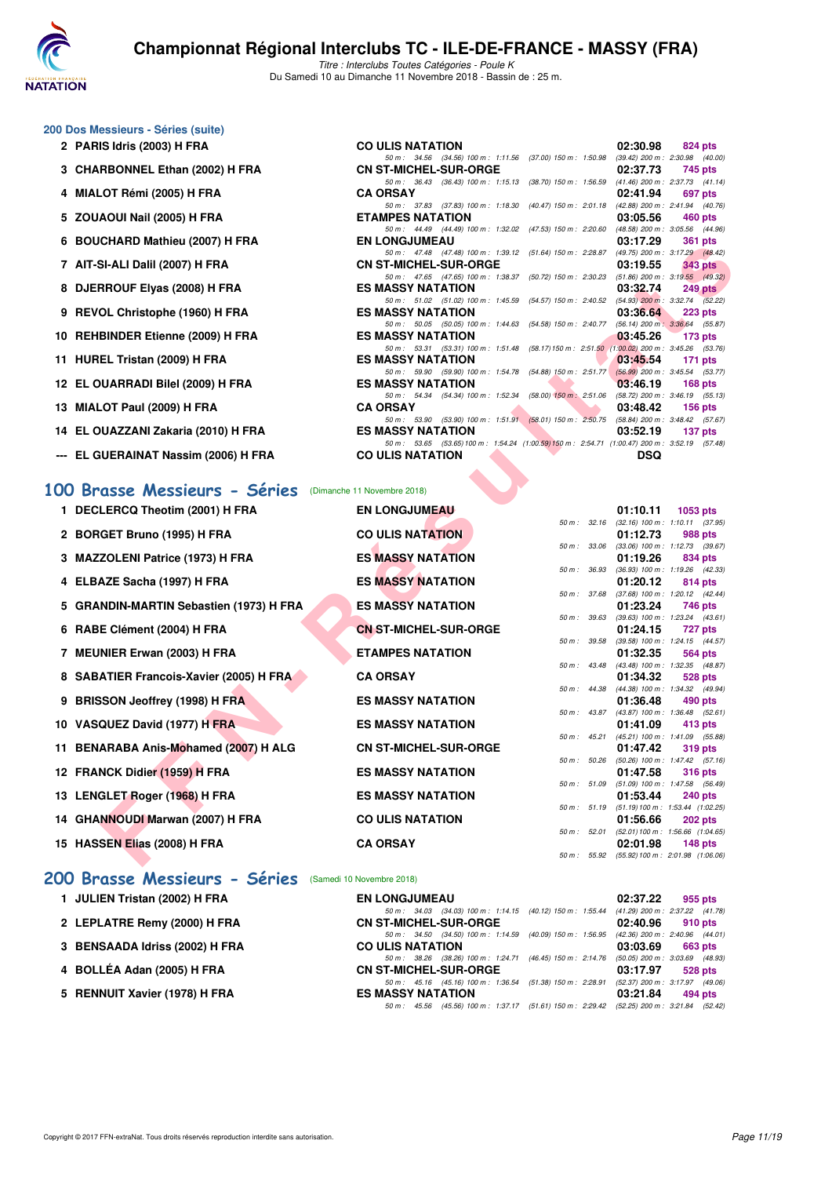

Titre : Interclubs Toutes Catégories - Poule K Du Samedi 10 au Dimanche 11 Novembre 2018 - Bassin de : 25 m.

50 m : 34.56 (34.56) 100 m : 1:11.56 (37.00) 150 m : 1:50.98

50 m : 37.83 (37.83) 100 m : 1:18.30 (40.47) 150 m : 2:01.18 <br>**ETAMPES NATATION** 

50 m :  $44.49$  ( $44.49$ ) 100 m : 1:32.02 ( $47.53$ ) 150 m : 2:20.60<br>**EN LONGJUMEAU** 

50 m: 36.43 (36.43) 100 m: 1:15.13 (38.70) 150 m: 1:56.59 (41.46) 200 m: 2:37.73 (41.1<br>**CA ORSAY** 02:41.94 697 pts

#### **200 Dos Messieurs - Séries (suite)**

- **2 PARIS Idris (2003) H FRA CO ULIS NATATION 02:30.98 824 pts 03:30.98 824 pts 69:42 03:30.98 824 pts 69:42 00:30 60:42 00:30 <b>15:45 69:42 00:50 15:50 15:00 15:00 15:00 15:00 15:00**
- **3 CHARBONNEL Ethan (2002) H FRA** CN ST-MICHEL-SUR-ORGE 02:37.73 745 pts<br>
50 m i 38.43 (86.43) 100 m i 1:513 (38.70) 150 m i 1:55.59 (41.46) 200 m i 2:37.73 (41.14)
- **4 MIALOT Rémi (2005) H FRA CA ORSAY 02:41.94 02:41.94 02:41.94 697 pts**<br> **697 pts**<br> **697 pts**<br> **697 pts**<br> **697 pts**
- **5 ZOUAOUI Nail (2005) H FRA ETAMPES NATATION 03:05.56 460 pts**<br>  $\frac{50 \text{ m} \div 44.49 \div 100 \text{ m} \div 1.32.02}$  (47.53) 150 m; 220.60 (48.58) 200 m; 3.05.56 (44.96)
- **6 BOUCHARD Mathieu (2007) H FRA EN LONGJUMEAU 03:17.29 361 pts**
- **7 AIT-SI-ALI Dalil (2007) H FRA CN ST-MICHEL-SUR-ORGE 03:19.55 343 pts**
- **8 DJERROUF Elyas (2008) H FRA ES MASSY NATATION 03:32.74 249 pts**
- **9 REVOL Christophe (1960) H FRA ES MASSY NATATION 03:36.64 223 pts**
- **10 REHBINDER Etienne (2009) H FRA ES MASSY NATATION 03:45.26 173 pts**
- **11 HUREL Tristan (2009) H FRA ES MASSY NATATION** 50 m: 59.90 (59.90) 100 m: 1:54.78 (54.88) 150 m: 2:51.77 (56.99) 200 m: 3:45.54 (53.77)
- **12 EL OUARRADI Bilel (2009) H FRA** ES MASSY NATATION **03:46.19 168 pts**<br> **12 EL OUARRADI Bilel (2009) H FRA** ES MASSY NATATION **60m:** 1:52.34 (58.00) 150m: 2:51.06 (58.72) 200m: 3:46.19 (55.13)
- **13 MIALOT Paul (2009) H FRA CA ORSAY 03:48.42 03:48.42 156 pts 03:48.42 156 pts 68.84 156 pts 13.90 13.90 13.90 13.90 13.90 13.90 13.90 13.90 13.90 13.90 13.90 13.90 13.90 15.91**
- **14 EL OUAZZANI Zakaria (2010) H FRA ES MASSY NATATION 03:52.19 137 pts**
- **--- EL GUERAINAT Nassim (2006) H FRA**

#### **[100 Brasse Messieurs - Séries](http://www.ffnatation.fr/webffn/resultats.php?idact=nat&go=epr&idcpt=56509&idepr=72)** (Dimanche 11 Novembre 2018)

|   | $\sigma$ BOOCHARD Mathled (2007) IT FRA                   | EN LUNGJUMEAU                                                                                                            |              | UJ.II.ZJ                                     | งง เ มเจ                                           |
|---|-----------------------------------------------------------|--------------------------------------------------------------------------------------------------------------------------|--------------|----------------------------------------------|----------------------------------------------------|
|   | 7 AIT-SI-ALI Dalil (2007) H FRA                           | 50 m: 47.48 (47.48) 100 m: 1:39.12 (51.64) 150 m: 2:28.87 (49.75) 200 m: 3:17.29 (48.42)<br><b>CN ST-MICHEL-SUR-ORGE</b> |              | 03:19.55                                     | <b>343 pts</b>                                     |
|   |                                                           | 50 m: 47.65 (47.65) 100 m: 1:38.37 (50.72) 150 m: 2:30.23 (51.86) 200 m: 3:19.55 (49.32)                                 |              |                                              |                                                    |
|   | 8 DJERROUF Elyas (2008) H FRA                             | <b>ES MASSY NATATION</b>                                                                                                 |              | 03:32.74                                     | $249$ pts                                          |
|   | 9 REVOL Christophe (1960) H FRA                           | 50 m: 51.02 (51.02) 100 m: 1:45.59 (54.57) 150 m: 2:40.52 (54.93) 200 m: 3:32.74 (52.22)<br><b>ES MASSY NATATION</b>     |              | 03:36.64                                     | 223 pts                                            |
|   |                                                           | 50 m : 50.05 (50.05) 100 m : 1:44.63 (54.58) 150 m : 2:40.77                                                             |              |                                              | (56.14) 200 m : 3:36.64 (55.87)                    |
|   | 10 REHBINDER Etienne (2009) H FRA                         | <b>ES MASSY NATATION</b>                                                                                                 |              | 03:45.26                                     | 173 pts                                            |
|   |                                                           | 50 m: 53.31 (53.31) 100 m: 1:51.48 (58.17) 150 m: 2:51.50 (1:00.02) 200 m: 3:45.26 (53.76)                               |              |                                              |                                                    |
|   | 11 HUREL Tristan (2009) H FRA                             | <b>ES MASSY NATATION</b>                                                                                                 |              | 03:45.54                                     | $171$ pts                                          |
|   | 12 EL OUARRADI Bilel (2009) H FRA                         | 50 m: 59.90 (59.90) 100 m: 1:54.78 (54.88) 150 m: 2:51.77<br><b>ES MASSY NATATION</b>                                    |              | 03:46.19                                     | $(56.99)$ 200 m : 3:45.54 $(53.77)$<br>$168$ pts   |
|   |                                                           | 50 m: 54.34 (54.34) 100 m: 1:52.34 (58.00) 150 m: 2:51.06 (58.72) 200 m: 3:46.19 (55.13)                                 |              |                                              |                                                    |
|   | 13 MIALOT Paul (2009) H FRA                               | <b>CA ORSAY</b>                                                                                                          |              | 03:48.42                                     | $156$ pts                                          |
|   |                                                           | 50 m: 53.90 (53.90) 100 m: 1:51.91 (58.01) 150 m: 2:50.75 (58.84) 200 m: 3:48.42 (57.67)                                 |              |                                              |                                                    |
|   | 14 EL OUAZZANI Zakaria (2010) H FRA                       | <b>ES MASSY NATATION</b>                                                                                                 |              | 03:52.19                                     | 137 pts                                            |
|   | --- EL GUERAINAT Nassim (2006) H FRA                      | 50 m: 53.65 (53.65) 100 m: 1:54.24 (1:00.59) 150 m: 2:54.71 (1:00.47) 200 m: 3:52.19 (57.48)<br><b>CO ULIS NATATION</b>  |              | <b>DSQ</b>                                   |                                                    |
|   |                                                           |                                                                                                                          |              |                                              |                                                    |
|   | 100 Brasse Messieurs - Séries (Dimanche 11 Novembre 2018) |                                                                                                                          |              |                                              |                                                    |
|   | 1 DECLERCQ Theotim (2001) H FRA                           | <b>EN LONGJUMEAU</b>                                                                                                     | 50 m : 32.16 | 01:10.11                                     | 1053 $pts$<br>$(32.16)$ 100 m : 1:10.11 $(37.95)$  |
|   | 2 BORGET Bruno (1995) H FRA                               | <b>CO ULIS NATATION</b>                                                                                                  |              | 01:12.73                                     | 988 pts                                            |
|   |                                                           |                                                                                                                          | 50 m : 33.06 |                                              | (33.06) 100 m: 1:12.73 (39.67)                     |
|   | 3 MAZZOLENI Patrice (1973) H FRA                          | <b>ES MASSY NATATION</b>                                                                                                 |              | 01:19.26                                     | 834 pts                                            |
|   |                                                           |                                                                                                                          | 50 m: 36.93  |                                              | (36.93) 100 m: 1:19.26 (42.33)                     |
|   | 4 ELBAZE Sacha (1997) H FRA                               | <b>ES MASSY NATATION</b>                                                                                                 | 50 m: 37.68  | 01:20.12                                     | 814 pts<br>(37.68) 100 m: 1:20.12 (42.44)          |
|   | 5 GRANDIN-MARTIN Sebastien (1973) H FRA                   | <b>ES MASSY NATATION</b>                                                                                                 |              | 01:23.24                                     | 746 pts                                            |
|   |                                                           |                                                                                                                          | 50 m: 39.63  |                                              | $(39.63)$ 100 m : 1:23.24 $(43.61)$                |
|   | 6 RABE Clément (2004) H FRA                               | <b>CN ST-MICHEL-SUR-ORGE</b>                                                                                             |              | 01:24.15                                     | 727 pts                                            |
|   |                                                           |                                                                                                                          | 50 m : 39.58 |                                              | (39.58) 100 m: 1:24.15 (44.57)                     |
|   | 7 MEUNIER Erwan (2003) H FRA                              | <b>ETAMPES NATATION</b>                                                                                                  |              | 01:32.35                                     | 564 pts                                            |
| 8 | <b>SABATIER Francois-Xavier (2005) H FRA</b>              | <b>CA ORSAY</b>                                                                                                          | 50 m: 43.48  | 01:34.32                                     | (43.48) 100 m : 1:32.35 (48.87)<br>528 pts         |
|   |                                                           |                                                                                                                          | 50 m: 44.38  |                                              | (44.38) 100 m: 1:34.32 (49.94)                     |
|   | 9 BRISSON Jeoffrey (1998) H FRA                           | <b>ES MASSY NATATION</b>                                                                                                 |              | 01:36.48                                     | 490 pts                                            |
|   |                                                           |                                                                                                                          | 50 m : 43.87 |                                              | (43.87) 100 m: 1:36.48 (52.61)                     |
|   | 10 VASQUEZ David (1977) H FRA                             | <b>ES MASSY NATATION</b>                                                                                                 |              | 01:41.09                                     | 413 pts                                            |
|   | 11 BENARABA Anis-Mohamed (2007) H ALG                     | <b>CN ST-MICHEL-SUR-ORGE</b>                                                                                             | 50 m : 45.21 | 01:47.42                                     | (45.21) 100 m: 1:41.09 (55.88)<br>319 pts          |
|   |                                                           |                                                                                                                          | 50 m: 50.26  |                                              | $(50.26)$ 100 m : 1:47.42 $(57.16)$                |
|   | 12 FRANCK Didier (1959) H FRA                             | <b>ES MASSY NATATION</b>                                                                                                 |              | 01:47.58                                     | <b>316 pts</b>                                     |
|   |                                                           |                                                                                                                          | 50 m : 51.09 |                                              | $(51.09)$ 100 m : 1:47.58 $(56.49)$                |
|   | 13 LENGLET Roger (1968) H FRA                             | <b>ES MASSY NATATION</b>                                                                                                 |              | 01:53.44                                     | 240 pts                                            |
|   | 14 GHANNOUDI Marwan (2007) H FRA                          | <b>CO ULIS NATATION</b>                                                                                                  | 50 m: 51.19  |                                              | $(51.19)100 \text{ m}: 1:53.44 (1:02.25)$          |
|   |                                                           |                                                                                                                          | 50 m: 52.01  | 01:56.66                                     | <b>202 pts</b><br>(52.01) 100 m: 1:56.66 (1:04.65) |
|   | 15 HASSEN Elias (2008) H FRA                              | <b>CA ORSAY</b>                                                                                                          |              | 02:01.98                                     | 148 pts                                            |
|   |                                                           |                                                                                                                          |              | 50 m: 55.92 (55.92) 100 m: 2:01.98 (1:06.06) |                                                    |
|   |                                                           |                                                                                                                          |              |                                              |                                                    |

#### **[200 Brasse Messieurs - Séries](http://www.ffnatation.fr/webffn/resultats.php?idact=nat&go=epr&idcpt=56509&idepr=73)** (Samedi 10 Novembre 2018)

| 1 JULIEN Tristan (2002) H FRA  | <b>EN LONGJUMEAU</b>                                                                    | 02:37.22                        | 955 pts |
|--------------------------------|-----------------------------------------------------------------------------------------|---------------------------------|---------|
|                                | 50 m: 34.03 (34.03) 100 m: 1:14.15 (40.12) 150 m: 1:55.44                               | (41.29) 200 m : 2:37.22 (41.78) |         |
| 2 LEPLATRE Remy (2000) H FRA   | <b>CN ST-MICHEL-SUR-ORGE</b>                                                            | 02:40.96                        | 910 pts |
|                                | 50 m: 34.50 (34.50) 100 m: 1:14.59 (40.09) 150 m: 1:56.95                               | (42.36) 200 m : 2:40.96 (44.01) |         |
| 3 BENSAADA Idriss (2002) H FRA | <b>CO ULIS NATATION</b>                                                                 | 03:03.69                        | 663 pts |
|                                | 50 m: 38.26 (38.26) 100 m: 1:24.71 (46.45) 150 m: 2:14.76                               | (50.05) 200 m : 3:03.69 (48.93) |         |
| 4 BOLLÉA Adan (2005) H FRA     | <b>CN ST-MICHEL-SUR-ORGE</b>                                                            | 03:17.97                        | 528 pts |
|                                | 50 m: 45.16 (45.16) 100 m: 1:36.54 (51.38) 150 m: 2:28.91                               | (52.37) 200 m : 3:17.97 (49.06) |         |
| 5 RENNUIT Xavier (1978) H FRA  | <b>ES MASSY NATATION</b>                                                                | 03:21.84                        | 494 pts |
|                                | 50 m: 45.56 (45.56) 100 m: 1:37.17 (51.61) 150 m: 2:29.42 (52.25) 200 m: 3:21.84 (52.42 |                                 |         |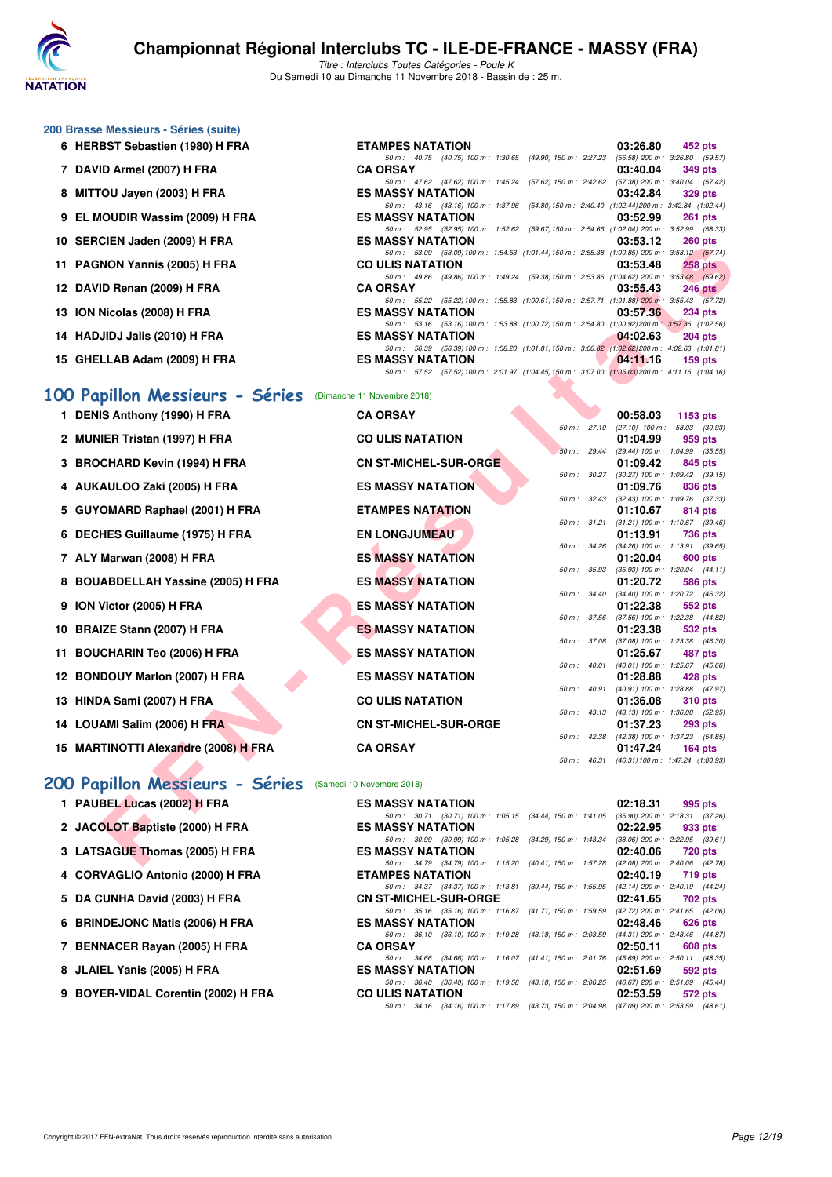

Titre : Interclubs Toutes Catégories - Poule K Du Samedi 10 au Dimanche 11 Novembre 2018 - Bassin de : 25 m.

50 m : 40.75 (40.75) 100 m : 1:30.65 (49.90) 150 m : 2:27.23 (56.58) 200 m : 3:26.80 (59.57)<br> **RSAY** 03:40.04 349 pts

50 m : 52.95 (52.95) 100 m : 1:52.62 (59.67)150 m : 2:54.66 (1:02.04) 200 m : 3:52.99 (58.33)

50 m: 43.16 (43.16) 100 m: 1:37.96 (54.80)150 m: 2:40.40 (1:02.44)200 m: 3:42.84 (1:02.44)<br>**ES MASSY NATATION** 03:52.99 261 pts

50 m : 47.62 (47.62) 100 m : 1:45.24 (57.62) 150 m : 2:42.62 (57.38) 200 m : <br>**ES MASSY NATATION** 03:42.84

#### **200 Brasse Messieurs - Séries (suite)**

- **6 HERBST Sebastien (1980) H FRA ETAMPES NATATION 03:26.80 452 pts**
- **7 DAVID Armel (2007) H FRA CA ORSAY 03:40.04 349 pts**
- **8 MITTOU Jayen (2003) H FRA ES MASSY NATATION 03:42.84 329 pts**
- **9 EL MOUDIR Wassim (2009) H FRA ES MASSY NATATION 03:52.99 261 pts**
- **10 SERCIEN Jaden (2009) H FRA ES MASSY NATATION 03:53.12 260 pts**
- **11 PAGNON Yannis (2005) H FRA CO ULIS NATATION 03:53.48 258 pts**
- **13 ION Nicolas (2008) H FRA ES MASSY NATATION 03:57.36 234 pts**
- **14 HADJIDJ Jalis (2010) H FRA ES MASSY NATATION 04:02.63 204 pts**
- 

#### 50 m : 56.39 (56.39)100 m : 1:58.20 (1:01.81)150 m : 3:00.82 (1:02.62)200 m : 4:02.63 (1:01.81) **15 GHELLAB Adam (2009) H FRA ES MASSY NATATION 159 Pts** 50 m : 57.52 (57.52)100 m : 2:01.97 (1:04.45)150 m : 3:07.00 (1:05.03)200 m : 4:11.16 (1:04.16)

#### **[100 Papillon Messieurs - Séries](http://www.ffnatation.fr/webffn/resultats.php?idact=nat&go=epr&idcpt=56509&idepr=82)** (Dimanche 11 Novembre 2018)

| <b>ID SENVIEN JAUGH (4003) II FRA</b>                    | EJ MAJJI NATATIVN                                                                                                          |              | 00.00.IZ | ZUU NIS                                               |
|----------------------------------------------------------|----------------------------------------------------------------------------------------------------------------------------|--------------|----------|-------------------------------------------------------|
| 11 PAGNON Yannis (2005) H FRA                            | 50 m: 53.09 (53.09) 100 m: 1:54.53 (1:01.44) 150 m: 2:55.38 (1:00.85) 200 m: 3:53.12 (57.74)<br><b>CO ULIS NATATION</b>    |              | 03:53.48 | <b>258 pts</b>                                        |
|                                                          | 50 m: 49.86 (49.86) 100 m: 1:49.24 (59.38) 150 m: 2:53.86 (1:04.62) 200 m: 3:53.48 (59.62)                                 |              |          |                                                       |
| 12 DAVID Renan (2009) H FRA                              | <b>CA ORSAY</b><br>50 m: 55.22 (55.22) 100 m: 1:55.83 (1:00.61) 150 m: 2:57.71 (1:01.88) 200 m: 3:55.43 (57.72)            |              | 03:55.43 | 246 pts                                               |
| 13 ION Nicolas (2008) H FRA                              | <b>ES MASSY NATATION</b>                                                                                                   |              | 03:57.36 | 234 pts                                               |
|                                                          | 50 m: 53.16 (53.16) 100 m: 1:53.88 (1:00.72) 150 m: 2:54.80 (1:00.92) 200 m: 3:57.36 (1:02.56)                             |              |          |                                                       |
| 14 HADJIDJ Jalis (2010) H FRA                            | <b>ES MASSY NATATION</b>                                                                                                   |              | 04:02.63 | 204 pts                                               |
|                                                          | 50 m: 56.39 (56.39) 100 m: 1:58.20 (1:01.81) 150 m: 3:00.82 (1:02.62) 200 m: 4:02.63 (1:01.81)                             |              |          |                                                       |
| 15 GHELLAB Adam (2009) H FRA                             | <b>ES MASSY NATATION</b><br>50 m: 57.52 (57.52) 100 m: 2:01.97 (1:04.45) 150 m: 3:07.00 (1:05.03) 200 m: 4:11.16 (1:04.16) |              | 04:11.16 | $159$ pts                                             |
|                                                          |                                                                                                                            |              |          |                                                       |
| 00 Papillon Messieurs - Séries                           | (Dimanche 11 Novembre 2018)                                                                                                |              |          |                                                       |
| 1 DENIS Anthony (1990) H FRA                             | <b>CA ORSAY</b>                                                                                                            |              | 00:58.03 | 1153 pts                                              |
|                                                          |                                                                                                                            |              |          | 50 m: 27.10 (27.10) 100 m: 58.03 (30.93)              |
| 2 MUNIER Tristan (1997) H FRA                            | <b>CO ULIS NATATION</b>                                                                                                    |              | 01:04.99 | 959 pts                                               |
|                                                          |                                                                                                                            | 50 m: 29.44  |          | (29.44) 100 m: 1:04.99 (35.55)                        |
| 3 BROCHARD Kevin (1994) H FRA                            | <b>CN ST-MICHEL-SUR-ORGE</b>                                                                                               | 50 m: 30.27  | 01:09.42 | 845 pts<br>$(30.27)$ 100 m : 1:09.42 $(39.15)$        |
| 4 AUKAULOO Zaki (2005) H FRA                             | <b>ES MASSY NATATION</b>                                                                                                   |              | 01:09.76 | 836 pts                                               |
|                                                          |                                                                                                                            | 50 m: 32.43  |          | $(32.43)$ 100 m : 1:09.76 $(37.33)$                   |
| 5 GUYOMARD Raphael (2001) H FRA                          | <b>ETAMPES NATATION</b>                                                                                                    |              | 01:10.67 | 814 pts                                               |
|                                                          |                                                                                                                            | 50 m : 31.21 |          | $(31.21)$ 100 m : 1:10.67 $(39.46)$                   |
| 6 DECHES Guillaume (1975) H FRA                          | <b>EN LONGJUMEAU</b>                                                                                                       |              | 01:13.91 | 736 pts                                               |
| 7 ALY Marwan (2008) H FRA                                | <b>ES MASSY NATATION</b>                                                                                                   |              | 01:20.04 | 50 m: 34.26 (34.26) 100 m: 1:13.91 (39.65)<br>600 pts |
|                                                          |                                                                                                                            | 50 m : 35.93 |          | $(35.93)$ 100 m : 1:20.04 $(44.11)$                   |
| 8 BOUABDELLAH Yassine (2005) H FRA                       | <b>ES MASSY NATATION</b>                                                                                                   |              | 01:20.72 | 586 pts                                               |
|                                                          |                                                                                                                            |              |          | 50 m: 34.40 (34.40) 100 m: 1:20.72 (46.32)            |
| 9 ION Victor (2005) H FRA                                | <b>ES MASSY NATATION</b>                                                                                                   |              | 01:22.38 | 552 pts<br>50 m: 37.56 (37.56) 100 m: 1:22.38 (44.82) |
| 10 BRAIZE Stann (2007) H FRA                             | <b>ES MASSY NATATION</b>                                                                                                   |              | 01:23.38 | 532 pts                                               |
|                                                          |                                                                                                                            | 50 m : 37.08 |          | $(37.08)$ 100 m : 1:23.38 $(46.30)$                   |
| 11 BOUCHARIN Teo (2006) H FRA                            | <b>ES MASSY NATATION</b>                                                                                                   |              | 01:25.67 | 487 pts                                               |
|                                                          |                                                                                                                            | 50 m : 40.01 |          | $(40.01)$ 100 m : 1:25.67 $(45.66)$                   |
| 12 BONDOUY Marlon (2007) H FRA                           | <b>ES MASSY NATATION</b>                                                                                                   | 50 m : 40.91 | 01:28.88 | 428 pts<br>(40.91) 100 m: 1:28.88 (47.97)             |
| 13 HINDA Sami (2007) H FRA                               | <b>CO ULIS NATATION</b>                                                                                                    |              | 01:36.08 | 310 pts                                               |
|                                                          |                                                                                                                            |              |          | 50 m: 43.13 (43.13) 100 m: 1:36.08 (52.95)            |
| 14 LOUAMI Salim (2006) H FRA                             | <b>CN ST-MICHEL-SUR-ORGE</b>                                                                                               |              | 01:37.23 | <b>293 pts</b>                                        |
|                                                          |                                                                                                                            | 50 m : 42.38 |          | (42.38) 100 m: 1:37.23 (54.85)                        |
| 15 MARTINOTTI Alexandre (2008) H FRA                     | <b>CA ORSAY</b>                                                                                                            | 50 m : 46.31 | 01:47.24 | 164 $pts$<br>(46.31) 100 m: 1:47.24 (1:00.93)         |
|                                                          |                                                                                                                            |              |          |                                                       |
| 00 Papillon Messieurs - Séries (Samedi 10 Novembre 2018) |                                                                                                                            |              |          |                                                       |
| 1 PAUBEL Lucas (2002) H FRA                              | <b>ES MASSY NATATION</b>                                                                                                   |              | 02:18.31 | 995 pts                                               |
|                                                          | 50 m: 30.71 (30.71) 100 m: 1:05.15 (34.44) 150 m: 1:41.05 (35.90) 200 m: 2:18.31 (37.26)                                   |              |          |                                                       |
| 2 JACOLOT Baptiste (2000) H FRA                          | <b>ES MASSY NATATION</b>                                                                                                   |              | 02:22.95 | 933 pts                                               |
|                                                          | 50 m: 30.99 (30.99) 100 m: 1:05.28 (34.29) 150 m: 1:43.34 (38.06) 200 m: 2:22.95 (39.61)                                   |              |          |                                                       |
| 3 LATSAGUE Thomas (2005) H FRA                           | <b>ES MASSY NATATION</b>                                                                                                   |              | 02:40.06 | <b>720 pts</b>                                        |
|                                                          | 50 m: 34.79 (34.79) 100 m: 1:15.20 (40.41) 150 m: 1:57.28 (42.08) 200 m: 2:40.06 (42.78)                                   |              |          |                                                       |

#### **[200 Papillon Messieurs - Séries](http://www.ffnatation.fr/webffn/resultats.php?idact=nat&go=epr&idcpt=56509&idepr=83)** (Samedi 10 Novembre 2018)

| <b>ES MASSY NATATION</b> |                                                                                         |  |  | $02:18.31$ 995 pts              |         |
|--------------------------|-----------------------------------------------------------------------------------------|--|--|---------------------------------|---------|
|                          | 50 m: 30.71 (30.71) 100 m: 1:05.15 (34.44) 150 m: 1:41.05 (35.90) 200 m: 2:18.31 (37.26 |  |  |                                 |         |
| <b>ES MASSY NATATION</b> |                                                                                         |  |  | $02:22.95$ 933 pts              |         |
|                          | 50 m : 30.99 (30.99) 100 m : 1:05.28 (34.29) 150 m : 1:43.34                            |  |  | (38.06) 200 m : 2:22.95 (39.61) |         |
| <b>ES MASSY NATATION</b> |                                                                                         |  |  | 02:40.06 720 pts                |         |
|                          | 50 m: 34.79 (34.79) 100 m: 1:15.20 (40.41) 150 m: 1:57.28                               |  |  | (42.08) 200 m : 2:40.06 (42.78) |         |
| <b>ETAMPES NATATION</b>  |                                                                                         |  |  | 02:40.19 719 pts                |         |
|                          | 50 m: 34.37 (34.37) 100 m: 1:13.81 (39.44) 150 m: 1:55.95 (42.14) 200 m: 2:40.19 (44.24 |  |  |                                 |         |
|                          | <b>CN ST-MICHEL-SUR-ORGE</b>                                                            |  |  | 02:41.65 702 pts                |         |
|                          | 50 m: 35.16 (35.16) 100 m: 1:16.87 (41.71) 150 m: 1:59.59 (42.72) 200 m: 2:41.65 (42.06 |  |  |                                 |         |
| <b>ES MASSY NATATION</b> |                                                                                         |  |  | 02:48.46 626 pts                |         |
|                          | 50 m: 36.10 (36.10) 100 m: 1:19.28 (43.18) 150 m: 2:03.59                               |  |  | (44.31) 200 m : 2:48.46 (44.87) |         |
| <b>CA ORSAY</b>          |                                                                                         |  |  | 02:50.11                        | 608 pts |
|                          | 50 m: 34.66 (34.66) 100 m: 1:16.07 (41.41) 150 m: 2:01.76 (45.69) 200 m: 2:50.11 (48.35 |  |  |                                 |         |
| <b>ES MASSY NATATION</b> |                                                                                         |  |  | 02:51.69                        | 592 pts |
|                          | 50 m: 36.40 (36.40) 100 m: 1:19.58 (43.18) 150 m: 2:06.25 (46.67) 200 m: 2:51.69 (45.44 |  |  |                                 |         |
| <b>CO ULIS NATATION</b>  |                                                                                         |  |  | 02:53.59                        | 572 pts |
|                          | 50 m: 34.16 (34.16) 100 m: 1:17.89 (43.73) 150 m: 2:04.98 (47.09) 200 m: 2:53.59 (48.61 |  |  |                                 |         |

- 4 CORVAGLIO Antonio (2000) H FRA
- 5 DA CUNHA David (2003) H FRA
- **6 BRINDEJONC Matis (2006) H FRA**
- **7 BENNACER Rayan (2005) H FRA**
- **8 JLAIEL Yanis (2005) H FRA**
- **9 BOYER-VIDAL Corentin (2002) H FRA**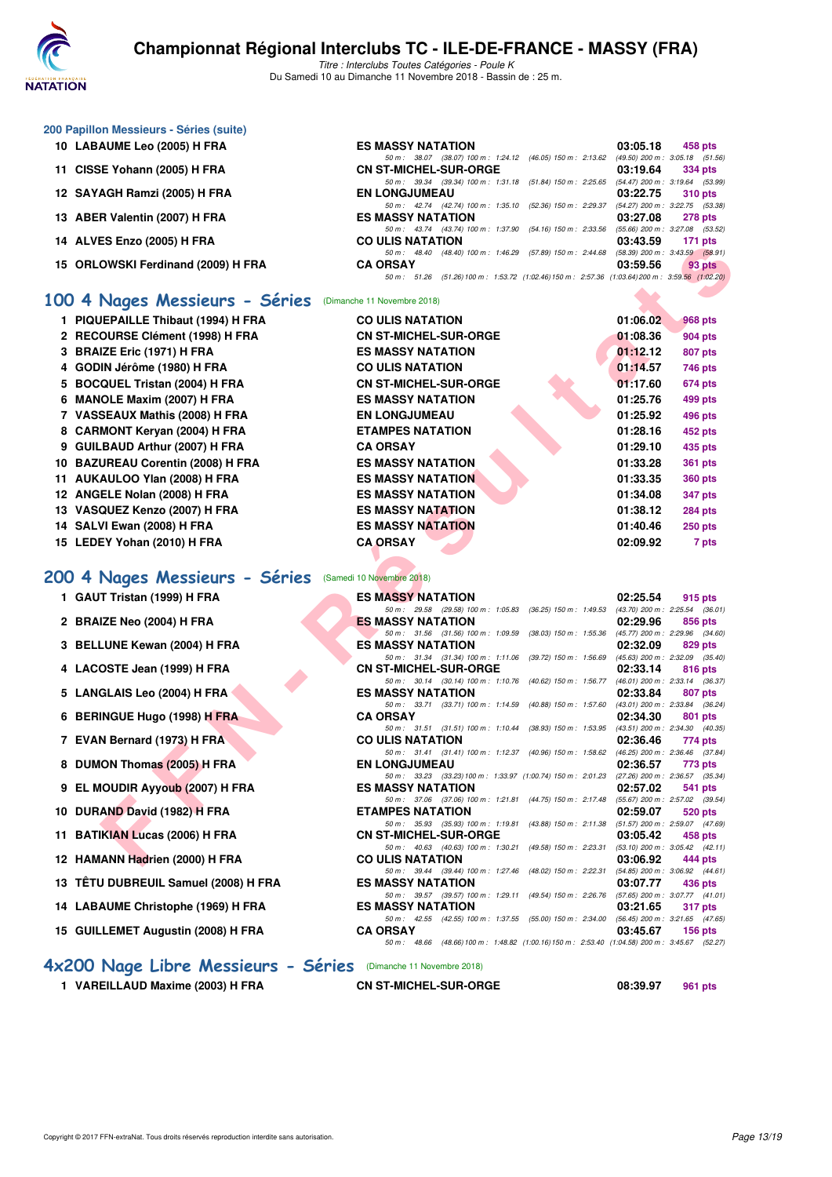

**200 Papillon Messieurs - Séries (suite)**

**13 TÊTU DUBREUIL Samuel (2008) H FRA** 

**14 LABAUME Christophe (1969) H FRA** 

15 GUILLEMET Augustin (2008) H FRA

# **Championnat Régional Interclubs TC - ILE-DE-FRANCE - MASSY (FRA)**

Titre : Interclubs Toutes Catégories - Poule K Du Samedi 10 au Dimanche 11 Novembre 2018 - Bassin de : 25 m.

| 10 LABAUME Leo (2005) H FRA                                                                                                                                                                                                                                                                                                        | <b>ES MASSY NATATION</b>                                                                       | 03:05.18 | 458 pts                             |
|------------------------------------------------------------------------------------------------------------------------------------------------------------------------------------------------------------------------------------------------------------------------------------------------------------------------------------|------------------------------------------------------------------------------------------------|----------|-------------------------------------|
|                                                                                                                                                                                                                                                                                                                                    | 50 m: 38.07 (38.07) 100 m: 1:24.12 (46.05) 150 m: 2:13.62                                      |          | $(49.50)$ 200 m : 3:05.18 $(51.56)$ |
| 11 CISSE Yohann (2005) H FRA                                                                                                                                                                                                                                                                                                       | <b>CN ST-MICHEL-SUR-ORGE</b>                                                                   | 03:19.64 | <b>334 pts</b>                      |
|                                                                                                                                                                                                                                                                                                                                    | 50 m: 39.34 (39.34) 100 m: 1:31.18 (51.84) 150 m: 2:25.65                                      |          | $(54.47)$ 200 m : 3:19.64 $(53.99)$ |
| 12 SAYAGH Ramzi (2005) H FRA                                                                                                                                                                                                                                                                                                       | <b>EN LONGJUMEAU</b>                                                                           | 03:22.75 | 310 pts                             |
|                                                                                                                                                                                                                                                                                                                                    | 50 m: 42.74 (42.74) 100 m: 1:35.10 (52.36) 150 m: 2:29.37                                      |          | $(54.27)$ 200 m : 3:22.75 $(53.38)$ |
| 13 ABER Valentin (2007) H FRA                                                                                                                                                                                                                                                                                                      | <b>ES MASSY NATATION</b>                                                                       | 03:27.08 | <b>278 pts</b>                      |
|                                                                                                                                                                                                                                                                                                                                    | 50 m: 43.74 (43.74) 100 m: 1:37.90 (54.16) 150 m: 2:33.56                                      |          | $(55.66)$ 200 m : 3:27.08 $(53.52)$ |
| 14 ALVES Enzo (2005) H FRA                                                                                                                                                                                                                                                                                                         | <b>CO ULIS NATATION</b>                                                                        | 03:43.59 | 171 $pts$                           |
|                                                                                                                                                                                                                                                                                                                                    | 50 m: 48.40 (48.40) 100 m: 1:46.29 (57.89) 150 m: 2:44.68                                      |          | $(58.39)$ 200 m : 3:43.59 $(58.91)$ |
| 15 ORLOWSKI Ferdinand (2009) H FRA                                                                                                                                                                                                                                                                                                 | <b>CA ORSAY</b>                                                                                | 03:59.56 | 93 pts                              |
|                                                                                                                                                                                                                                                                                                                                    | 50 m: 51.26 (51.26) 100 m: 1:53.72 (1:02.46) 150 m: 2:57.36 (1:03.64) 200 m: 3:59.56 (1:02.20) |          |                                     |
| $\overline{a}$ and $\overline{a}$ and $\overline{a}$ and $\overline{a}$ and $\overline{a}$ and $\overline{a}$ and $\overline{a}$ and $\overline{a}$ and $\overline{a}$ and $\overline{a}$ and $\overline{a}$ and $\overline{a}$ and $\overline{a}$ and $\overline{a}$ and $\overline{a}$ and $\overline{a}$ and $\overline{a}$ and |                                                                                                |          |                                     |

#### **[100 4 Nages Messieurs - Séries](http://www.ffnatation.fr/webffn/resultats.php?idact=nat&go=epr&idcpt=56509&idepr=90)** (Dimanche 11 Novembre 2018)

| <b>IT ALVES EIKU (2003) ILL THA</b> | UU ULIJ IYATATIUN                                                                                                    | UJ.43.JJ | $111 \mu s$                                    |
|-------------------------------------|----------------------------------------------------------------------------------------------------------------------|----------|------------------------------------------------|
| 15 ORLOWSKI Ferdinand (2009) H FRA  | 50 m: 48.40 (48.40) 100 m: 1:46.29 (57.89) 150 m: 2:44.68 (58.39) 200 m: 3:43.59 (58.91)<br><b>CA ORSAY</b>          | 03:59.56 | 93 pts                                         |
|                                     | 50 m: 51.26 (51.26) 100 m: 1:53.72 (1:02.46) 150 m: 2:57.36 (1:03.64) 200 m: 3:59.56 (1:02.20)                       |          |                                                |
| 00 4 Nages Messieurs - Séries       | (Dimanche 11 Novembre 2018)                                                                                          |          |                                                |
| 1 PIQUEPAILLE Thibaut (1994) H FRA  | <b>CO ULIS NATATION</b>                                                                                              | 01:06.02 | 968 pts                                        |
| 2 RECOURSE Clément (1998) H FRA     | <b>CN ST-MICHEL-SUR-ORGE</b>                                                                                         | 01:08.36 | 904 pts                                        |
| 3 BRAIZE Eric (1971) H FRA          | <b>ES MASSY NATATION</b>                                                                                             | 01:12.12 | 807 pts                                        |
| 4 GODIN Jérôme (1980) H FRA         | <b>CO ULIS NATATION</b>                                                                                              | 01:14.57 | 746 pts                                        |
| 5 BOCQUEL Tristan (2004) H FRA      | <b>CN ST-MICHEL-SUR-ORGE</b>                                                                                         | 01:17.60 | 674 pts                                        |
| 6 MANOLE Maxim (2007) H FRA         | <b>ES MASSY NATATION</b>                                                                                             | 01:25.76 | 499 pts                                        |
| 7 VASSEAUX Mathis (2008) H FRA      | <b>EN LONGJUMEAU</b>                                                                                                 | 01:25.92 | 496 pts                                        |
| 8 CARMONT Keryan (2004) H FRA       | <b>ETAMPES NATATION</b>                                                                                              | 01:28.16 | 452 pts                                        |
| 9 GUILBAUD Arthur (2007) H FRA      | <b>CA ORSAY</b>                                                                                                      | 01:29.10 | 435 pts                                        |
| 10 BAZUREAU Corentin (2008) H FRA   | <b>ES MASSY NATATION</b>                                                                                             | 01:33.28 | <b>361 pts</b>                                 |
| 11 AUKAULOO Ylan (2008) H FRA       | <b>ES MASSY NATATION</b>                                                                                             | 01:33.35 | <b>360 pts</b>                                 |
| 12 ANGELE Nolan (2008) H FRA        | <b>ES MASSY NATATION</b>                                                                                             | 01:34.08 | 347 pts                                        |
| 13 VASQUEZ Kenzo (2007) H FRA       | <b>ES MASSY NATATION</b>                                                                                             | 01:38.12 | 284 pts                                        |
| 14 SALVI Ewan (2008) H FRA          | <b>ES MASSY NATATION</b>                                                                                             | 01:40.46 | <b>250 pts</b>                                 |
| 15 LEDEY Yohan (2010) H FRA         | <b>CA ORSAY</b>                                                                                                      | 02:09.92 | 7 pts                                          |
|                                     |                                                                                                                      |          |                                                |
| 00 4 Nages Messieurs - Séries       | (Samedi 10 Novembre 2018)                                                                                            |          |                                                |
| 1 GAUT Tristan (1999) H FRA         | <b>ES MASSY NATATION</b>                                                                                             | 02:25.54 | 915 pts                                        |
| 2 BRAIZE Neo (2004) H FRA           | 50 m: 29.58 (29.58) 100 m: 1:05.83 (36.25) 150 m: 1:49.53 (43.70) 200 m: 2:25.54 (36.01)<br><b>ES MASSY NATATION</b> | 02:29.96 | 856 pts                                        |
|                                     | 50 m: 31.56 (31.56) 100 m: 1:09.59<br>$(38.03)$ 150 m : 1:55.36                                                      |          | $(45.77)$ 200 m : 2:29.96 $(34.60)$            |
| 3 BELLUNE Kewan (2004) H FRA        | <b>ES MASSY NATATION</b>                                                                                             | 02:32.09 | 829 pts                                        |
| 4 LACOSTE Jean (1999) H FRA         | 50 m: 31.34 (31.34) 100 m: 1:11.06<br>$(39.72)$ 150 m : 1:56.69<br><b>CN ST-MICHEL-SUR-ORGE</b>                      | 02:33.14 | $(45.63)$ 200 m : 2:32.09 $(35.40)$<br>816 pts |
|                                     | 50 m: 30.14 (30.14) 100 m: 1:10.76<br>(40.62) 150 m : 1:56.77                                                        |          | $(46.01)$ 200 m : 2:33.14 (36.37)              |
| 5 LANGLAIS Leo (2004) H FRA         | <b>ES MASSY NATATION</b>                                                                                             | 02:33.84 | 807 pts                                        |
| 6 BERINGUE Hugo (1998) H FRA        | 50 m: 33.71 (33.71) 100 m: 1:14.59<br>(40.88) 150 m : 1:57.60<br><b>CA ORSAY</b>                                     | 02:34.30 | (43.01) 200 m : 2:33.84 (36.24)<br>801 pts     |
|                                     | 50 m: 31.51 (31.51) 100 m: 1:10.44 (38.93) 150 m: 1:53.95 (43.51) 200 m: 2:34.30 (40.35)                             |          |                                                |
| 7 EVAN Bernard (1973) H FRA         | <b>CO ULIS NATATION</b>                                                                                              | 02:36.46 | 774 pts                                        |
| 8 DUMON Thomas (2005) H FRA         | 50 m: 31.41 (31.41) 100 m: 1:12.37 (40.96) 150 m: 1:58.62 (46.25) 200 m: 2:36.46 (37.84)<br><b>EN LONGJUMEAU</b>     | 02:36.57 | 773 pts                                        |
|                                     | 50 m: 33.23 (33.23) 100 m: 1:33.97 (1:00.74) 150 m: 2:01.23 (27.26) 200 m: 2:36.57 (35.34)                           |          |                                                |
| 9 EL MOUDIR Ayyoub (2007) H FRA     | <b>ES MASSY NATATION</b>                                                                                             | 02:57.02 | 541 pts                                        |
| 10 DURAND David (1982) H FRA        | 50 m: 37.06 (37.06) 100 m: 1:21.81 (44.75) 150 m: 2:17.48<br><b>ETAMPES NATATION</b>                                 | 02:59.07 | $(55.67)$ 200 m : 2:57.02 $(39.54)$<br>520 pts |
|                                     | 50 m: 35.93 (35.93) 100 m: 1:19.81 (43.88) 150 m: 2:11.38 (51.57) 200 m: 2:59.07 (47.69)                             |          |                                                |
| 11 BATIKIAN Lucas (2006) H FRA      | <b>CN ST-MICHEL-SUR-ORGE</b>                                                                                         | 03:05.42 | 458 pts                                        |
|                                     | 50 m: 40.63 (40.63) 100 m: 1:30.21 (49.58) 150 m: 2:23.31<br><b>CO ULIS NATATION</b>                                 |          | $(53.10)$ 200 m : 3:05.42 $(42.11)$            |
| 12 HAMANN Hadrien (2000) H FRA      |                                                                                                                      | 03:06.92 | 444 pts                                        |

#### **[200 4 Nages Messieurs - Séries](http://www.ffnatation.fr/webffn/resultats.php?idact=nat&go=epr&idcpt=56509&idepr=91)** (Samedi 10 Novembre 2018)

| <b>ES MASSY NATATION</b> |                                                             |  |  | 02:25.54                                                                                     | 915 pts |                |
|--------------------------|-------------------------------------------------------------|--|--|----------------------------------------------------------------------------------------------|---------|----------------|
|                          | 50 m: 29.58 (29.58) 100 m: 1:05.83 (36.25) 150 m: 1:49.53   |  |  | (43.70) 200 m : 2:25.54 (36.01)                                                              |         |                |
| <b>ES MASSY NATATION</b> |                                                             |  |  | 02:29.96                                                                                     |         | 856 pts        |
|                          | 50 m: 31.56 (31.56) 100 m: 1:09.59 (38.03) 150 m: 1:55.36   |  |  | (45.77) 200 m : 2:29.96 (34.60)                                                              |         |                |
| <b>ES MASSY NATATION</b> |                                                             |  |  | 02:32.09                                                                                     | 829 pts |                |
|                          | 50 m: 31.34 (31.34) 100 m: 1:11.06 (39.72) 150 m: 1:56.69   |  |  | (45.63) 200 m : 2:32.09 (35.40)                                                              |         |                |
|                          | <b>CN ST-MICHEL-SUR-ORGE</b>                                |  |  | 02:33.14                                                                                     |         | 816 pts        |
|                          | 50 m: 30.14 (30.14) 100 m: 1:10.76 (40.62) 150 m: 1:56.77   |  |  | (46.01) 200 m : 2:33.14 (36.37)                                                              |         |                |
| <b>ES MASSY NATATION</b> |                                                             |  |  | 02:33.84                                                                                     |         | 807 pts        |
|                          | 50 m: 33.71 (33.71) 100 m: 1:14.59 (40.88) 150 m: 1:57.60   |  |  | (43.01) 200 m: 2:33.84 (36.24)                                                               |         |                |
| <b>CA ORSAY</b>          |                                                             |  |  | 02:34.30                                                                                     |         | 801 pts        |
|                          | 50 m: 31.51 (31.51) 100 m: 1:10.44 (38.93) 150 m: 1:53.95   |  |  | (43.51) 200 m : 2:34.30 (40.35)                                                              |         |                |
| <b>CO ULIS NATATION</b>  |                                                             |  |  | 02:36.46                                                                                     |         | 774 pts        |
|                          | 50 m: 31.41 (31.41) 100 m: 1:12.37 (40.96) 150 m: 1:58.62   |  |  | (46.25) 200 m : 2:36.46 (37.84)                                                              |         |                |
| <b>EN LONGJUMEAU</b>     |                                                             |  |  | 02:36.57                                                                                     |         | 773 pts        |
|                          | 50 m: 33.23 (33.23) 100 m: 1:33.97 (1:00.74) 150 m: 2:01.23 |  |  | (27.26) 200 m : 2:36.57 (35.34)                                                              |         |                |
| <b>ES MASSY NATATION</b> |                                                             |  |  | 02:57.02                                                                                     |         | 541 pts        |
|                          | 50 m: 37.06 (37.06) 100 m: 1:21.81 (44.75) 150 m: 2:17.48   |  |  | (55.67) 200 m : 2:57.02 (39.54)                                                              |         |                |
| <b>ETAMPES NATATION</b>  |                                                             |  |  | 02:59.07                                                                                     |         | 520 pts        |
|                          | 50 m: 35.93 (35.93) 100 m: 1:19.81 (43.88) 150 m: 2:11.38   |  |  | (51.57) 200 m : 2:59.07 (47.69)                                                              |         |                |
|                          | <b>CN ST-MICHEL-SUR-ORGE</b>                                |  |  | 03:05.42                                                                                     | 458 pts |                |
|                          | 50 m: 40.63 (40.63) 100 m: 1:30.21 (49.58) 150 m: 2:23.31   |  |  | (53.10) 200 m : 3:05.42 (42.11)                                                              |         |                |
| <b>CO ULIS NATATION</b>  |                                                             |  |  | $03:06.92$ 444 pts                                                                           |         |                |
|                          | 50 m: 39.44 (39.44) 100 m: 1:27.46 (48.02) 150 m: 2:22.31   |  |  | (54.85) 200 m : 3:06.92 (44.61)                                                              |         |                |
| <b>ES MASSY NATATION</b> |                                                             |  |  | 03:07.77                                                                                     | 436 pts |                |
|                          | 50 m: 39.57 (39.57) 100 m: 1:29.11 (49.54) 150 m: 2:26.76   |  |  | (57.65) 200 m : 3:07.77 (41.01)                                                              |         |                |
| <b>ES MASSY NATATION</b> |                                                             |  |  | 03:21.65                                                                                     |         | <b>317 pts</b> |
|                          |                                                             |  |  | 50 m: 42.55 (42.55) 100 m: 1:37.55 (55.00) 150 m: 2:34.00 (56.45) 200 m: 3:21.65 (47.65)     |         |                |
| <b>CA ORSAY</b>          |                                                             |  |  | 03:45.67                                                                                     |         | $156$ pts      |
|                          |                                                             |  |  | 50 m: 48.66 (48.66) 100 m: 1:48.82 (1:00.16) 150 m: 2:53.40 (1:04.58) 200 m: 3:45.67 (52.27, |         |                |
|                          |                                                             |  |  |                                                                                              |         |                |

#### **[4x200 Nage Libre Messieurs - Séries](http://www.ffnatation.fr/webffn/resultats.php?idact=nat&go=epr&idcpt=56509&idepr=94)** (Dimanche 11 Novembre 2018)

**1 VAREILLAUD Maxime (2003) H FRA CN ST-MICHEL-SUR-ORGE 08:39.97 961 pts**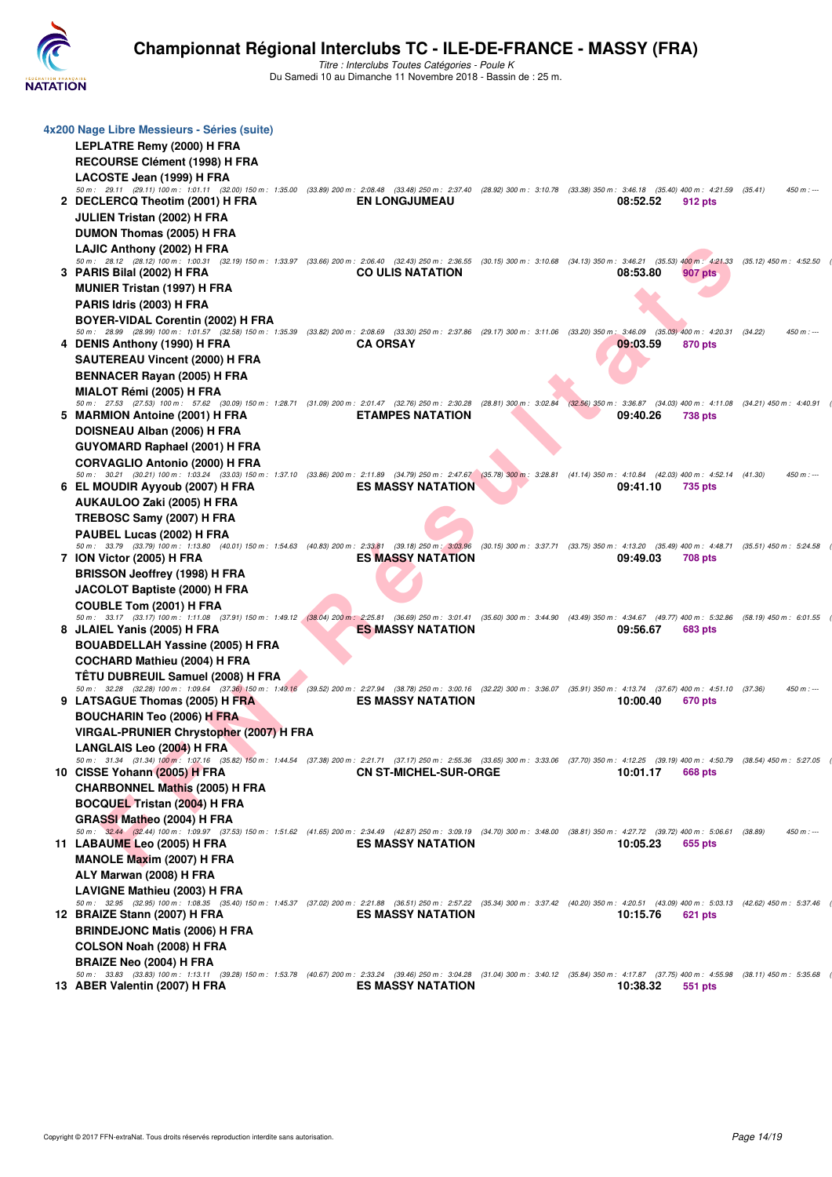

| 4x200 Nage Libre Messieurs - Séries (suite)                                                                                                                                                                                                |                              |                                                                                                         |          |                |                           |             |
|--------------------------------------------------------------------------------------------------------------------------------------------------------------------------------------------------------------------------------------------|------------------------------|---------------------------------------------------------------------------------------------------------|----------|----------------|---------------------------|-------------|
| <b>LEPLATRE Remy (2000) H FRA</b>                                                                                                                                                                                                          |                              |                                                                                                         |          |                |                           |             |
| RECOURSE Clément (1998) H FRA                                                                                                                                                                                                              |                              |                                                                                                         |          |                |                           |             |
| LACOSTE Jean (1999) H FRA<br>50 m: 29.11 (29.11) 100 m: 1:01.11 (32.00) 150 m: 1:35.00 (33.89) 200 m: 2:08.48 (33.48) 250 m: 2:37.40 (28.92) 300 m: 3:10.78 (33.38) 350 m: 3:46.18 (35.40) 400 m: 4:21.59 (35.41)                          |                              |                                                                                                         |          |                |                           | $450 m : -$ |
| 2 DECLERCQ Theotim (2001) H FRA                                                                                                                                                                                                            | <b>EN LONGJUMEAU</b>         |                                                                                                         | 08:52.52 | 912 pts        |                           |             |
| JULIEN Tristan (2002) H FRA                                                                                                                                                                                                                |                              |                                                                                                         |          |                |                           |             |
| DUMON Thomas (2005) H FRA                                                                                                                                                                                                                  |                              |                                                                                                         |          |                |                           |             |
| LAJIC Anthony (2002) H FRA                                                                                                                                                                                                                 |                              |                                                                                                         |          |                |                           |             |
| 50 m: 28.12 (28.12) 100 m: 1:00.31 (32.19) 150 m: 1:33.97 (33.66) 200 m: 2:06.40 (32.43) 250 m: 2:36.55 (30.15) 300 m: 3:10.68 (34.13) 350 m: 3:46.21 (35.53) 400 m: 4:21.33 (35.12) 450 m: 4:52.50                                        |                              |                                                                                                         |          |                |                           |             |
| 3 PARIS Bilal (2002) H FRA<br><b>MUNIER Tristan (1997) H FRA</b>                                                                                                                                                                           | <b>CO ULIS NATATION</b>      |                                                                                                         | 08:53.80 | 907 pts        |                           |             |
| PARIS Idris (2003) H FRA                                                                                                                                                                                                                   |                              |                                                                                                         |          |                |                           |             |
| BOYER-VIDAL Corentin (2002) H FRA                                                                                                                                                                                                          |                              |                                                                                                         |          |                |                           |             |
| 50 m : 28.99 (28.99) 100 m : 1:01.57 (32.58) 150 m : 1:35.39 (33.82) 200 m : 2:08.69 (33.30) 250 m : 2:37.86 (29.17) 300 m : 3:11.06 (33.20) 350 m : 3:46.09 (35.03) 400 m : 4:20.31                                                       |                              |                                                                                                         |          |                | (34.22)                   | $450 m : -$ |
| 4 DENIS Anthony (1990) H FRA                                                                                                                                                                                                               | <b>CA ORSAY</b>              |                                                                                                         | 09:03.59 | 870 pts        |                           |             |
| SAUTEREAU Vincent (2000) H FRA                                                                                                                                                                                                             |                              |                                                                                                         |          |                |                           |             |
| <b>BENNACER Rayan (2005) H FRA</b>                                                                                                                                                                                                         |                              |                                                                                                         |          |                |                           |             |
| MIALOT Rémi (2005) H FRA<br>50 m: 27.53 (27.53) 100 m: 57.62 (30.09) 150 m: 1:28.71 (31.09) 200 m: 2:01.47 (32.76) 250 m: 2:30.28                                                                                                          |                              | $(28.81)$ 300 m : 3:02.84 $(32.56)$ 350 m : 3:36.87 $(34.03)$ 400 m : 4:11.08 $(34.21)$ 450 m : 4:40.91 |          |                |                           |             |
| 5 MARMION Antoine (2001) H FRA                                                                                                                                                                                                             | <b>ETAMPES NATATION</b>      |                                                                                                         | 09:40.26 | <b>738 pts</b> |                           |             |
| DOISNEAU Alban (2006) H FRA                                                                                                                                                                                                                |                              |                                                                                                         |          |                |                           |             |
| <b>GUYOMARD Raphael (2001) H FRA</b>                                                                                                                                                                                                       |                              |                                                                                                         |          |                |                           |             |
| <b>CORVAGLIO Antonio (2000) H FRA</b>                                                                                                                                                                                                      |                              |                                                                                                         |          |                |                           |             |
| 50 m: 30.21 (30.21) 100 m: 1:03.24 (33.03) 150 m: 1:37.10 (33.86) 200 m: 2:11.89 (34.79) 250 m: 2:47.67 (35.78) 300 m: 3:28.81 (41.14) 350 m: 4:10.84 (42.03) 400 m: 4:52.14 (41.30)<br>6 EL MOUDIR Ayyoub (2007) H FRA                    | <b>ES MASSY NATATION</b>     |                                                                                                         | 09:41.10 | 735 pts        |                           | $450 m : -$ |
| AUKAULOO Zaki (2005) H FRA                                                                                                                                                                                                                 |                              |                                                                                                         |          |                |                           |             |
| TREBOSC Samy (2007) H FRA                                                                                                                                                                                                                  |                              |                                                                                                         |          |                |                           |             |
| PAUBEL Lucas (2002) H FRA                                                                                                                                                                                                                  |                              |                                                                                                         |          |                |                           |             |
| 50 m: 33.79 (33.79) 100 m: 1:13.80 (40.01) 150 m: 1:54.63 (40.83) 200 m: 2:33.81 (39.18) 250 m: 3:03.96                                                                                                                                    |                              | (30.15) 300 m: 3:37.71 (33.75) 350 m: 4:13.20 (35.49) 400 m: 4:48.71 (35.51) 450 m: 5:24.58             |          |                |                           |             |
| 7 ION Victor (2005) H FRA                                                                                                                                                                                                                  | <b>ES MASSY NATATION</b>     |                                                                                                         | 09:49.03 | <b>708 pts</b> |                           |             |
| <b>BRISSON Jeoffrey (1998) H FRA</b>                                                                                                                                                                                                       |                              |                                                                                                         |          |                |                           |             |
| JACOLOT Baptiste (2000) H FRA                                                                                                                                                                                                              |                              |                                                                                                         |          |                |                           |             |
| COUBLE Tom (2001) H FRA<br>50 m: 33.17 (33.17) 100 m: 1:11.08 (37.91) 150 m: 1:49.12 (38.04) 200 m: 2:25.81 (36.69) 250 m: 3:01.41 (35.60) 300 m: 3:44.90 (43.49) 350 m: 4:34.67 (49.77) 400 m: 5:32.86                                    |                              |                                                                                                         |          |                | $(58.19)$ 450 m : 6:01.55 |             |
| 8 JLAIEL Yanis (2005) H FRA                                                                                                                                                                                                                | <b>ES MASSY NATATION</b>     |                                                                                                         | 09:56.67 | 683 pts        |                           |             |
| <b>BOUABDELLAH Yassine (2005) H FRA</b>                                                                                                                                                                                                    |                              |                                                                                                         |          |                |                           |             |
| <b>COCHARD Mathieu (2004) H FRA</b>                                                                                                                                                                                                        |                              |                                                                                                         |          |                |                           |             |
| TÊTU DUBREUIL Samuel (2008) H FRA                                                                                                                                                                                                          |                              |                                                                                                         |          |                |                           |             |
| 50 m: 32.28 (32.28) 100 m: 1:09.64 (37.36) 150 m: 1:49.16 (39.52) 200 m: 2:27.94 (38.78) 250 m: 3:00.16 (32.22) 300 m: 3:36.07 (35.91) 350 m: 4:13.74 (37.67) 400 m: 4:51.10 (37.36)<br>9 LATSAGUE Thomas (2005) H FRA                     | <b>ES MASSY NATATION</b>     |                                                                                                         | 10:00.40 | 670 pts        |                           | $450 m : -$ |
| <b>BOUCHARIN Teo (2006) H FRA</b>                                                                                                                                                                                                          |                              |                                                                                                         |          |                |                           |             |
| VIRGAL-PRUNIER Chrystopher (2007) H FRA                                                                                                                                                                                                    |                              |                                                                                                         |          |                |                           |             |
| LANGLAIS Leo (2004) H FRA                                                                                                                                                                                                                  |                              |                                                                                                         |          |                |                           |             |
| 50 m: 31.34 (31.34) 100 m: 1:07.16 (35.82) 150 m: 1:44.54 (37.38) 200 m: 2:21.71 (37.17) 250 m: 2:55.36 (33.65) 300 m: 3:33.06 (37.70) 350 m: 4:12.25 (39.19) 400 m: 4:50.79 (38.54) 450 m: 5:27.05                                        |                              |                                                                                                         | 10:01.17 | <b>668 pts</b> |                           |             |
| 10 CISSE Yohann (2005) H FRA<br><b>CHARBONNEL Mathis (2005) H FRA</b>                                                                                                                                                                      | <b>CN ST-MICHEL-SUR-ORGE</b> |                                                                                                         |          |                |                           |             |
| <b>BOCQUEL Tristan (2004) H FRA</b>                                                                                                                                                                                                        |                              |                                                                                                         |          |                |                           |             |
| GRASSI Matheo (2004) H FRA                                                                                                                                                                                                                 |                              |                                                                                                         |          |                |                           |             |
| 50 m: 32.44 (32.44) 100 m: 1:09.97 (37.53) 150 m: 1:51.62 (41.65) 200 m: 2:34.49 (42.87) 250 m: 3:09.19 (34.70) 300 m: 3:48.00 (38.81) 350 m: 4:27.72 (39.72) 400 m: 5:06.61 (38.89)                                                       |                              |                                                                                                         |          |                |                           | $450 m: -$  |
| 11 LABAUME Leo (2005) H FRA                                                                                                                                                                                                                | <b>ES MASSY NATATION</b>     |                                                                                                         | 10:05.23 | 655 pts        |                           |             |
| <b>MANOLE Maxim (2007) H FRA</b>                                                                                                                                                                                                           |                              |                                                                                                         |          |                |                           |             |
| ALY Marwan (2008) H FRA                                                                                                                                                                                                                    |                              |                                                                                                         |          |                |                           |             |
| <b>LAVIGNE Mathieu (2003) H FRA</b><br>50 m: 32.95 (32.95) 100 m: 1:08.35 (35.40) 150 m: 1:45.37 (37.02) 200 m: 2:21.88 (36.51) 250 m: 2:57.22 (35.34) 300 m: 3:37.42 (40.20) 350 m: 4:20.51 (43.09) 400 m: 5:03.13 (42.62) 450 m: 5:37.46 |                              |                                                                                                         |          |                |                           |             |
| 12 BRAIZE Stann (2007) H FRA                                                                                                                                                                                                               | <b>ES MASSY NATATION</b>     |                                                                                                         | 10:15.76 | 621 pts        |                           |             |
| <b>BRINDEJONC Matis (2006) H FRA</b>                                                                                                                                                                                                       |                              |                                                                                                         |          |                |                           |             |
| COLSON Noah (2008) H FRA                                                                                                                                                                                                                   |                              |                                                                                                         |          |                |                           |             |
| <b>BRAIZE Neo (2004) H FRA</b>                                                                                                                                                                                                             |                              |                                                                                                         |          |                |                           |             |
| 50 m: 33.83 (33.83) 100 m: 1:13.11 (39.28) 150 m: 1:53.78 (40.67) 200 m: 2:33.24 (39.46) 250 m: 3:04.28 (31.04) 300 m: 3:40.12 (35.84) 350 m: 4:17.87 (37.75) 400 m: 4:55.98 (38.11) 450 m: 5:35.68<br>13 ABER Valentin (2007) H FRA       | <b>ES MASSY NATATION</b>     |                                                                                                         | 10:38.32 | 551 pts        |                           |             |
|                                                                                                                                                                                                                                            |                              |                                                                                                         |          |                |                           |             |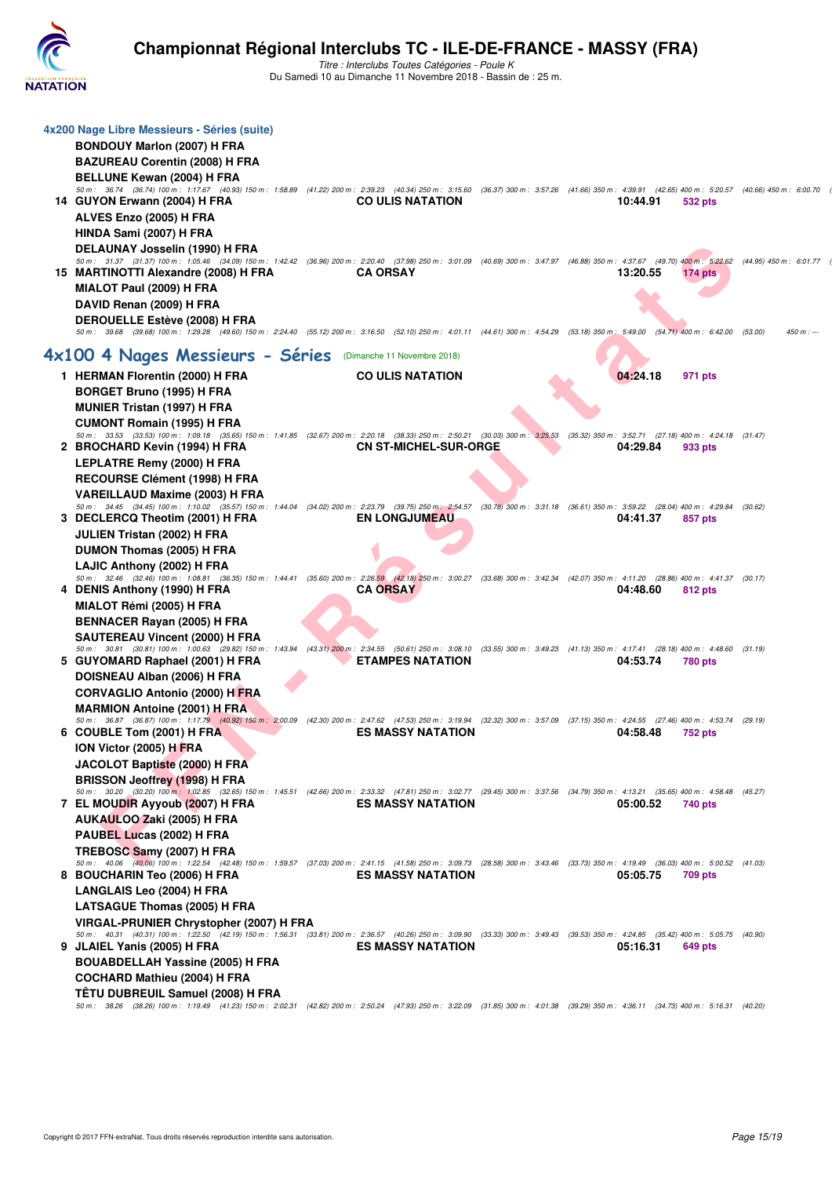

| 4x200 Nage Libre Messieurs - Séries (suite)                                                                                                                                                                                       |                              |  |          |                |                         |
|-----------------------------------------------------------------------------------------------------------------------------------------------------------------------------------------------------------------------------------|------------------------------|--|----------|----------------|-------------------------|
| <b>BONDOUY Marlon (2007) H FRA</b>                                                                                                                                                                                                |                              |  |          |                |                         |
| <b>BAZUREAU Corentin (2008) H FRA</b>                                                                                                                                                                                             |                              |  |          |                |                         |
| BELLUNE Kewan (2004) H FRA<br>50 m: 36.74 (36.74) 100 m: 1:17.67 (40.93) 150 m: 1:58.89 (41.22) 200 m: 2:39.23 (40.34) 250 m: 3:15.60 (36.37) 300 m: 3:57.26 (41.66) 350 m: 4:39.91 (42.65) 400 m: 5:20.57 (40.66) 450 m: 6:00.70 |                              |  |          |                |                         |
| 14 GUYON Erwann (2004) H FRA                                                                                                                                                                                                      | <b>CO ULIS NATATION</b>      |  | 10:44.91 | 532 pts        |                         |
| ALVES Enzo (2005) H FRA                                                                                                                                                                                                           |                              |  |          |                |                         |
| HINDA Sami (2007) H FRA                                                                                                                                                                                                           |                              |  |          |                |                         |
| DELAUNAY Josselin (1990) H FRA                                                                                                                                                                                                    |                              |  |          |                |                         |
| 50 m: 31.37 (31.37) 100 m: 1:05.46 (34.09) 150 m: 1:42.42 (36.96) 200 m: 2:20.40 (37.98) 250 m: 3:01.09 (40.69) 300 m: 3:47.97 (46.88) 350 m: 4:37.67 (49.70) 400 m: 5:22.62                                                      |                              |  |          |                | (44.95) 450 m : 6:01.77 |
| 15 MARTINOTTI Alexandre (2008) H FRA                                                                                                                                                                                              | <b>CA ORSAY</b>              |  | 13:20.55 | $174$ pts      |                         |
| MIALOT Paul (2009) H FRA                                                                                                                                                                                                          |                              |  |          |                |                         |
| DAVID Renan (2009) H FRA                                                                                                                                                                                                          |                              |  |          |                |                         |
| <b>DEROUELLE Estève (2008) H FRA</b><br>50 m: 39.68 (39.68) 100 m: 1:29.28 (49.60) 150 m: 2:24.40 (55.12) 200 m: 3:16.50 (52.10) 250 m: 4:01.11 (44.61) 300 m: 4:54.29 (53.18) 350 m: 5:49.00 (54.71) 400 m: 6:42.00              |                              |  |          |                | (53.00)<br>$450 m: -$   |
| 4x100 4 Nages Messieurs - Séries                                                                                                                                                                                                  | (Dimanche 11 Novembre 2018)  |  |          |                |                         |
|                                                                                                                                                                                                                                   | <b>CO ULIS NATATION</b>      |  | 04:24.18 |                |                         |
| 1 HERMAN Florentin (2000) H FRA<br><b>BORGET Bruno (1995) H FRA</b>                                                                                                                                                               |                              |  |          | 971 pts        |                         |
| <b>MUNIER Tristan (1997) H FRA</b>                                                                                                                                                                                                |                              |  |          |                |                         |
| <b>CUMONT Romain (1995) H FRA</b>                                                                                                                                                                                                 |                              |  |          |                |                         |
| 50 m: 33.53 (33.53) 100 m: 1:09.18 (35.65) 150 m: 1:41.85 (32.67) 200 m: 2:20.18 (38.33) 250 m: 2:50.21 (30.03) 300 m: 3:25.53 (35.32) 350 m: 3:52.71 (27.18) 400 m: 4:24.18 (31.47)                                              |                              |  |          |                |                         |
| 2 BROCHARD Kevin (1994) H FRA                                                                                                                                                                                                     | <b>CN ST-MICHEL-SUR-ORGE</b> |  | 04:29.84 | 933 pts        |                         |
| LEPLATRE Remy (2000) H FRA                                                                                                                                                                                                        |                              |  |          |                |                         |
| RECOURSE Clément (1998) H FRA                                                                                                                                                                                                     |                              |  |          |                |                         |
| VAREILLAUD Maxime (2003) H FRA<br>50 m: 34.45 (34.45) 100 m: 1:10.02 (35.57) 150 m: 1:44.04 (34.02) 200 m: 2:23.79 (39.75) 250 m: 2:54.57 (30.78) 300 m: 3:31.18 (36.61) 350 m: 3:59.22 (28.04) 400 m: 4:29.84 (30.62)            |                              |  |          |                |                         |
| 3 DECLERCQ Theotim (2001) H FRA                                                                                                                                                                                                   | <b>EN LONGJUMEAU</b>         |  | 04:41.37 | 857 pts        |                         |
| <b>JULIEN Tristan (2002) H FRA</b>                                                                                                                                                                                                |                              |  |          |                |                         |
| DUMON Thomas (2005) H FRA                                                                                                                                                                                                         |                              |  |          |                |                         |
| LAJIC Anthony (2002) H FRA                                                                                                                                                                                                        |                              |  |          |                |                         |
| 50 m : 32.46 (32.46) 100 m : 1:08.81 (36.35) 150 m : 1:44.41 (35.60) 200 m : 2:26.59 (42.18) 250 m : 3:00.27 (33.68) 300 m : 3:42.34 (42.07) 350 m : 4:11.20 (28.86) 400 m : 4:41.37 (30.17)<br>4 DENIS Anthony (1990) H FRA      | <b>CA ORSAY</b>              |  | 04:48.60 | 812 pts        |                         |
| MIALOT Rémi (2005) H FRA                                                                                                                                                                                                          |                              |  |          |                |                         |
| <b>BENNACER Rayan (2005) H FRA</b>                                                                                                                                                                                                |                              |  |          |                |                         |
| <b>SAUTEREAU Vincent (2000) H FRA</b>                                                                                                                                                                                             |                              |  |          |                |                         |
| 50 m: 30.81 (30.81) 100 m: 1:00.63 (29.82) 150 m: 1:43.94 (43.31) 200 m: 2:34.55 (50.61) 250 m: 3:08.10 (33.55) 300 m: 3:49.23 (41.13) 350 m: 4:17.41 (28.18) 400 m: 4:48.60 (31.19)                                              |                              |  |          |                |                         |
| 5 GUYOMARD Raphael (2001) H FRA                                                                                                                                                                                                   | <b>ETAMPES NATATION</b>      |  | 04:53.74 | <b>780 pts</b> |                         |
| DOISNEAU Alban (2006) H FRA                                                                                                                                                                                                       |                              |  |          |                |                         |
| <b>CORVAGLIO Antonio (2000) H FRA</b>                                                                                                                                                                                             |                              |  |          |                |                         |
| <b>MARMION Antoine (2001) H FRA</b><br>50 m: 36.87 (36.87) 100 m: 1:17.79 (40.92) 150 m: 2:00.09 (42.30) 200 m: 2:47.62 (47.53) 250 m: 3:19.94 (32.32) 300 m: 3:57.09 (37.15) 350 m: 4:24.55 (27.46) 400 m: 4:53.74 (29.19)       |                              |  |          |                |                         |
| 6 COUBLE Tom (2001) H FRA                                                                                                                                                                                                         | <b>ES MASSY NATATION</b>     |  | 04:58.48 | <b>752 pts</b> |                         |
| ION Victor (2005) H FRA                                                                                                                                                                                                           |                              |  |          |                |                         |
| JACOLOT Baptiste (2000) H FRA                                                                                                                                                                                                     |                              |  |          |                |                         |
| <b>BRISSON Jeoffrey (1998) H FRA</b>                                                                                                                                                                                              |                              |  |          |                |                         |
| 50 m: 30.20 (30.20) 100 m: 1:02.85 (32.65) 150 m: 1:45.51 (42.66) 200 m: 2:33.32 (47.81) 250 m: 3:02.77 (29.45) 300 m: 3:37.56 (34.79) 350 m: 4:13.21 (35.65) 400 m: 4:58.48 (45.27)<br>7 EL MOUDIR Ayyoub (2007) H FRA           | <b>ES MASSY NATATION</b>     |  | 05:00.52 | 740 pts        |                         |
| AUKAULOO Zaki (2005) H FRA                                                                                                                                                                                                        |                              |  |          |                |                         |
| PAUBEL Lucas (2002) H FRA                                                                                                                                                                                                         |                              |  |          |                |                         |
| TREBOSC Samy (2007) H FRA                                                                                                                                                                                                         |                              |  |          |                |                         |
| 50 m: 40.06 (40.06) 100 m: 1:22.54 (42.48) 150 m: 1:59.57 (37.03) 200 m: 2:41.15 (41.58) 250 m: 3:09.73 (28.58) 300 m: 3:43.46 (33.73) 350 m: 4:19.49 (36.03) 400 m: 5:00.52 (41.03)                                              | <b>ES MASSY NATATION</b>     |  | 05:05.75 |                |                         |
| 8 BOUCHARIN Teo (2006) H FRA<br><b>LANGLAIS Leo (2004) H FRA</b>                                                                                                                                                                  |                              |  |          | <b>709 pts</b> |                         |
| <b>LATSAGUE Thomas (2005) H FRA</b>                                                                                                                                                                                               |                              |  |          |                |                         |
| VIRGAL-PRUNIER Chrystopher (2007) H FRA                                                                                                                                                                                           |                              |  |          |                |                         |
| 50 m: 40.31 (40.31) 100 m: 1:22.50 (42.19) 150 m: 1:56.31 (33.81) 200 m: 2:36.57 (40.26) 250 m: 3:09.90 (33.33) 300 m: 3:49.43 (39.53) 350 m: 4:24.85 (35.42) 400 m: 5:05.75 (40.90)                                              |                              |  |          |                |                         |
| 9 JLAIEL Yanis (2005) H FRA                                                                                                                                                                                                       | <b>ES MASSY NATATION</b>     |  | 05:16.31 | 649 pts        |                         |
| <b>BOUABDELLAH Yassine (2005) H FRA</b>                                                                                                                                                                                           |                              |  |          |                |                         |
| <b>COCHARD Mathieu (2004) H FRA</b>                                                                                                                                                                                               |                              |  |          |                |                         |
| TETU DUBREUIL Samuel (2008) H FRA<br>50 m: 38.26 (38.26) 100 m: 1:19.49 (41.23) 150 m: 2:02.31 (42.82) 200 m: 2:50.24 (47.93) 250 m: 3:22.09 (31.85) 300 m: 4:01.38 (39.29) 350 m: 4:36.11 (34.73) 400 m: 5:16.31 (40.20)         |                              |  |          |                |                         |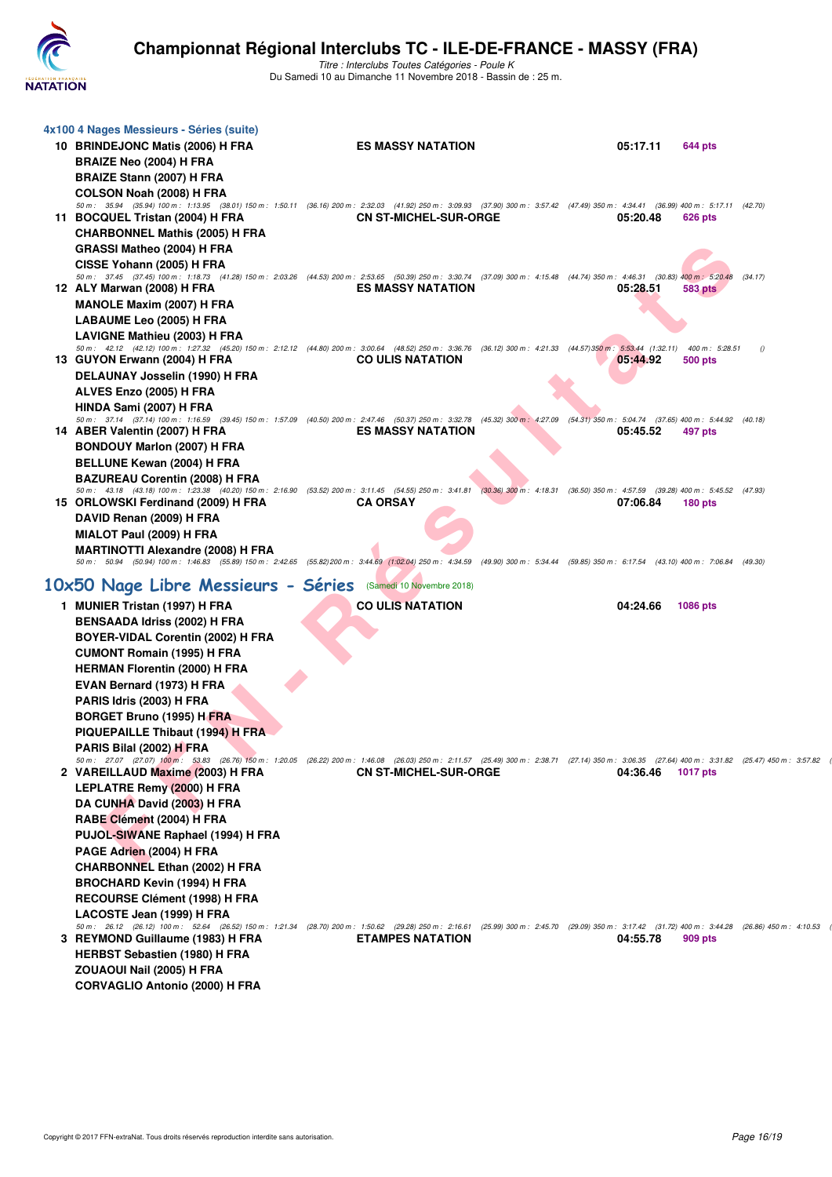

| 4x100 4 Nages Messieurs - Séries (suite)                                                                |                                                                                                                                                                                                                  |                                                                                                                                                                                                                          |
|---------------------------------------------------------------------------------------------------------|------------------------------------------------------------------------------------------------------------------------------------------------------------------------------------------------------------------|--------------------------------------------------------------------------------------------------------------------------------------------------------------------------------------------------------------------------|
| 10 BRINDEJONC Matis (2006) H FRA                                                                        | <b>ES MASSY NATATION</b>                                                                                                                                                                                         | 05:17.11<br>644 pts                                                                                                                                                                                                      |
| <b>BRAIZE Neo (2004) H FRA</b>                                                                          |                                                                                                                                                                                                                  |                                                                                                                                                                                                                          |
| BRAIZE Stann (2007) H FRA                                                                               |                                                                                                                                                                                                                  |                                                                                                                                                                                                                          |
| COLSON Noah (2008) H FRA                                                                                |                                                                                                                                                                                                                  |                                                                                                                                                                                                                          |
|                                                                                                         | 50 m: 35.94 (35.94) 100 m: 1:13.95 (38.01) 150 m: 1:50.11 (36.16) 200 m: 2:32.03 (41.92) 250 m: 3:09.93 (37.90) 300 m: 3:57.42 (47.49) 350 m: 4:34.41 (36.99) 400 m: 5:17.11 (42.70)                             |                                                                                                                                                                                                                          |
| 11 BOCQUEL Tristan (2004) H FRA                                                                         | <b>CN ST-MICHEL-SUR-ORGE</b>                                                                                                                                                                                     | 05:20.48<br>626 pts                                                                                                                                                                                                      |
| <b>CHARBONNEL Mathis (2005) H FRA</b>                                                                   |                                                                                                                                                                                                                  |                                                                                                                                                                                                                          |
| GRASSI Matheo (2004) H FRA                                                                              |                                                                                                                                                                                                                  |                                                                                                                                                                                                                          |
| CISSE Yohann (2005) H FRA                                                                               |                                                                                                                                                                                                                  |                                                                                                                                                                                                                          |
| 12 ALY Marwan (2008) H FRA                                                                              | 50 m : 37.45 (37.45) 100 m : 1:18.73 (41.28) 150 m : 2:03.26 (44.53) 200 m : 2:53.65 (50.39) 250 m : 3:30.74 (37.09) 300 m : 4:15.48 (44.74) 350 m : 4:46.31 (30.83) 400 m : 5:20.48<br><b>ES MASSY NATATION</b> | (34.17)<br>05:28.51<br>583 pts                                                                                                                                                                                           |
| <b>MANOLE Maxim (2007) H FRA</b>                                                                        |                                                                                                                                                                                                                  |                                                                                                                                                                                                                          |
| LABAUME Leo (2005) H FRA                                                                                |                                                                                                                                                                                                                  |                                                                                                                                                                                                                          |
| LAVIGNE Mathieu (2003) H FRA                                                                            |                                                                                                                                                                                                                  |                                                                                                                                                                                                                          |
|                                                                                                         | 50 m: 42.12 (42.12) 100 m: 1:27.32 (45.20) 150 m: 2:12.12 (44.80) 200 m: 3:00.64 (48.52) 250 m: 3:36.76 (36.12) 300 m: 4:21.33 (44.57) 350 m: 5:53.44 (1:32.11) 400 m: 5:28.51                                   | $\theta$                                                                                                                                                                                                                 |
| 13 GUYON Erwann (2004) H FRA                                                                            | <b>CO ULIS NATATION</b>                                                                                                                                                                                          | 05:44.92<br>500 pts                                                                                                                                                                                                      |
| DELAUNAY Josselin (1990) H FRA                                                                          |                                                                                                                                                                                                                  |                                                                                                                                                                                                                          |
| ALVES Enzo (2005) H FRA                                                                                 |                                                                                                                                                                                                                  |                                                                                                                                                                                                                          |
| HINDA Sami (2007) H FRA                                                                                 |                                                                                                                                                                                                                  |                                                                                                                                                                                                                          |
| 50 m: 37.14 (37.14) 100 m: 1:16.59 (39.45) 150 m: 1:57.09 (40.50) 200 m: 2:47.46 (50.37) 250 m: 3:32.78 |                                                                                                                                                                                                                  | (45.32) 300 m: 4:27.09 (54.31) 350 m: 5:04.74 (37.65) 400 m: 5:44.92 (40.18)                                                                                                                                             |
| 14 ABER Valentin (2007) H FRA                                                                           | <b>ES MASSY NATATION</b>                                                                                                                                                                                         | 05:45.52<br>497 pts                                                                                                                                                                                                      |
| <b>BONDOUY Marlon (2007) H FRA</b>                                                                      |                                                                                                                                                                                                                  |                                                                                                                                                                                                                          |
| <b>BELLUNE Kewan (2004) H FRA</b>                                                                       |                                                                                                                                                                                                                  |                                                                                                                                                                                                                          |
| <b>BAZUREAU Corentin (2008) H FRA</b>                                                                   | 50 m: 43.18 (43.18) 100 m: 1:23.38 (40.20) 150 m: 2:16.90 (53.52) 200 m: 3:11.45 (54.55) 250 m: 3:41.81 (30.36) 300 m: 4:18.31 (36.50) 350 m: 4:57.59 (39.28) 400 m: 5:45.52 (47.93)                             |                                                                                                                                                                                                                          |
| 15 ORLOWSKI Ferdinand (2009) H FRA                                                                      | <b>CA ORSAY</b>                                                                                                                                                                                                  | 07:06.84<br><b>180 pts</b>                                                                                                                                                                                               |
| DAVID Renan (2009) H FRA                                                                                |                                                                                                                                                                                                                  |                                                                                                                                                                                                                          |
| MIALOT Paul (2009) H FRA                                                                                |                                                                                                                                                                                                                  |                                                                                                                                                                                                                          |
| <b>MARTINOTTI Alexandre (2008) H FRA</b>                                                                |                                                                                                                                                                                                                  |                                                                                                                                                                                                                          |
|                                                                                                         | 50 m: 50.94 (50.94) 100 m: 1:46.83 (55.89) 150 m: 2:42.65 (55.82) 200 m: 3:44.69 (1:02.04) 250 m: 4:34.59 (49.90) 300 m: 5:34.44 (59.85) 350 m: 6:17.54 (43.10) 400 m: 7:06.84 (49.30)                           |                                                                                                                                                                                                                          |
|                                                                                                         |                                                                                                                                                                                                                  |                                                                                                                                                                                                                          |
|                                                                                                         |                                                                                                                                                                                                                  |                                                                                                                                                                                                                          |
| 10x50 Nage Libre Messieurs - Séries (Samedi 10 Novembre 2018)                                           |                                                                                                                                                                                                                  |                                                                                                                                                                                                                          |
| 1 MUNIER Tristan (1997) H FRA                                                                           | <b>CO ULIS NATATION</b>                                                                                                                                                                                          | 04:24.66<br><b>1086 pts</b>                                                                                                                                                                                              |
| <b>BENSAADA Idriss (2002) H FRA</b>                                                                     |                                                                                                                                                                                                                  |                                                                                                                                                                                                                          |
| BOYER-VIDAL Corentin (2002) H FRA                                                                       |                                                                                                                                                                                                                  |                                                                                                                                                                                                                          |
| <b>CUMONT Romain (1995) H FRA</b>                                                                       |                                                                                                                                                                                                                  |                                                                                                                                                                                                                          |
| <b>HERMAN Florentin (2000) H FRA</b>                                                                    |                                                                                                                                                                                                                  |                                                                                                                                                                                                                          |
| EVAN Bernard (1973) H FRA                                                                               |                                                                                                                                                                                                                  |                                                                                                                                                                                                                          |
| PARIS Idris (2003) H FRA                                                                                |                                                                                                                                                                                                                  |                                                                                                                                                                                                                          |
| <b>BORGET Bruno (1995) H FRA</b>                                                                        |                                                                                                                                                                                                                  |                                                                                                                                                                                                                          |
| PIQUEPAILLE Thibaut (1994) H FRA                                                                        |                                                                                                                                                                                                                  |                                                                                                                                                                                                                          |
| PARIS Bilal (2002) H FRA                                                                                |                                                                                                                                                                                                                  |                                                                                                                                                                                                                          |
|                                                                                                         |                                                                                                                                                                                                                  | 50 m: 27.07 (27.07) 100 m: 53.83 (26.76) 150 m: 1:20.05 (26.22) 200 m: 1:46.08 (26.03) 250 m: 2:11.57 (25.49) 300 m: 2:38.71 (27.14) 350 m: 3:06.35 (27.64) 400 m: 3:31.82 (25.47) 450 m: 3:31.82                        |
| 2 VAREILLAUD Maxime (2003) H FRA                                                                        | <b>CN ST-MICHEL-SUR-ORGE</b>                                                                                                                                                                                     | 04:36.46<br>1017 pts                                                                                                                                                                                                     |
| LEPLATRE Remy (2000) H FRA                                                                              |                                                                                                                                                                                                                  |                                                                                                                                                                                                                          |
| DA CUNHA David (2003) H FRA                                                                             |                                                                                                                                                                                                                  |                                                                                                                                                                                                                          |
| RABE Clément (2004) H FRA                                                                               |                                                                                                                                                                                                                  |                                                                                                                                                                                                                          |
| PUJOL-SIWANE Raphael (1994) H FRA                                                                       |                                                                                                                                                                                                                  |                                                                                                                                                                                                                          |
| PAGE Adrien (2004) H FRA                                                                                |                                                                                                                                                                                                                  |                                                                                                                                                                                                                          |
| <b>CHARBONNEL Ethan (2002) H FRA</b>                                                                    |                                                                                                                                                                                                                  |                                                                                                                                                                                                                          |
| <b>BROCHARD Kevin (1994) H FRA</b>                                                                      |                                                                                                                                                                                                                  |                                                                                                                                                                                                                          |
| RECOURSE Clément (1998) H FRA                                                                           |                                                                                                                                                                                                                  |                                                                                                                                                                                                                          |
| LACOSTE Jean (1999) H FRA                                                                               |                                                                                                                                                                                                                  |                                                                                                                                                                                                                          |
| 3 REYMOND Guillaume (1983) H FRA                                                                        | <b>ETAMPES NATATION</b>                                                                                                                                                                                          | 50 m: 26.12 (26.12) 100 m: 52.64 (26.52) 150 m: 1:21.34 (28.70) 200 m: 1:50.62 (29.28) 250 m: 2:16.61 (25.99) 300 m: 2:45.70 (29.09) 350 m: 3:17.42 (31.72) 400 m: 3:44.28 (26.86) 450 m: 4:10.53<br>04:55.78<br>909 pts |
| HERBST Sebastien (1980) H FRA                                                                           |                                                                                                                                                                                                                  |                                                                                                                                                                                                                          |
| ZOUAOUI Nail (2005) H FRA                                                                               |                                                                                                                                                                                                                  |                                                                                                                                                                                                                          |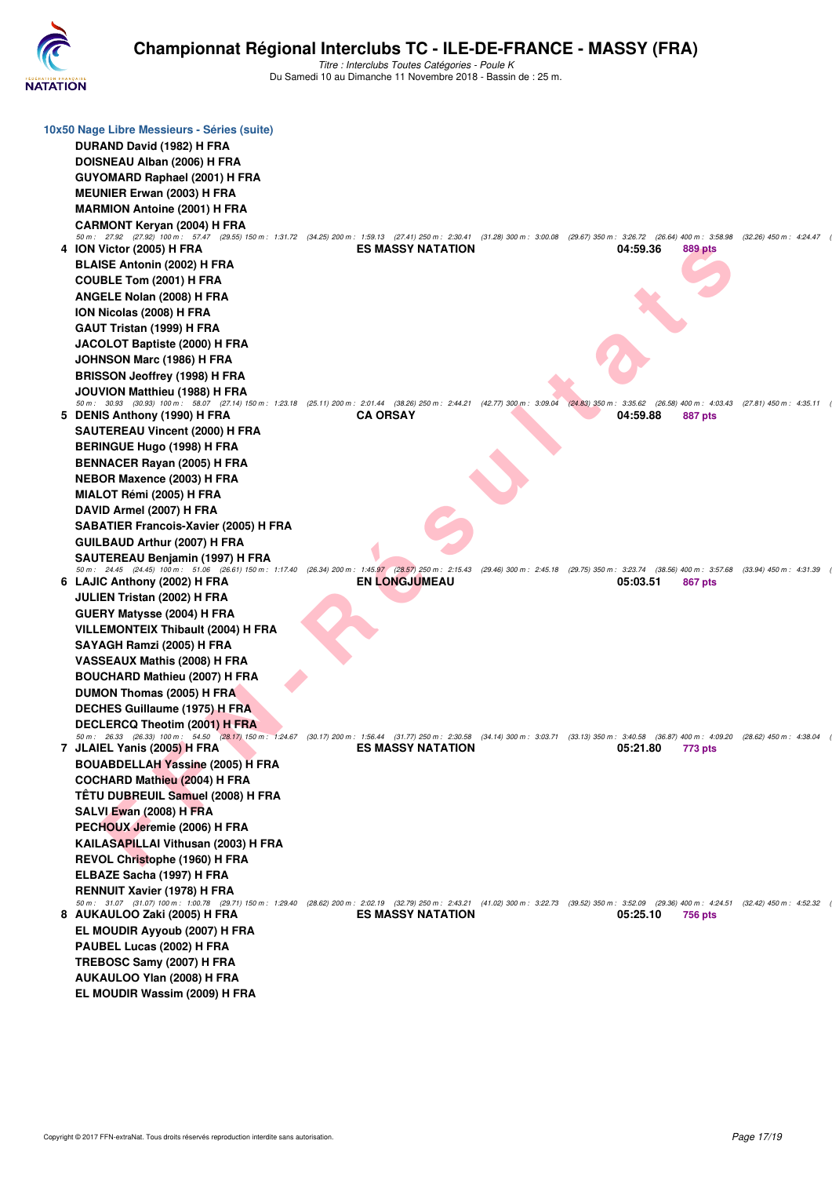

|   | 10x50 Nage Libre Messieurs - Séries (suite)                                                                                                                                                                                       |                          |                                                 |                         |
|---|-----------------------------------------------------------------------------------------------------------------------------------------------------------------------------------------------------------------------------------|--------------------------|-------------------------------------------------|-------------------------|
|   | DURAND David (1982) H FRA                                                                                                                                                                                                         |                          |                                                 |                         |
|   | DOISNEAU Alban (2006) H FRA                                                                                                                                                                                                       |                          |                                                 |                         |
|   | <b>GUYOMARD Raphael (2001) H FRA</b>                                                                                                                                                                                              |                          |                                                 |                         |
|   | <b>MEUNIER Erwan (2003) H FRA</b>                                                                                                                                                                                                 |                          |                                                 |                         |
|   | <b>MARMION Antoine (2001) H FRA</b>                                                                                                                                                                                               |                          |                                                 |                         |
|   | <b>CARMONT Keryan (2004) H FRA</b>                                                                                                                                                                                                |                          |                                                 |                         |
|   | 50 m: 27.92 (27.92) 100 m: 57.47 (29.55) 150 m: 1:31.72 (34.25) 200 m: 1:59.13 (27.41) 250 m: 2:30.41 (31.28) 300 m: 3:00.08 (29.67) 350 m: 3:26.72 (26.64) 400 m: 3:58.98                                                        |                          |                                                 | (32.26) 450 m : 4:24.47 |
|   | 4 ION Victor (2005) H FRA                                                                                                                                                                                                         | <b>ES MASSY NATATION</b> | 04:59.36<br>889 pts                             |                         |
|   | <b>BLAISE Antonin (2002) H FRA</b>                                                                                                                                                                                                |                          |                                                 |                         |
|   | COUBLE Tom (2001) H FRA                                                                                                                                                                                                           |                          |                                                 |                         |
|   | ANGELE Nolan (2008) H FRA                                                                                                                                                                                                         |                          |                                                 |                         |
|   | ION Nicolas (2008) H FRA                                                                                                                                                                                                          |                          |                                                 |                         |
|   | GAUT Tristan (1999) H FRA                                                                                                                                                                                                         |                          |                                                 |                         |
|   | JACOLOT Baptiste (2000) H FRA                                                                                                                                                                                                     |                          |                                                 |                         |
|   | JOHNSON Marc (1986) H FRA                                                                                                                                                                                                         |                          |                                                 |                         |
|   | <b>BRISSON Jeoffrey (1998) H FRA</b>                                                                                                                                                                                              |                          |                                                 |                         |
|   | JOUVION Matthieu (1988) H FRA                                                                                                                                                                                                     |                          |                                                 |                         |
|   | 50 m: 30.93 (30.93) 100 m: 58.07 (27.14) 150 m: 1:23.18 (25.11) 200 m: 2:01.44 (38.26) 250 m: 2:44.21 (42.77) 300 m: 3:09.04 (24.83) 350 m: 3:35.62                                                                               |                          | (26.58) 400 m : 4:03.43 (27.81) 450 m : 4:35.11 |                         |
|   | 5 DENIS Anthony (1990) H FRA                                                                                                                                                                                                      | <b>CA ORSAY</b>          | 04:59.88<br>887 pts                             |                         |
|   | <b>SAUTEREAU Vincent (2000) H FRA</b>                                                                                                                                                                                             |                          |                                                 |                         |
|   | <b>BERINGUE Hugo (1998) H FRA</b>                                                                                                                                                                                                 |                          |                                                 |                         |
|   | <b>BENNACER Rayan (2005) H FRA</b>                                                                                                                                                                                                |                          |                                                 |                         |
|   | NEBOR Maxence (2003) H FRA                                                                                                                                                                                                        |                          |                                                 |                         |
|   | MIALOT Rémi (2005) H FRA                                                                                                                                                                                                          |                          |                                                 |                         |
|   | DAVID Armel (2007) H FRA                                                                                                                                                                                                          |                          |                                                 |                         |
|   | <b>SABATIER Francois-Xavier (2005) H FRA</b>                                                                                                                                                                                      |                          |                                                 |                         |
|   | <b>GUILBAUD Arthur (2007) H FRA</b>                                                                                                                                                                                               |                          |                                                 |                         |
|   | SAUTEREAU Benjamin (1997) H FRA                                                                                                                                                                                                   |                          |                                                 |                         |
|   | 50 m: 24.45 (24.45) 100 m: 51.06 (26.61) 150 m: 1:17.40 (26.34) 200 m: 1:45.97 (28.57) 250 m: 2:15.43 (29.46) 300 m: 2:45.18 (29.75) 350 m: 3:23.74 (38.56) 400 m: 3:57.68 (33.94) 450 m: 4:31.39<br>6 LAJIC Anthony (2002) H FRA | <b>EN LONGJUMEAU</b>     | 05:03.51<br>867 pts                             |                         |
|   | JULIEN Tristan (2002) H FRA                                                                                                                                                                                                       |                          |                                                 |                         |
|   | GUERY Matysse (2004) H FRA                                                                                                                                                                                                        |                          |                                                 |                         |
|   | VILLEMONTEIX Thibault (2004) H FRA                                                                                                                                                                                                |                          |                                                 |                         |
|   | SAYAGH Ramzi (2005) H FRA                                                                                                                                                                                                         |                          |                                                 |                         |
|   | VASSEAUX Mathis (2008) H FRA                                                                                                                                                                                                      |                          |                                                 |                         |
|   | <b>BOUCHARD Mathieu (2007) H FRA</b>                                                                                                                                                                                              |                          |                                                 |                         |
|   | DUMON Thomas (2005) H FRA                                                                                                                                                                                                         |                          |                                                 |                         |
|   | DECHES Guillaume (1975) H FRA                                                                                                                                                                                                     |                          |                                                 |                         |
|   | DECLERCQ Theotim (2001) H FRA                                                                                                                                                                                                     |                          |                                                 |                         |
|   | 50 m: 26.33 (26.33) 100 m: 54.50 (28.17) 150 m: 1:24.67 (30.17) 200 m: 1:56.44 (31.77) 250 m: 2:30.58 (34.14) 300 m: 3:03.71 (33.13) 350 m: 3:40.58 (36.87) 400 m: 4:09.20 (28.62) 450 m: 4:38.04                                 |                          |                                                 |                         |
| 7 | JLAIEL Yanis (2005) H FRA<br><b>Contract Contract Contract Contract</b>                                                                                                                                                           | <b>ES MASSY NATATION</b> | 05:21.80 773 pts                                |                         |
|   | <b>BOUABDELLAH Yassine (2005) H FRA</b>                                                                                                                                                                                           |                          |                                                 |                         |
|   | <b>COCHARD Mathieu (2004) H FRA</b>                                                                                                                                                                                               |                          |                                                 |                         |
|   | TÊTU DUBREUIL Samuel (2008) H FRA                                                                                                                                                                                                 |                          |                                                 |                         |
|   | SALVI Ewan (2008) H FRA                                                                                                                                                                                                           |                          |                                                 |                         |
|   | PECHOUX Jeremie (2006) H FRA                                                                                                                                                                                                      |                          |                                                 |                         |
|   | <b>KAILASAPILLAI Vithusan (2003) H FRA</b>                                                                                                                                                                                        |                          |                                                 |                         |
|   | REVOL Christophe (1960) H FRA                                                                                                                                                                                                     |                          |                                                 |                         |
|   | ELBAZE Sacha (1997) H FRA                                                                                                                                                                                                         |                          |                                                 |                         |
|   | <b>RENNUIT Xavier (1978) H FRA</b>                                                                                                                                                                                                |                          |                                                 |                         |
|   | 50 m: 31.07 (31.07) 100 m: 1:00.78 (29.71) 150 m: 1:29.40 (28.62) 200 m: 2:02.19 (32.79) 250 m: 2:43.21 (41.02) 300 m: 3:22.73 (39.52) 350 m: 3:52.09 (29.36) 400 m: 4:24.51 (32.42) 450 m: 4:52.32                               |                          |                                                 |                         |
|   | 8 AUKAULOO Zaki (2005) H FRA                                                                                                                                                                                                      | <b>ES MASSY NATATION</b> | 05:25.10<br>756 pts                             |                         |
|   | EL MOUDIR Ayyoub (2007) H FRA                                                                                                                                                                                                     |                          |                                                 |                         |
|   | PAUBEL Lucas (2002) H FRA                                                                                                                                                                                                         |                          |                                                 |                         |
|   | TREBOSC Samy (2007) H FRA                                                                                                                                                                                                         |                          |                                                 |                         |
|   | AUKAULOO Ylan (2008) H FRA                                                                                                                                                                                                        |                          |                                                 |                         |
|   | EL MOUDIR Wassim (2009) H FRA                                                                                                                                                                                                     |                          |                                                 |                         |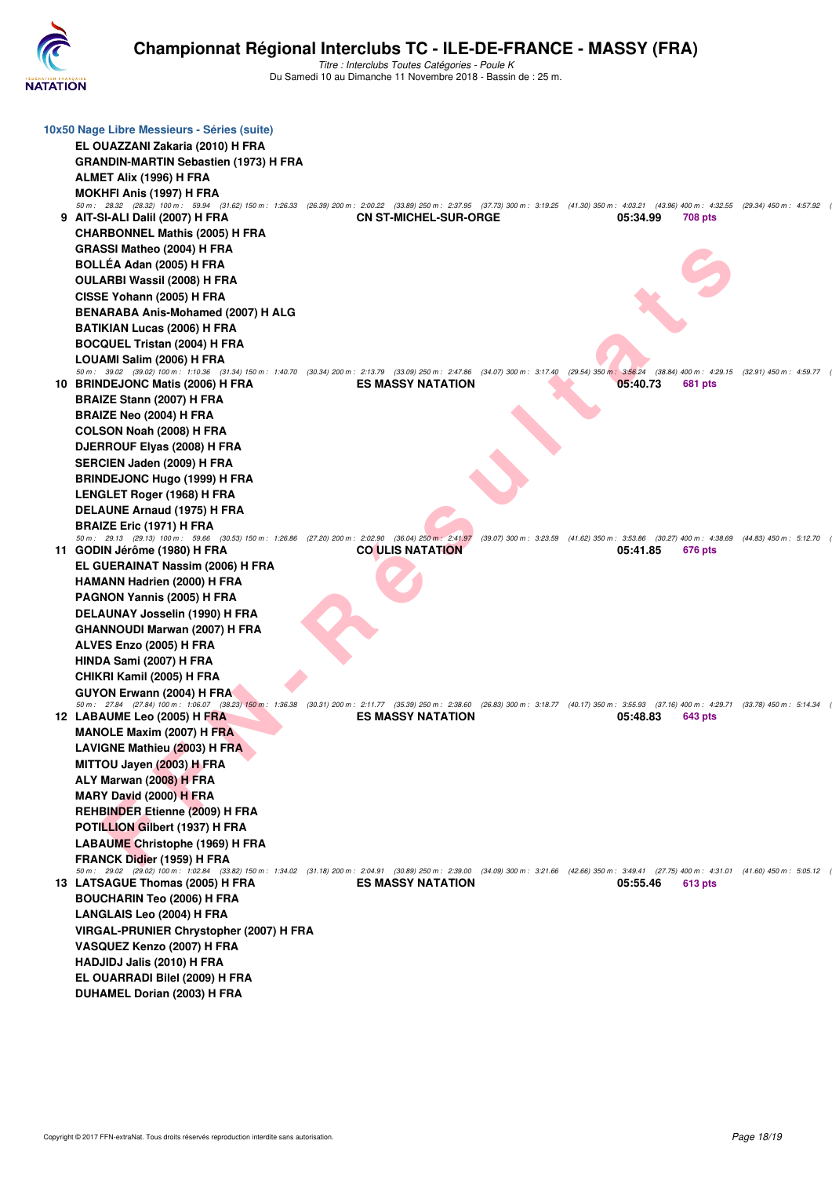

| 10x50 Nage Libre Messieurs - Séries (suite)<br>EL OUAZZANI Zakaria (2010) H FRA<br>GRANDIN-MARTIN Sebastien (1973) H FRA<br>ALMET Alix (1996) H FRA<br><b>MOKHFI Anis (1997) H FRA</b>                                                                                                                                                                 |                                                          |                                                                                                 |                            |                                               |
|--------------------------------------------------------------------------------------------------------------------------------------------------------------------------------------------------------------------------------------------------------------------------------------------------------------------------------------------------------|----------------------------------------------------------|-------------------------------------------------------------------------------------------------|----------------------------|-----------------------------------------------|
| 50 m: 28.32 (28.32) 100 m: 59.94 (31.62) 150 m: 1:26.33 (26.39) 200 m: 2:00.22 (33.89) 250 m: 2:37.95 (37.73) 300 m: 3:19.25 (41.30) 350 m: 4:03.21 (43.96) 400 m: 4:32.55 (29.34) 450 m: 4:57.92<br>9 AIT-SI-ALI Dalil (2007) H FRA<br><b>CHARBONNEL Mathis (2005) H FRA</b><br>GRASSI Matheo (2004) H FRA<br>BOLLÉA Adan (2005) H FRA                | <b>CN ST-MICHEL-SUR-ORGE</b>                             |                                                                                                 | 05:34.99<br><b>708 pts</b> |                                               |
| OULARBI Wassil (2008) H FRA<br>CISSE Yohann (2005) H FRA<br>BENARABA Anis-Mohamed (2007) H ALG<br><b>BATIKIAN Lucas (2006) H FRA</b><br><b>BOCQUEL Tristan (2004) H FRA</b>                                                                                                                                                                            |                                                          |                                                                                                 |                            |                                               |
| LOUAMI Salim (2006) H FRA<br>50 m : 39.02 (39.02) 100 m : 1:10.36 (31.34) 150 m : 1:40.70 (30.34) 200 m : 2:13.79 (33.09) 250 m : 2:47.86 (34.07) 300 m : 3:17.40 (29.54) 350 m : 3:56.24<br>10 BRINDEJONC Matis (2006) H FRA<br>BRAIZE Stann (2007) H FRA<br>BRAIZE Neo (2004) H FRA                                                                  | <b>ES MASSY NATATION</b>                                 |                                                                                                 | 05:40.73<br>681 pts        | (38.84) 400 m: 4:29.15 (32.91) 450 m: 4:59.77 |
| COLSON Noah (2008) H FRA<br>DJERROUF Elyas (2008) H FRA<br>SERCIEN Jaden (2009) H FRA<br><b>BRINDEJONC Hugo (1999) H FRA</b><br>LENGLET Roger (1968) H FRA                                                                                                                                                                                             |                                                          |                                                                                                 |                            |                                               |
| DELAUNE Arnaud (1975) H FRA<br><b>BRAIZE Eric (1971) H FRA</b><br>50 m: 29.13 (29.13) 100 m: 59.66 (30.53) 150 m: 1:26.86 (27.20) 200 m: 2:02.90<br>11 GODIN Jérôme (1980) H FRA<br>EL GUERAINAT Nassim (2006) H FRA<br>HAMANN Hadrien (2000) H FRA                                                                                                    | $(36.04)$ $250$ m : $2:41.97$<br><b>CO ULIS NATATION</b> | (39.07) 300 m : 3:23.59 (41.62) 350 m : 3:53.86 (30.27) 400 m : 4:38.69 (44.83) 450 m : 5:12.70 | 05:41.85<br>676 pts        |                                               |
| PAGNON Yannis (2005) H FRA<br>DELAUNAY Josselin (1990) H FRA<br><b>GHANNOUDI Marwan (2007) H FRA</b><br>ALVES Enzo (2005) H FRA                                                                                                                                                                                                                        |                                                          |                                                                                                 |                            |                                               |
| HINDA Sami (2007) H FRA<br>CHIKRI Kamil (2005) H FRA<br>GUYON Erwann (2004) H FRA<br>50 m: 27.84 (27.84) 100 m: 1:06.07 (38.23) 150 m: 1:36.38 (30.31) 200 m: 2:11.77 (35.39) 250 m: 2:38.60 (26.83) 300 m: 3:18.77 (40.17) 350 m: 3:55.93 (37.16) 400 m: 4:29.71 (33.78) 450 m: 5:14.34<br>12 LABAUME Leo (2005) H FRA                                | <b>ES MASSY NATATION</b>                                 |                                                                                                 | 05:48.83<br>643 pts        |                                               |
| <b>MANOLE Maxim (2007) H FRA</b><br>LAVIGNE Mathieu (2003) H FRA<br>MITTOU Jayen (2003) H FRA<br>ALY Marwan (2008) H FRA<br>MARY David (2000) H FRA                                                                                                                                                                                                    |                                                          |                                                                                                 |                            |                                               |
| <b>REHBINDER Etienne (2009) H FRA</b><br>POTILLION Gilbert (1937) H FRA<br><b>LABAUME Christophe (1969) H FRA</b><br>FRANCK Didier (1959) H FRA<br>50 m: 29.02 (29.02) 100 m: 1:02.84 (33.82) 150 m: 1:34.02 (31.18) 200 m: 2:04.91 (30.89) 250 m: 2:39.00 (34.09) 300 m: 3:21.66 (42.66) 350 m: 3:49.41 (27.75) 400 m: 4:31.01 (41.60) 450 m: 5:05.12 |                                                          |                                                                                                 |                            |                                               |
| 13 LATSAGUE Thomas (2005) H FRA<br><b>BOUCHARIN Teo (2006) H FRA</b><br>LANGLAIS Leo (2004) H FRA<br>VIRGAL-PRUNIER Chrystopher (2007) H FRA<br>VASQUEZ Kenzo (2007) H FRA                                                                                                                                                                             | <b>ES MASSY NATATION</b>                                 |                                                                                                 | 05:55.46<br>613 pts        |                                               |
| HADJIDJ Jalis (2010) H FRA<br>EL OUARRADI Bilel (2009) H FRA<br>DUHAMEL Dorian (2003) H FRA                                                                                                                                                                                                                                                            |                                                          |                                                                                                 |                            |                                               |